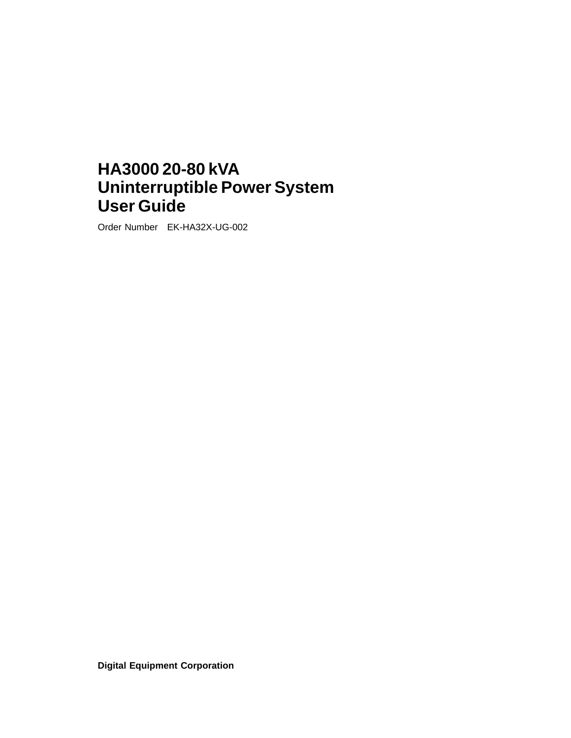# **HA3000 20-80 kVA Uninterruptible Power System User Guide**

Order Number EK-HA32X-UG-002

**Digital Equipment Corporation**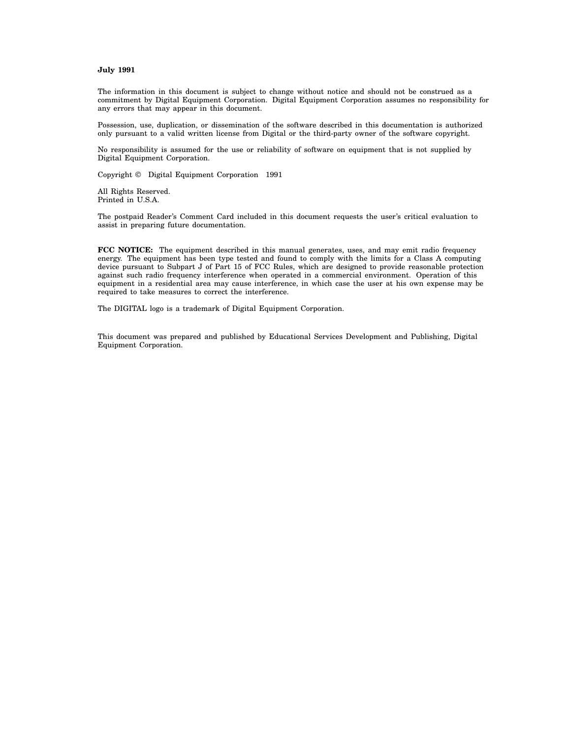#### **July 1991**

The information in this document is subject to change without notice and should not be construed as a commitment by Digital Equipment Corporation. Digital Equipment Corporation assumes no responsibility for any errors that may appear in this document.

Possession, use, duplication, or dissemination of the software described in this documentation is authorized only pursuant to a valid written license from Digital or the third-party owner of the software copyright.

No responsibility is assumed for the use or reliability of software on equipment that is not supplied by Digital Equipment Corporation.

Copyright © Digital Equipment Corporation 1991

All Rights Reserved. Printed in U.S.A.

The postpaid Reader's Comment Card included in this document requests the user's critical evaluation to assist in preparing future documentation.

**FCC NOTICE:** The equipment described in this manual generates, uses, and may emit radio frequency energy. The equipment has been type tested and found to comply with the limits for a Class A computing device pursuant to Subpart J of Part 15 of FCC Rules, which are designed to provide reasonable protection against such radio frequency interference when operated in a commercial environment. Operation of this equipment in a residential area may cause interference, in which case the user at his own expense may be required to take measures to correct the interference.

The DIGITAL logo is a trademark of Digital Equipment Corporation.

This document was prepared and published by Educational Services Development and Publishing, Digital Equipment Corporation.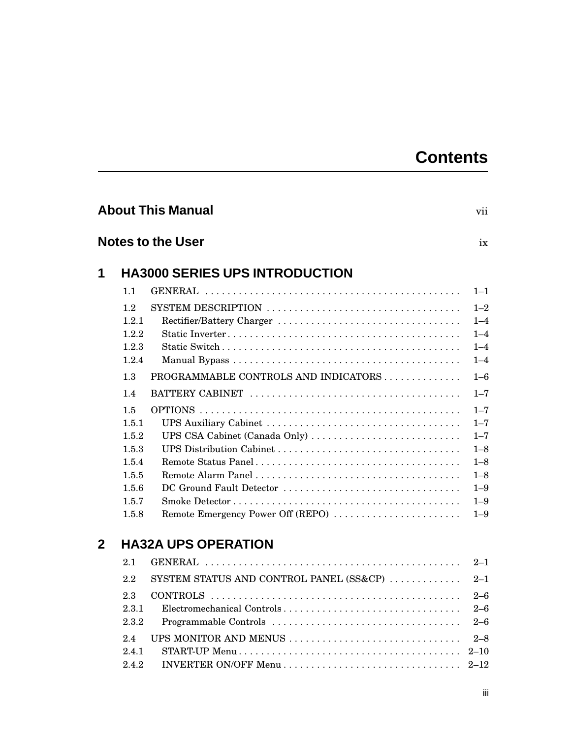# **Contents**

|                |       | <b>About This Manual</b>                | vii      |
|----------------|-------|-----------------------------------------|----------|
|                |       | Notes to the User                       | ix       |
| 1              |       | <b>HA3000 SERIES UPS INTRODUCTION</b>   |          |
|                | 1.1   |                                         | $1 - 1$  |
|                | 1.2   |                                         | $1 - 2$  |
|                | 1.2.1 |                                         | $1 - 4$  |
|                | 1.2.2 |                                         | $1 - 4$  |
|                | 1.2.3 |                                         | $1 - 4$  |
|                | 1.2.4 |                                         | $1 - 4$  |
|                | 1.3   | PROGRAMMABLE CONTROLS AND INDICATORS    | $1 - 6$  |
|                | 1.4   |                                         | $1 - 7$  |
|                | 1.5   |                                         | $1 - 7$  |
|                | 1.5.1 |                                         | $1 - 7$  |
|                | 1.5.2 | UPS CSA Cabinet (Canada Only)           | $1 - 7$  |
|                | 1.5.3 |                                         | $1 - 8$  |
|                | 1.5.4 |                                         | $1 - 8$  |
|                | 1.5.5 |                                         | $1 - 8$  |
|                | 1.5.6 | DC Ground Fault Detector                | $1 - 9$  |
|                | 1.5.7 |                                         | $1 - 9$  |
|                | 1.5.8 | Remote Emergency Power Off (REPO)       | $1 - 9$  |
| $\overline{2}$ |       | <b>HA32A UPS OPERATION</b>              |          |
|                | 2.1   |                                         | $2 - 1$  |
|                | 2.2   | SYSTEM STATUS AND CONTROL PANEL (SS&CP) | $2 - 1$  |
|                | 2.3   |                                         | $2 - 6$  |
|                | 2.3.1 | Electromechanical Controls              | $2 - 6$  |
|                | 2.3.2 |                                         | $2 - 6$  |
|                | 2.4   | UPS MONITOR AND MENUS                   | $2 - 8$  |
|                | 2.4.1 |                                         | $2 - 10$ |
|                | 2.4.2 |                                         | $2 - 12$ |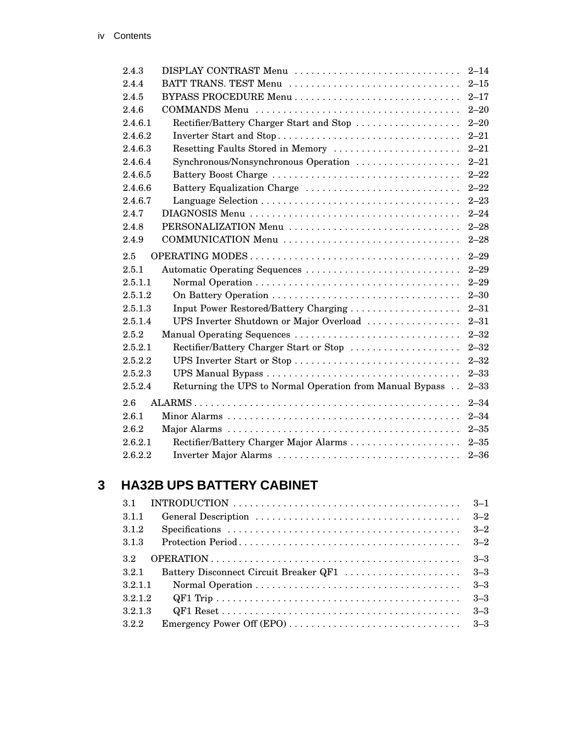| DISPLAY CONTRAST Menu<br>2.4.3<br>BATT TRANS. TEST Menu<br>2.4.4<br>2.4.5<br>2.4.6<br>Rectifier/Battery Charger Start and Stop<br>2.4.6.1<br>2.4.6.2<br>Resetting Faults Stored in Memory<br>2.4.6.3<br>2.4.6.4<br>Synchronous/Nonsynchronous Operation<br>Battery Boost Charge<br>2.4.6.5<br>Battery Equalization Charge<br>2.4.6.6<br>2.4.6.7<br>2.4.7<br>2.4.8<br>PERSONALIZATION Menu<br>2.4.9<br>COMMUNICATION Menu<br>2.5<br>Automatic Operating Sequences<br>2.5.1<br>2.5.1.1<br>2.5.1.2<br>2.5.1.3<br>Input Power Restored/Battery Charging<br>UPS Inverter Shutdown or Major Overload<br>2.5.1.4<br>Manual Operating Sequences<br>2.5.2<br>2.5.2.1<br>Rectifier/Battery Charger Start or Stop<br>UPS Inverter Start or Stop<br>2.5.2.2<br>2.5.2.3<br>2.5.2.4<br>Returning the UPS to Normal Operation from Manual Bypass<br>2.6<br>2.6.1<br>2.6.2<br>2.6.2.1<br>Rectifier/Battery Charger Major Alarms |         |                       |          |
|-----------------------------------------------------------------------------------------------------------------------------------------------------------------------------------------------------------------------------------------------------------------------------------------------------------------------------------------------------------------------------------------------------------------------------------------------------------------------------------------------------------------------------------------------------------------------------------------------------------------------------------------------------------------------------------------------------------------------------------------------------------------------------------------------------------------------------------------------------------------------------------------------------------------|---------|-----------------------|----------|
|                                                                                                                                                                                                                                                                                                                                                                                                                                                                                                                                                                                                                                                                                                                                                                                                                                                                                                                 |         |                       | $2 - 14$ |
|                                                                                                                                                                                                                                                                                                                                                                                                                                                                                                                                                                                                                                                                                                                                                                                                                                                                                                                 |         |                       | $2 - 15$ |
|                                                                                                                                                                                                                                                                                                                                                                                                                                                                                                                                                                                                                                                                                                                                                                                                                                                                                                                 |         |                       | $2 - 17$ |
|                                                                                                                                                                                                                                                                                                                                                                                                                                                                                                                                                                                                                                                                                                                                                                                                                                                                                                                 |         |                       | $2 - 20$ |
|                                                                                                                                                                                                                                                                                                                                                                                                                                                                                                                                                                                                                                                                                                                                                                                                                                                                                                                 |         |                       | $2 - 20$ |
|                                                                                                                                                                                                                                                                                                                                                                                                                                                                                                                                                                                                                                                                                                                                                                                                                                                                                                                 |         |                       | $2 - 21$ |
|                                                                                                                                                                                                                                                                                                                                                                                                                                                                                                                                                                                                                                                                                                                                                                                                                                                                                                                 |         |                       | $2 - 21$ |
|                                                                                                                                                                                                                                                                                                                                                                                                                                                                                                                                                                                                                                                                                                                                                                                                                                                                                                                 |         |                       | $2 - 21$ |
|                                                                                                                                                                                                                                                                                                                                                                                                                                                                                                                                                                                                                                                                                                                                                                                                                                                                                                                 |         |                       | $2 - 22$ |
|                                                                                                                                                                                                                                                                                                                                                                                                                                                                                                                                                                                                                                                                                                                                                                                                                                                                                                                 |         |                       | $2 - 22$ |
|                                                                                                                                                                                                                                                                                                                                                                                                                                                                                                                                                                                                                                                                                                                                                                                                                                                                                                                 |         |                       | $2 - 23$ |
|                                                                                                                                                                                                                                                                                                                                                                                                                                                                                                                                                                                                                                                                                                                                                                                                                                                                                                                 |         |                       | $2 - 24$ |
|                                                                                                                                                                                                                                                                                                                                                                                                                                                                                                                                                                                                                                                                                                                                                                                                                                                                                                                 |         |                       | $2 - 28$ |
|                                                                                                                                                                                                                                                                                                                                                                                                                                                                                                                                                                                                                                                                                                                                                                                                                                                                                                                 |         |                       | $2 - 28$ |
|                                                                                                                                                                                                                                                                                                                                                                                                                                                                                                                                                                                                                                                                                                                                                                                                                                                                                                                 |         |                       | $2 - 29$ |
|                                                                                                                                                                                                                                                                                                                                                                                                                                                                                                                                                                                                                                                                                                                                                                                                                                                                                                                 |         |                       | $2 - 29$ |
|                                                                                                                                                                                                                                                                                                                                                                                                                                                                                                                                                                                                                                                                                                                                                                                                                                                                                                                 |         |                       | $2 - 29$ |
|                                                                                                                                                                                                                                                                                                                                                                                                                                                                                                                                                                                                                                                                                                                                                                                                                                                                                                                 |         |                       | $2 - 30$ |
|                                                                                                                                                                                                                                                                                                                                                                                                                                                                                                                                                                                                                                                                                                                                                                                                                                                                                                                 |         |                       | $2 - 31$ |
|                                                                                                                                                                                                                                                                                                                                                                                                                                                                                                                                                                                                                                                                                                                                                                                                                                                                                                                 |         |                       | $2 - 31$ |
|                                                                                                                                                                                                                                                                                                                                                                                                                                                                                                                                                                                                                                                                                                                                                                                                                                                                                                                 |         |                       | $2 - 32$ |
|                                                                                                                                                                                                                                                                                                                                                                                                                                                                                                                                                                                                                                                                                                                                                                                                                                                                                                                 |         |                       | $2 - 32$ |
|                                                                                                                                                                                                                                                                                                                                                                                                                                                                                                                                                                                                                                                                                                                                                                                                                                                                                                                 |         |                       | $2 - 32$ |
|                                                                                                                                                                                                                                                                                                                                                                                                                                                                                                                                                                                                                                                                                                                                                                                                                                                                                                                 |         |                       | $2 - 33$ |
|                                                                                                                                                                                                                                                                                                                                                                                                                                                                                                                                                                                                                                                                                                                                                                                                                                                                                                                 |         |                       | $2 - 33$ |
|                                                                                                                                                                                                                                                                                                                                                                                                                                                                                                                                                                                                                                                                                                                                                                                                                                                                                                                 |         |                       | $2 - 34$ |
|                                                                                                                                                                                                                                                                                                                                                                                                                                                                                                                                                                                                                                                                                                                                                                                                                                                                                                                 |         |                       | $2 - 34$ |
|                                                                                                                                                                                                                                                                                                                                                                                                                                                                                                                                                                                                                                                                                                                                                                                                                                                                                                                 |         |                       | $2 - 35$ |
|                                                                                                                                                                                                                                                                                                                                                                                                                                                                                                                                                                                                                                                                                                                                                                                                                                                                                                                 |         |                       | $2 - 35$ |
|                                                                                                                                                                                                                                                                                                                                                                                                                                                                                                                                                                                                                                                                                                                                                                                                                                                                                                                 | 2.6.2.2 | Inverter Major Alarms | $2 - 36$ |

# **3 HA32B UPS BATTERY CABINET**

| 31      |                                        | $3 - 1$ |
|---------|----------------------------------------|---------|
| 3.1.1   |                                        | $3 - 2$ |
| 3.1.2   |                                        | $3 - 2$ |
| 3.1.3   |                                        | $3 - 2$ |
| 32      |                                        | $3 - 3$ |
| 321     | Battery Disconnect Circuit Breaker QF1 | $3 - 3$ |
| 3.2.1.1 |                                        | $3 - 3$ |
| 3.2.1.2 |                                        | $3 - 3$ |
| 3.2.1.3 |                                        | $3 - 3$ |
| 3.2.2   |                                        |         |
|         |                                        |         |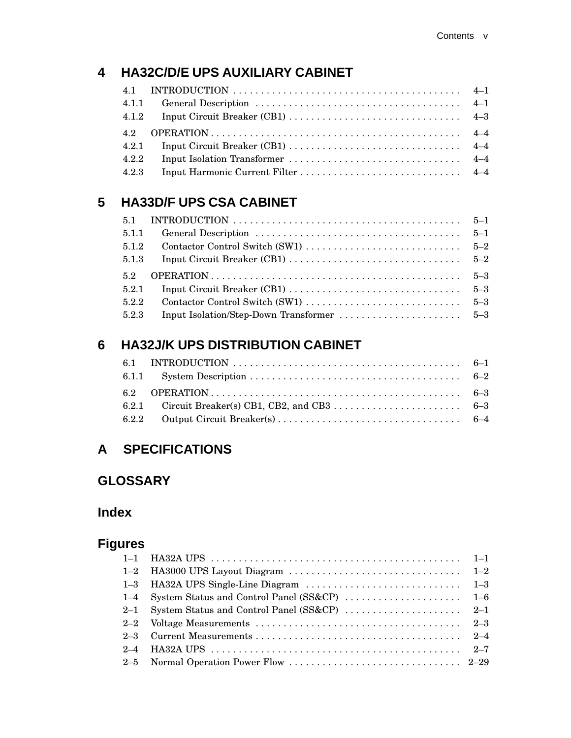# **4 HA32C/D/E UPS AUXILIARY CABINET**

|       | 4.1 INTRODUCTION $\ldots \ldots \ldots \ldots \ldots \ldots \ldots \ldots \ldots \ldots \ldots \ldots \ldots \qquad 4-1$ |  |
|-------|--------------------------------------------------------------------------------------------------------------------------|--|
| 4.1.1 |                                                                                                                          |  |
| 4.1.2 |                                                                                                                          |  |
| 4.2   |                                                                                                                          |  |
| 4.2.1 |                                                                                                                          |  |
| 4.2.2 |                                                                                                                          |  |
| 4.2.3 |                                                                                                                          |  |

# **5 HA33D/F UPS CSA CABINET**

| 5.1   | INTRODUCTION $\ldots \ldots \ldots \ldots \ldots \ldots \ldots \ldots \ldots \ldots \ldots \ldots 5-1$ |         |
|-------|--------------------------------------------------------------------------------------------------------|---------|
| 5.1.1 |                                                                                                        | $5 - 1$ |
| 5.1.2 |                                                                                                        |         |
| 5.1.3 |                                                                                                        |         |
|       |                                                                                                        |         |
| 52    |                                                                                                        |         |
| 5.2.1 |                                                                                                        |         |
| 5.2.2 |                                                                                                        |         |

# **6 HA32J/K UPS DISTRIBUTION CABINET**

# **A SPECIFICATIONS**

# **GLOSSARY**

# **Index**

# **Figures**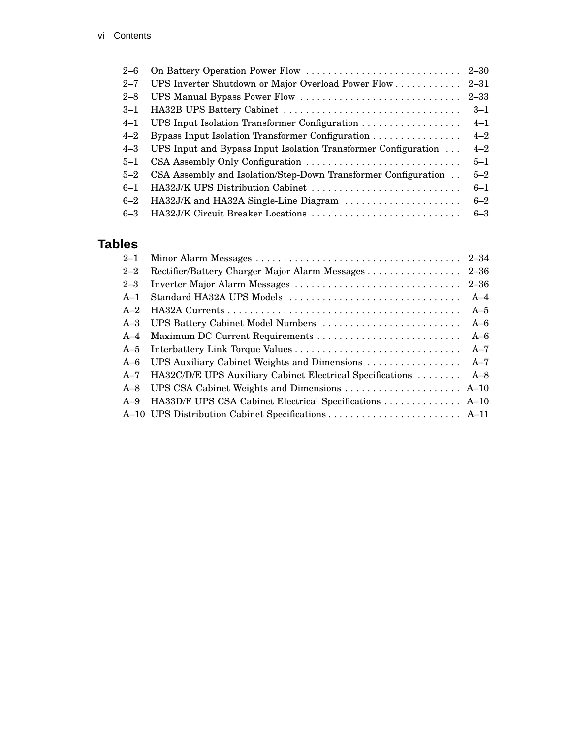| $2 - 6$ |                                                                |         |
|---------|----------------------------------------------------------------|---------|
| $2 - 7$ |                                                                |         |
| $2 - 8$ |                                                                | 2–33    |
| $3 - 1$ |                                                                | $3 - 1$ |
| $4 - 1$ |                                                                | $4 - 1$ |
| $4 - 2$ | Bypass Input Isolation Transformer Configuration               | $4 - 2$ |
| $4 - 3$ | UPS Input and Bypass Input Isolation Transformer Configuration | $4 - 2$ |
| $5 - 1$ |                                                                | $5 - 1$ |
| $5 - 2$ | CSA Assembly and Isolation/Step-Down Transformer Configuration | $5 - 2$ |
| $6 - 1$ | HA32J/K UPS Distribution Cabinet                               | $6 - 1$ |
| $6 - 2$ | HA32J/K and HA32A Single-Line Diagram                          | $6 - 2$ |
| $6 - 3$ | HA32J/K Circuit Breaker Locations                              | $6 - 3$ |

# **Tables**

| $2 - 1$ |                                                           |          |
|---------|-----------------------------------------------------------|----------|
| $2 - 2$ | Rectifier/Battery Charger Major Alarm Messages            | $2 - 36$ |
| $2 - 3$ | Inverter Major Alarm Messages                             | $2 - 36$ |
| $A-1$   | Standard HA32A UPS Models                                 | $A-4$    |
| $A-2$   |                                                           | $A-5$    |
|         | A-3 UPS Battery Cabinet Model Numbers                     | $A-6$    |
|         |                                                           | $A-6$    |
| $A-5$   |                                                           | $A-7$    |
| $A-6$   | UPS Auxiliary Cabinet Weights and Dimensions              | $A-7$    |
| $A-7$   | HA32C/D/E UPS Auxiliary Cabinet Electrical Specifications | $A-8$    |
| $A-8$   |                                                           |          |
| $A-9$   | HA33D/F UPS CSA Cabinet Electrical Specifications  A-10   |          |
|         |                                                           |          |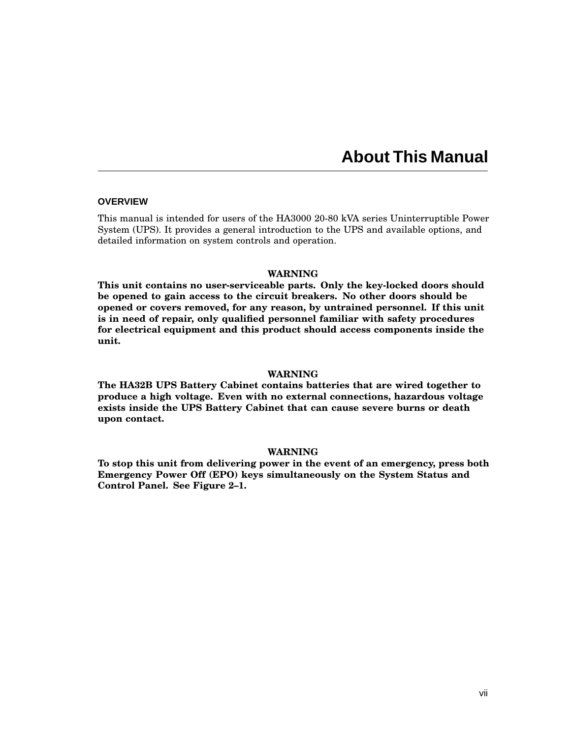# **About This Manual**

#### **OVERVIEW**

This manual is intended for users of the HA3000 20-80 kVA series Uninterruptible Power System (UPS). It provides a general introduction to the UPS and available options, and detailed information on system controls and operation.

#### **WARNING**

**This unit contains no user-serviceable parts. Only the key-locked doors should be opened to gain access to the circuit breakers. No other doors should be opened or covers removed, for any reason, by untrained personnel. If this unit is in need of repair, only qualified personnel familiar with safety procedures for electrical equipment and this product should access components inside the unit.**

#### **WARNING**

**The HA32B UPS Battery Cabinet contains batteries that are wired together to produce a high voltage. Even with no external connections, hazardous voltage exists inside the UPS Battery Cabinet that can cause severe burns or death upon contact.**

#### **WARNING**

**To stop this unit from delivering power in the event of an emergency, press both Emergency Power Off (EPO) keys simultaneously on the System Status and Control Panel. See Figure 2–1.**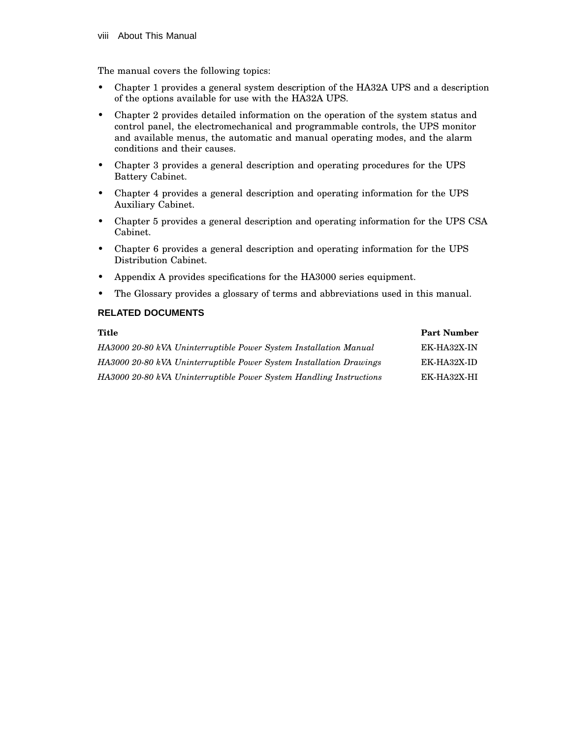The manual covers the following topics:

- Chapter 1 provides a general system description of the HA32A UPS and a description of the options available for use with the HA32A UPS.
- Chapter 2 provides detailed information on the operation of the system status and control panel, the electromechanical and programmable controls, the UPS monitor and available menus, the automatic and manual operating modes, and the alarm conditions and their causes.
- Chapter 3 provides a general description and operating procedures for the UPS Battery Cabinet.
- Chapter 4 provides a general description and operating information for the UPS Auxiliary Cabinet.
- Chapter 5 provides a general description and operating information for the UPS CSA Cabinet.
- Chapter 6 provides a general description and operating information for the UPS Distribution Cabinet.
- Appendix A provides specifications for the HA3000 series equipment.
- The Glossary provides a glossary of terms and abbreviations used in this manual.

## **RELATED DOCUMENTS**

| Title                                                               | <b>Part Number</b> |
|---------------------------------------------------------------------|--------------------|
| HA3000 20-80 kVA Uninterruptible Power System Installation Manual   | EK-HA32X-IN        |
| HA3000 20-80 kVA Uninterruptible Power System Installation Drawings | EK-HA32X-ID        |
| HA3000 20-80 kVA Uninterruptible Power System Handling Instructions | EK-HA32X-HI        |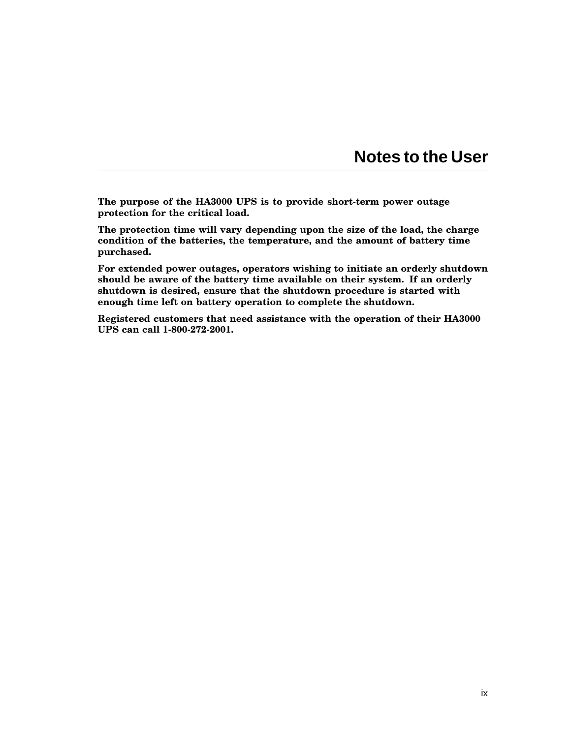# **Notes to the User**

**The purpose of the HA3000 UPS is to provide short-term power outage protection for the critical load.**

**The protection time will vary depending upon the size of the load, the charge condition of the batteries, the temperature, and the amount of battery time purchased.**

**For extended power outages, operators wishing to initiate an orderly shutdown should be aware of the battery time available on their system. If an orderly shutdown is desired, ensure that the shutdown procedure is started with enough time left on battery operation to complete the shutdown.**

**Registered customers that need assistance with the operation of their HA3000 UPS can call 1-800-272-2001.**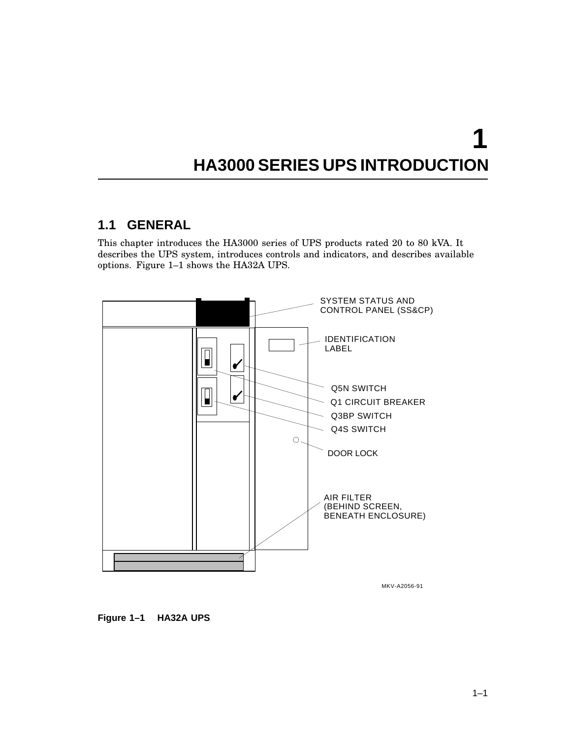# **1 HA3000 SERIES UPS INTRODUCTION**

# **1.1 GENERAL**

This chapter introduces the HA3000 series of UPS products rated 20 to 80 kVA. It describes the UPS system, introduces controls and indicators, and describes available options. Figure 1–1 shows the HA32A UPS.



MKV-A2056-91

## **Figure 1–1 HA32A UPS**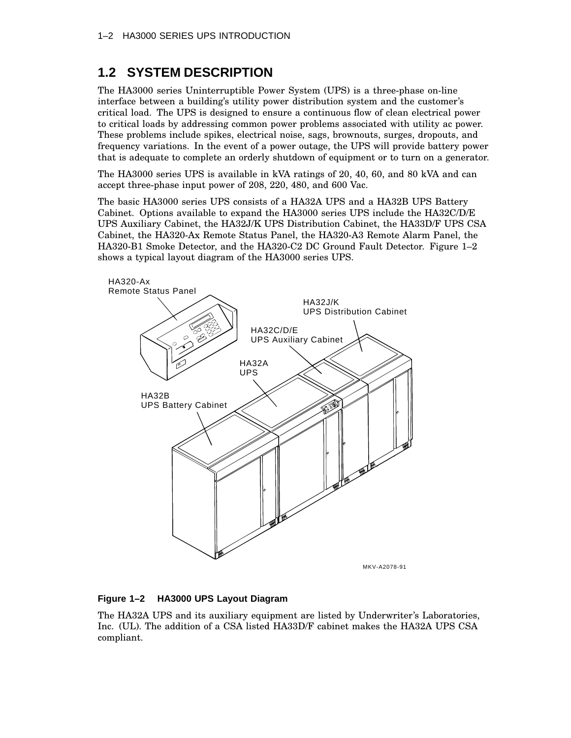# **1.2 SYSTEM DESCRIPTION**

The HA3000 series Uninterruptible Power System (UPS) is a three-phase on-line interface between a building's utility power distribution system and the customer's critical load. The UPS is designed to ensure a continuous flow of clean electrical power to critical loads by addressing common power problems associated with utility ac power. These problems include spikes, electrical noise, sags, brownouts, surges, dropouts, and frequency variations. In the event of a power outage, the UPS will provide battery power that is adequate to complete an orderly shutdown of equipment or to turn on a generator.

The HA3000 series UPS is available in kVA ratings of 20, 40, 60, and 80 kVA and can accept three-phase input power of 208, 220, 480, and 600 Vac.

The basic HA3000 series UPS consists of a HA32A UPS and a HA32B UPS Battery Cabinet. Options available to expand the HA3000 series UPS include the HA32C/D/E UPS Auxiliary Cabinet, the HA32J/K UPS Distribution Cabinet, the HA33D/F UPS CSA Cabinet, the HA320-Ax Remote Status Panel, the HA320-A3 Remote Alarm Panel, the HA320-B1 Smoke Detector, and the HA320-C2 DC Ground Fault Detector. Figure 1–2 shows a typical layout diagram of the HA3000 series UPS.



### **Figure 1–2 HA3000 UPS Layout Diagram**

The HA32A UPS and its auxiliary equipment are listed by Underwriter's Laboratories, Inc. (UL). The addition of a CSA listed HA33D/F cabinet makes the HA32A UPS CSA compliant.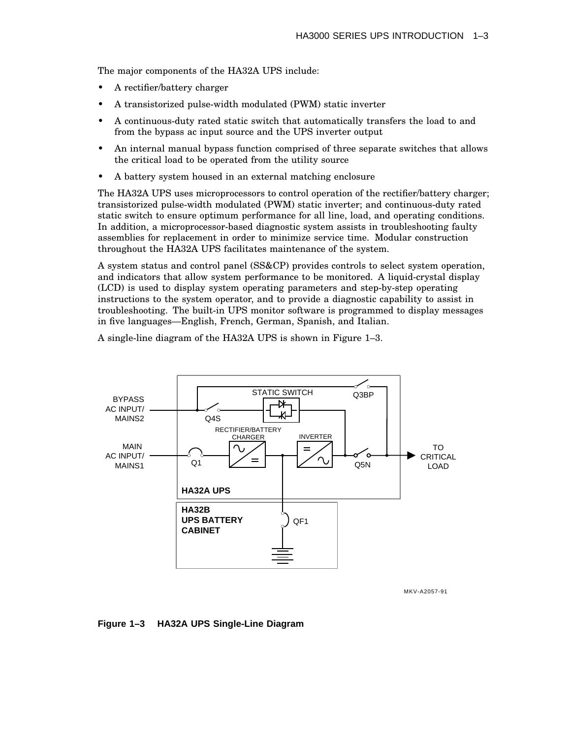The major components of the HA32A UPS include:

- A rectifier/battery charger
- A transistorized pulse-width modulated (PWM) static inverter
- A continuous-duty rated static switch that automatically transfers the load to and from the bypass ac input source and the UPS inverter output
- An internal manual bypass function comprised of three separate switches that allows the critical load to be operated from the utility source
- A battery system housed in an external matching enclosure

The HA32A UPS uses microprocessors to control operation of the rectifier/battery charger; transistorized pulse-width modulated (PWM) static inverter; and continuous-duty rated static switch to ensure optimum performance for all line, load, and operating conditions. In addition, a microprocessor-based diagnostic system assists in troubleshooting faulty assemblies for replacement in order to minimize service time. Modular construction throughout the HA32A UPS facilitates maintenance of the system.

A system status and control panel (SS&CP) provides controls to select system operation, and indicators that allow system performance to be monitored. A liquid-crystal display (LCD) is used to display system operating parameters and step-by-step operating instructions to the system operator, and to provide a diagnostic capability to assist in troubleshooting. The built-in UPS monitor software is programmed to display messages in five languages—English, French, German, Spanish, and Italian.

A single-line diagram of the HA32A UPS is shown in Figure 1–3.



MKV-A2057-91

#### **Figure 1–3 HA32A UPS Single-Line Diagram**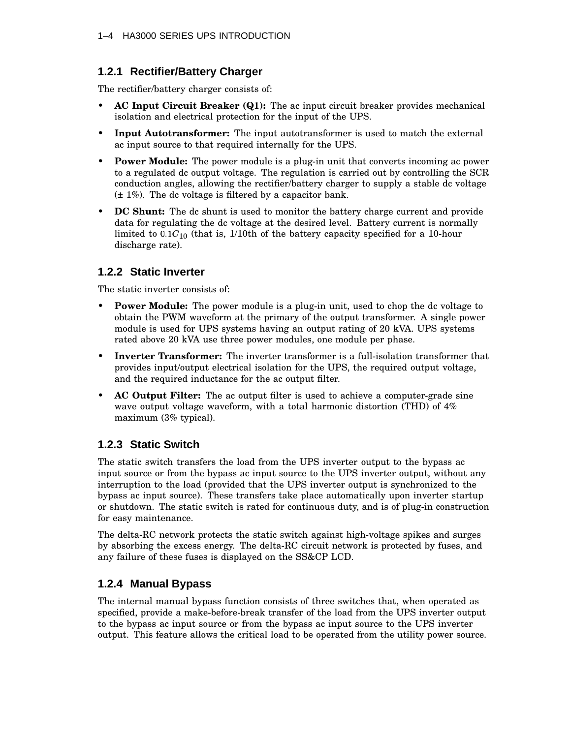# **1.2.1 Rectifier/Battery Charger**

The rectifier/battery charger consists of:

- **AC Input Circuit Breaker (Q1):** The ac input circuit breaker provides mechanical isolation and electrical protection for the input of the UPS.
- **Input Autotransformer:** The input autotransformer is used to match the external ac input source to that required internally for the UPS.
- **Power Module:** The power module is a plug-in unit that converts incoming ac power to a regulated dc output voltage. The regulation is carried out by controlling the SCR conduction angles, allowing the rectifier/battery charger to supply a stable dc voltage  $(\pm 1\%)$ . The dc voltage is filtered by a capacitor bank.
- **DC Shunt:** The dc shunt is used to monitor the battery charge current and provide data for regulating the dc voltage at the desired level. Battery current is normally limited to 0.1 $C_{10}$  (that is, 1/10th of the battery capacity specified for a 10-hour discharge rate).

# **1.2.2 Static Inverter**

The static inverter consists of:

- **Power Module:** The power module is a plug-in unit, used to chop the dc voltage to obtain the PWM waveform at the primary of the output transformer. A single power module is used for UPS systems having an output rating of 20 kVA. UPS systems rated above 20 kVA use three power modules, one module per phase.
- **Inverter Transformer:** The inverter transformer is a full-isolation transformer that provides input/output electrical isolation for the UPS, the required output voltage, and the required inductance for the ac output filter.
- **AC Output Filter:** The ac output filter is used to achieve a computer-grade sine wave output voltage waveform, with a total harmonic distortion (THD) of  $4\%$ maximum (3% typical).

# **1.2.3 Static Switch**

The static switch transfers the load from the UPS inverter output to the bypass ac input source or from the bypass ac input source to the UPS inverter output, without any interruption to the load (provided that the UPS inverter output is synchronized to the bypass ac input source). These transfers take place automatically upon inverter startup or shutdown. The static switch is rated for continuous duty, and is of plug-in construction for easy maintenance.

The delta-RC network protects the static switch against high-voltage spikes and surges by absorbing the excess energy. The delta-RC circuit network is protected by fuses, and any failure of these fuses is displayed on the SS&CP LCD.

# **1.2.4 Manual Bypass**

The internal manual bypass function consists of three switches that, when operated as specified, provide a make-before-break transfer of the load from the UPS inverter output to the bypass ac input source or from the bypass ac input source to the UPS inverter output. This feature allows the critical load to be operated from the utility power source.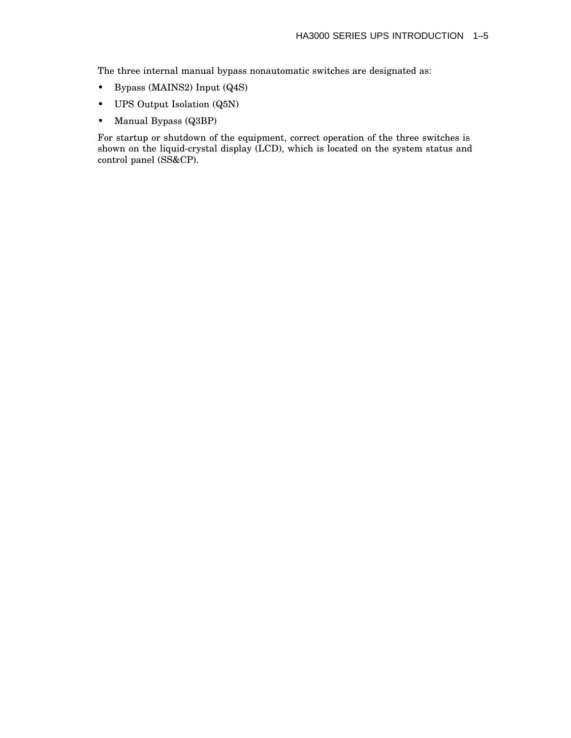The three internal manual bypass nonautomatic switches are designated as:

- Bypass (MAINS2) Input (Q4S)
- UPS Output Isolation (Q5N)
- Manual Bypass (Q3BP)

For startup or shutdown of the equipment, correct operation of the three switches is shown on the liquid-crystal display (LCD), which is located on the system status and control panel (SS&CP).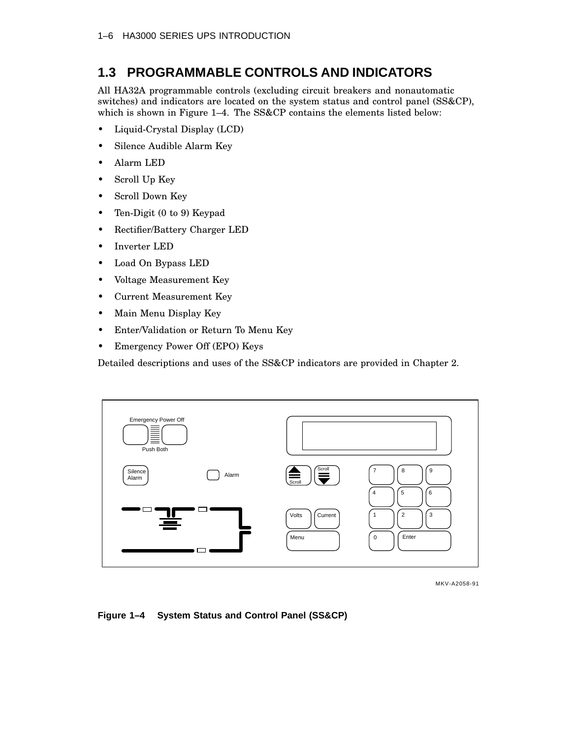# **1.3 PROGRAMMABLE CONTROLS AND INDICATORS**

All HA32A programmable controls (excluding circuit breakers and nonautomatic switches) and indicators are located on the system status and control panel (SS&CP), which is shown in Figure 1–4. The SS&CP contains the elements listed below:

- Liquid-Crystal Display (LCD)
- Silence Audible Alarm Key
- Alarm LED
- Scroll Up Key
- Scroll Down Key
- Ten-Digit (0 to 9) Keypad
- Rectifier/Battery Charger LED
- Inverter LED
- Load On Bypass LED
- Voltage Measurement Key
- Current Measurement Key
- Main Menu Display Key
- Enter/Validation or Return To Menu Key
- Emergency Power Off (EPO) Keys

Detailed descriptions and uses of the SS&CP indicators are provided in Chapter 2.



MKV-A2058-91

### **Figure 1–4 System Status and Control Panel (SS&CP)**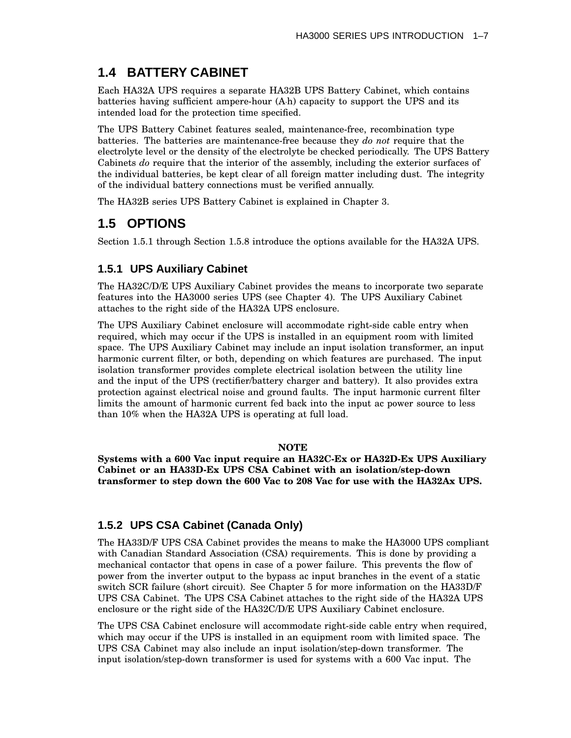# **1.4 BATTERY CABINET**

Each HA32A UPS requires a separate HA32B UPS Battery Cabinet, which contains batteries having sufficient ampere-hour (A h) capacity to support the UPS and its intended load for the protection time specified.

The UPS Battery Cabinet features sealed, maintenance-free, recombination type batteries. The batteries are maintenance-free because they *do not* require that the electrolyte level or the density of the electrolyte be checked periodically. The UPS Battery Cabinets *do* require that the interior of the assembly, including the exterior surfaces of the individual batteries, be kept clear of all foreign matter including dust. The integrity of the individual battery connections must be verified annually.

The HA32B series UPS Battery Cabinet is explained in Chapter 3.

# **1.5 OPTIONS**

Section 1.5.1 through Section 1.5.8 introduce the options available for the HA32A UPS.

# **1.5.1 UPS Auxiliary Cabinet**

The HA32C/D/E UPS Auxiliary Cabinet provides the means to incorporate two separate features into the HA3000 series UPS (see Chapter 4). The UPS Auxiliary Cabinet attaches to the right side of the HA32A UPS enclosure.

The UPS Auxiliary Cabinet enclosure will accommodate right-side cable entry when required, which may occur if the UPS is installed in an equipment room with limited space. The UPS Auxiliary Cabinet may include an input isolation transformer, an input harmonic current filter, or both, depending on which features are purchased. The input isolation transformer provides complete electrical isolation between the utility line and the input of the UPS (rectifier/battery charger and battery). It also provides extra protection against electrical noise and ground faults. The input harmonic current filter limits the amount of harmonic current fed back into the input ac power source to less than 10% when the HA32A UPS is operating at full load.

## **NOTE**

**Systems with a 600 Vac input require an HA32C-Ex or HA32D-Ex UPS Auxiliary Cabinet or an HA33D-Ex UPS CSA Cabinet with an isolation/step-down transformer to step down the 600 Vac to 208 Vac for use with the HA32Ax UPS.**

# **1.5.2 UPS CSA Cabinet (Canada Only)**

The HA33D/F UPS CSA Cabinet provides the means to make the HA3000 UPS compliant with Canadian Standard Association (CSA) requirements. This is done by providing a mechanical contactor that opens in case of a power failure. This prevents the flow of power from the inverter output to the bypass ac input branches in the event of a static switch SCR failure (short circuit). See Chapter 5 for more information on the HA33D/F UPS CSA Cabinet. The UPS CSA Cabinet attaches to the right side of the HA32A UPS enclosure or the right side of the HA32C/D/E UPS Auxiliary Cabinet enclosure.

The UPS CSA Cabinet enclosure will accommodate right-side cable entry when required, which may occur if the UPS is installed in an equipment room with limited space. The UPS CSA Cabinet may also include an input isolation/step-down transformer. The input isolation/step-down transformer is used for systems with a 600 Vac input. The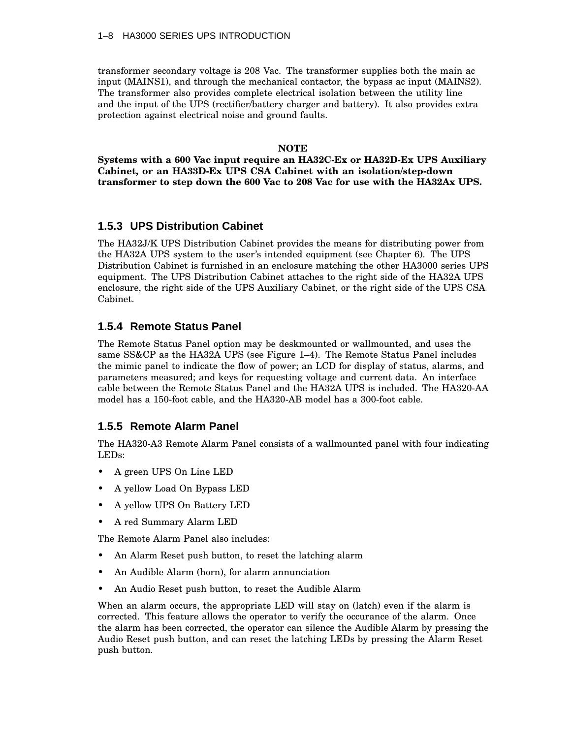transformer secondary voltage is 208 Vac. The transformer supplies both the main ac input (MAINS1), and through the mechanical contactor, the bypass ac input (MAINS2). The transformer also provides complete electrical isolation between the utility line and the input of the UPS (rectifier/battery charger and battery). It also provides extra protection against electrical noise and ground faults.

#### **NOTE**

**Systems with a 600 Vac input require an HA32C-Ex or HA32D-Ex UPS Auxiliary Cabinet, or an HA33D-Ex UPS CSA Cabinet with an isolation/step-down transformer to step down the 600 Vac to 208 Vac for use with the HA32Ax UPS.**

## **1.5.3 UPS Distribution Cabinet**

The HA32J/K UPS Distribution Cabinet provides the means for distributing power from the HA32A UPS system to the user's intended equipment (see Chapter 6). The UPS Distribution Cabinet is furnished in an enclosure matching the other HA3000 series UPS equipment. The UPS Distribution Cabinet attaches to the right side of the HA32A UPS enclosure, the right side of the UPS Auxiliary Cabinet, or the right side of the UPS CSA Cabinet.

## **1.5.4 Remote Status Panel**

The Remote Status Panel option may be deskmounted or wallmounted, and uses the same SS&CP as the HA32A UPS (see Figure 1–4). The Remote Status Panel includes the mimic panel to indicate the flow of power; an LCD for display of status, alarms, and parameters measured; and keys for requesting voltage and current data. An interface cable between the Remote Status Panel and the HA32A UPS is included. The HA320-AA model has a 150-foot cable, and the HA320-AB model has a 300-foot cable.

## **1.5.5 Remote Alarm Panel**

The HA320-A3 Remote Alarm Panel consists of a wallmounted panel with four indicating LEDs:

- A green UPS On Line LED
- A yellow Load On Bypass LED
- A yellow UPS On Battery LED
- A red Summary Alarm LED

The Remote Alarm Panel also includes:

- An Alarm Reset push button, to reset the latching alarm
- An Audible Alarm (horn), for alarm annunciation
- An Audio Reset push button, to reset the Audible Alarm

When an alarm occurs, the appropriate LED will stay on (latch) even if the alarm is corrected. This feature allows the operator to verify the occurance of the alarm. Once the alarm has been corrected, the operator can silence the Audible Alarm by pressing the Audio Reset push button, and can reset the latching LEDs by pressing the Alarm Reset push button.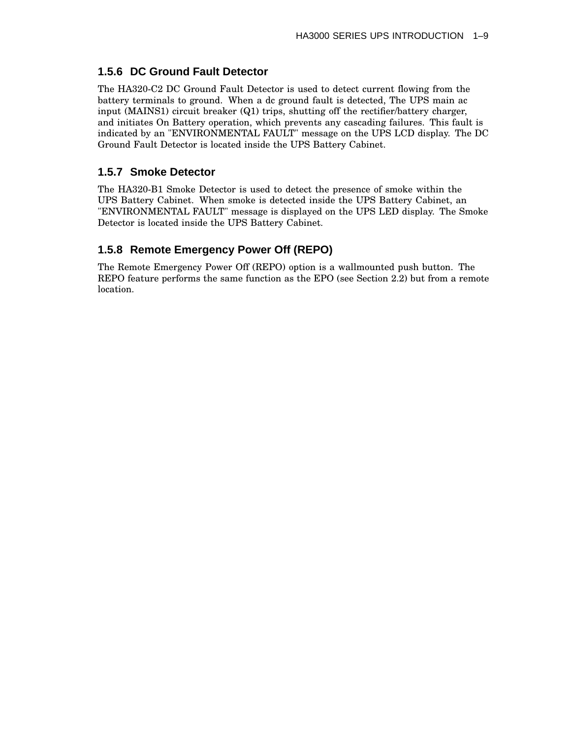# **1.5.6 DC Ground Fault Detector**

The HA320-C2 DC Ground Fault Detector is used to detect current flowing from the battery terminals to ground. When a dc ground fault is detected, The UPS main ac input (MAINS1) circuit breaker (Q1) trips, shutting off the rectifier/battery charger, and initiates On Battery operation, which prevents any cascading failures. This fault is indicated by an "ENVIRONMENTAL FAULT" message on the UPS LCD display. The DC Ground Fault Detector is located inside the UPS Battery Cabinet.

# **1.5.7 Smoke Detector**

The HA320-B1 Smoke Detector is used to detect the presence of smoke within the UPS Battery Cabinet. When smoke is detected inside the UPS Battery Cabinet, an "ENVIRONMENTAL FAULT" message is displayed on the UPS LED display. The Smoke Detector is located inside the UPS Battery Cabinet.

# **1.5.8 Remote Emergency Power Off (REPO)**

The Remote Emergency Power Off (REPO) option is a wallmounted push button. The REPO feature performs the same function as the EPO (see Section 2.2) but from a remote location.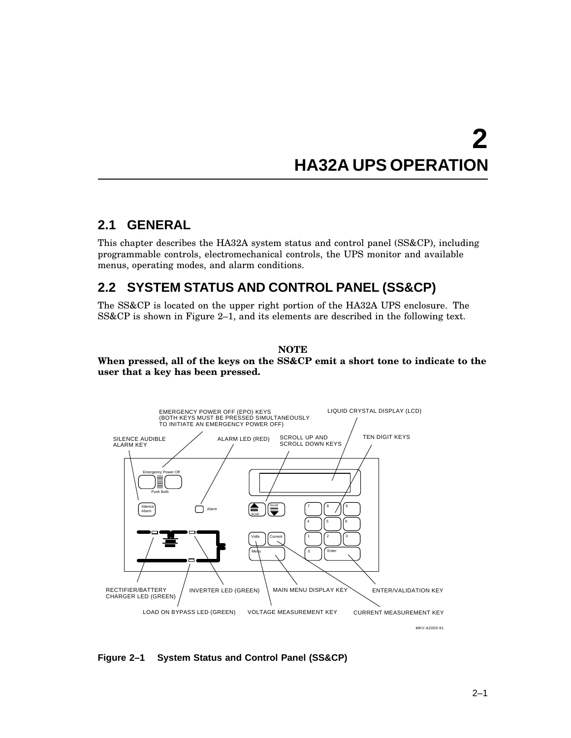# **2 HA32A UPS OPERATION**

# **2.1 GENERAL**

This chapter describes the HA32A system status and control panel (SS&CP), including programmable controls, electromechanical controls, the UPS monitor and available menus, operating modes, and alarm conditions.

# **2.2 SYSTEM STATUS AND CONTROL PANEL (SS&CP)**

The SS&CP is located on the upper right portion of the HA32A UPS enclosure. The SS&CP is shown in Figure 2–1, and its elements are described in the following text.

## **NOTE**

## **When pressed, all of the keys on the SS&CP emit a short tone to indicate to the user that a key has been pressed.**



**Figure 2–1 System Status and Control Panel (SS&CP)**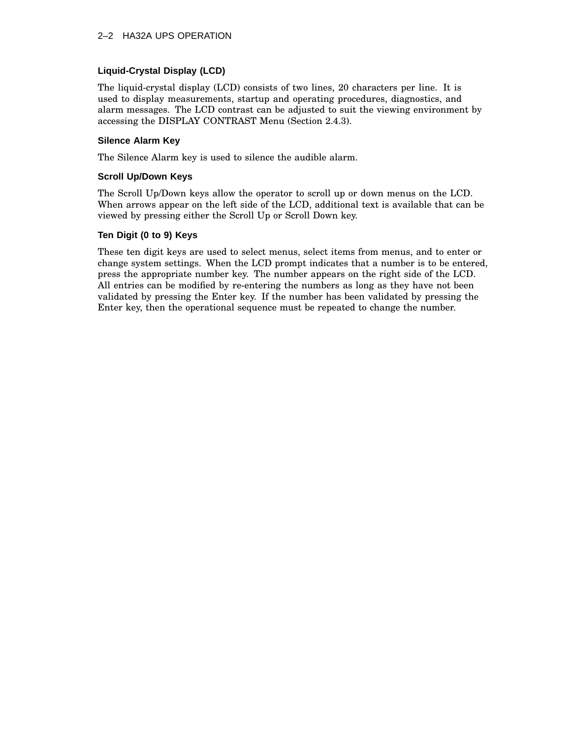## 2–2 HA32A UPS OPERATION

## **Liquid-Crystal Display (LCD)**

The liquid-crystal display (LCD) consists of two lines, 20 characters per line. It is used to display measurements, startup and operating procedures, diagnostics, and alarm messages. The LCD contrast can be adjusted to suit the viewing environment by accessing the DISPLAY CONTRAST Menu (Section 2.4.3).

#### **Silence Alarm Key**

The Silence Alarm key is used to silence the audible alarm.

#### **Scroll Up/Down Keys**

The Scroll Up/Down keys allow the operator to scroll up or down menus on the LCD. When arrows appear on the left side of the LCD, additional text is available that can be viewed by pressing either the Scroll Up or Scroll Down key.

#### **Ten Digit (0 to 9) Keys**

These ten digit keys are used to select menus, select items from menus, and to enter or change system settings. When the LCD prompt indicates that a number is to be entered, press the appropriate number key. The number appears on the right side of the LCD. All entries can be modified by re-entering the numbers as long as they have not been validated by pressing the Enter key. If the number has been validated by pressing the Enter key, then the operational sequence must be repeated to change the number.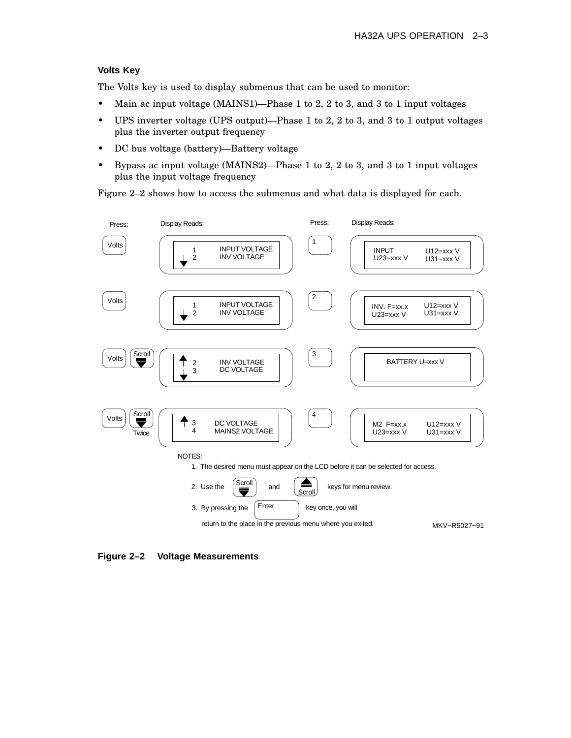### **Volts Key**

The Volts key is used to display submenus that can be used to monitor:

- Main ac input voltage (MAINS1)—Phase 1 to 2, 2 to 3, and 3 to 1 input voltages
- UPS inverter voltage (UPS output)—Phase 1 to 2, 2 to 3, and 3 to 1 output voltages plus the inverter output frequency
- DC bus voltage (battery)—Battery voltage
- Bypass ac input voltage (MAINS2)—Phase 1 to 2, 2 to 3, and 3 to 1 input voltages plus the input voltage frequency

Figure 2–2 shows how to access the submenus and what data is displayed for each.



**Figure 2–2 Voltage Measurements**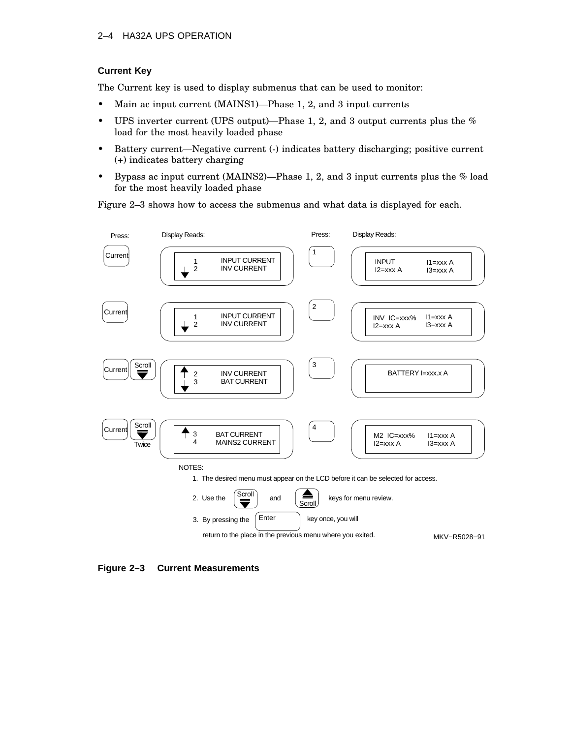## 2–4 HA32A UPS OPERATION

## **Current Key**

The Current key is used to display submenus that can be used to monitor:

- Main ac input current (MAINS1)—Phase 1, 2, and 3 input currents
- UPS inverter current (UPS output)—Phase 1, 2, and 3 output currents plus the % load for the most heavily loaded phase
- Battery current—Negative current (-) indicates battery discharging; positive current (+) indicates battery charging
- Bypass ac input current (MAINS2)—Phase 1, 2, and 3 input currents plus the % load for the most heavily loaded phase

Figure 2–3 shows how to access the submenus and what data is displayed for each.



**Figure 2–3 Current Measurements**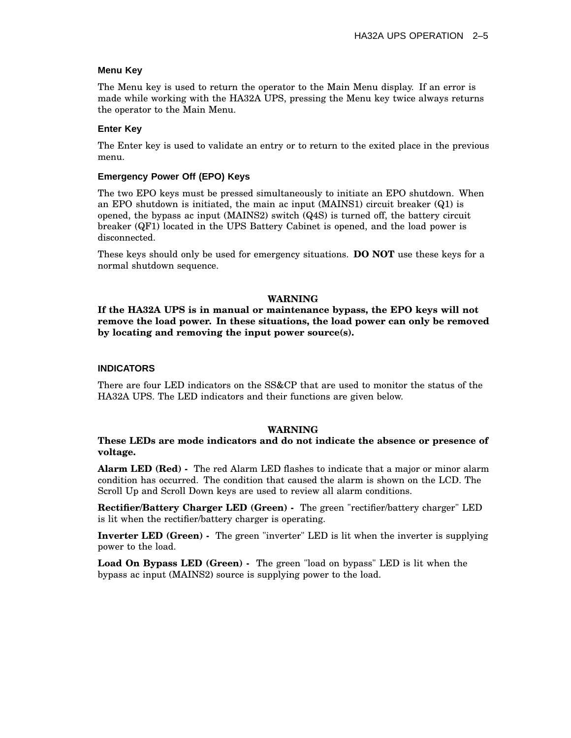#### **Menu Key**

The Menu key is used to return the operator to the Main Menu display. If an error is made while working with the HA32A UPS, pressing the Menu key twice always returns the operator to the Main Menu.

#### **Enter Key**

The Enter key is used to validate an entry or to return to the exited place in the previous menu.

#### **Emergency Power Off (EPO) Keys**

The two EPO keys must be pressed simultaneously to initiate an EPO shutdown. When an EPO shutdown is initiated, the main ac input (MAINS1) circuit breaker (Q1) is opened, the bypass ac input (MAINS2) switch (Q4S) is turned off, the battery circuit breaker (QF1) located in the UPS Battery Cabinet is opened, and the load power is disconnected.

These keys should only be used for emergency situations. **DO NOT** use these keys for a normal shutdown sequence.

#### **WARNING**

**If the HA32A UPS is in manual or maintenance bypass, the EPO keys will not remove the load power. In these situations, the load power can only be removed by locating and removing the input power source(s).**

#### **INDICATORS**

There are four LED indicators on the SS&CP that are used to monitor the status of the HA32A UPS. The LED indicators and their functions are given below.

#### **WARNING**

### **These LEDs are mode indicators and do not indicate the absence or presence of voltage.**

**Alarm LED (Red) -** The red Alarm LED flashes to indicate that a major or minor alarm condition has occurred. The condition that caused the alarm is shown on the LCD. The Scroll Up and Scroll Down keys are used to review all alarm conditions.

**Rectifier/Battery Charger LED (Green) -** The green "rectifier/battery charger" LED is lit when the rectifier/battery charger is operating.

**Inverter LED (Green) -** The green "inverter" LED is lit when the inverter is supplying power to the load.

**Load On Bypass LED (Green) -** The green "load on bypass" LED is lit when the bypass ac input (MAINS2) source is supplying power to the load.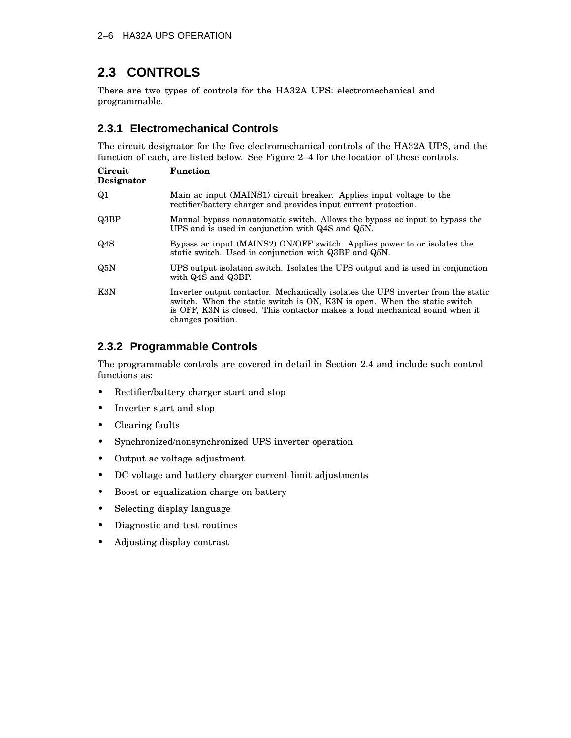# **2.3 CONTROLS**

There are two types of controls for the HA32A UPS: electromechanical and programmable.

# **2.3.1 Electromechanical Controls**

The circuit designator for the five electromechanical controls of the HA32A UPS, and the function of each, are listed below. See Figure 2–4 for the location of these controls.

| Circuit<br>Designator | <b>Function</b>                                                                                                                                                                                                                                                    |
|-----------------------|--------------------------------------------------------------------------------------------------------------------------------------------------------------------------------------------------------------------------------------------------------------------|
| Q <sub>1</sub>        | Main ac input (MAINS1) circuit breaker. Applies input voltage to the<br>rectifier/battery charger and provides input current protection.                                                                                                                           |
| Q3BP                  | Manual bypass nonautomatic switch. Allows the bypass ac input to bypass the<br>UPS and is used in conjunction with Q4S and Q5N.                                                                                                                                    |
| Q4S                   | Bypass ac input (MAINS2) ON/OFF switch. Applies power to or isolates the<br>static switch. Used in conjunction with Q3BP and Q5N.                                                                                                                                  |
| Q5N                   | UPS output isolation switch. Isolates the UPS output and is used in conjunction<br>with Q4S and Q3BP.                                                                                                                                                              |
| K3N                   | Inverter output contactor. Mechanically isolates the UPS inverter from the static<br>switch. When the static switch is ON, K3N is open. When the static switch<br>is OFF, K3N is closed. This contactor makes a loud mechanical sound when it<br>changes position. |

# **2.3.2 Programmable Controls**

The programmable controls are covered in detail in Section 2.4 and include such control functions as:

- Rectifier/battery charger start and stop
- Inverter start and stop
- Clearing faults
- Synchronized/nonsynchronized UPS inverter operation
- Output ac voltage adjustment
- DC voltage and battery charger current limit adjustments
- Boost or equalization charge on battery
- Selecting display language
- Diagnostic and test routines
- Adjusting display contrast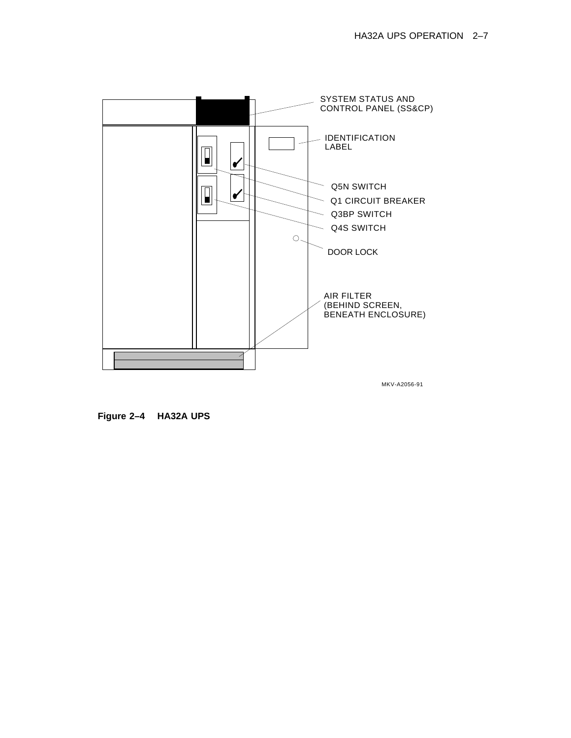

MKV-A2056-91

**Figure 2–4 HA32A UPS**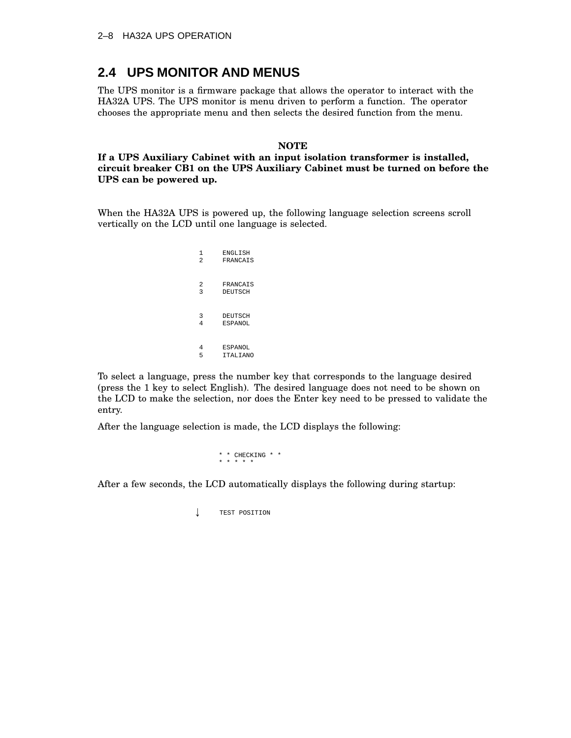# **2.4 UPS MONITOR AND MENUS**

The UPS monitor is a firmware package that allows the operator to interact with the HA32A UPS. The UPS monitor is menu driven to perform a function. The operator chooses the appropriate menu and then selects the desired function from the menu.

#### **NOTE**

**If a UPS Auxiliary Cabinet with an input isolation transformer is installed, circuit breaker CB1 on the UPS Auxiliary Cabinet must be turned on before the UPS can be powered up.**

When the HA32A UPS is powered up, the following language selection screens scroll vertically on the LCD until one language is selected.

> 1 ENGLISH<br>2 FRANCAI: 2 FRANCAIS 2 FRANCAIS<br>3 DEUTSCH **DEUTSCH** 3 DEUTSCH 4 ESPANOL 4 ESPANOL<br>5 ITALIAN 5 ITALIANO

To select a language, press the number key that corresponds to the language desired (press the 1 key to select English). The desired language does not need to be shown on the LCD to make the selection, nor does the Enter key need to be pressed to validate the entry.

After the language selection is made, the LCD displays the following:

\* \* CHECKING \* \* \* \* \* \* \*

After a few seconds, the LCD automatically displays the following during startup:

TEST POSITION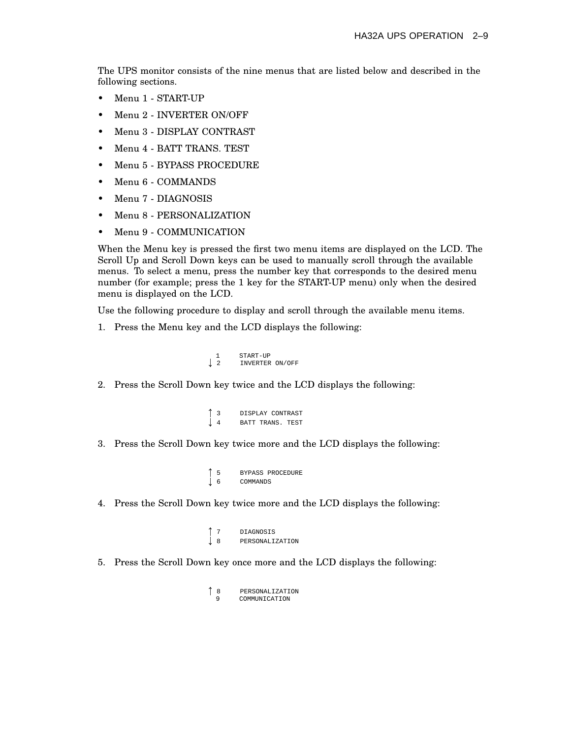The UPS monitor consists of the nine menus that are listed below and described in the following sections.

- Menu 1 START-UP
- Menu 2 INVERTER ON/OFF
- Menu 3 DISPLAY CONTRAST
- Menu 4 BATT TRANS. TEST
- Menu 5 BYPASS PROCEDURE
- Menu 6 COMMANDS
- Menu 7 DIAGNOSIS
- Menu 8 PERSONALIZATION
- Menu 9 COMMUNICATION

When the Menu key is pressed the first two menu items are displayed on the LCD. The Scroll Up and Scroll Down keys can be used to manually scroll through the available menus. To select a menu, press the number key that corresponds to the desired menu number (for example; press the 1 key for the START-UP menu) only when the desired menu is displayed on the LCD.

Use the following procedure to display and scroll through the available menu items.

1. Press the Menu key and the LCD displays the following:

 $\blacksquare$  . The contract of the contract of the contract of the contract of the contract of the contract of the contract of the contract of the contract of the contract of the contract of the contract of the contract of the

```
\begin{array}{ccc} 1 & \text{START-UP} \\ \downarrow & 2 & \text{INVERT-ER} \end{array}2 INVERTER ON/OFF
```
2. Press the Scroll Down key twice and the LCD displays the following:

```
\blacksquare . The contract of the contract of the contract of the contract of the contract of the contract of the contract of the contract of the contract of the contract of the contract of the contract of the contract of the 
                                              3 DISPLAY CONTRAST the contract of the contract of the contract of the contract of the contract of
                                             BATT TRANS. TEST
```
3. Press the Scroll Down key twice more and the LCD displays the following:

```
5 BYPASS PROCEDURE the contract of the contract of the contract of the contract of the contract of
                     6 COMMANDS
```
4. Press the Scroll Down key twice more and the LCD displays the following:

```
\int 7
        7 DIAGNOSIS \int 8
       8 PERSONALIZATION
```
5. Press the Scroll Down key once more and the LCD displays the following:

```
\begin{array}{c} 8 \\ 9 \end{array}8 PERSONALIZATION
            9 COMMUNICATION
```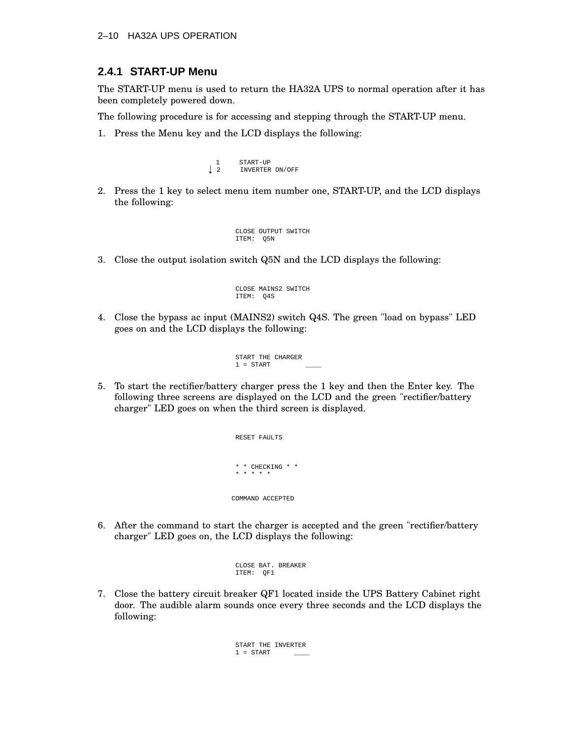### 2–10 HA32A UPS OPERATION

## **2.4.1 START-UP Menu**

The START-UP menu is used to return the HA32A UPS to normal operation after it has been completely powered down.

The following procedure is for accessing and stepping through the START-UP menu.

1. Press the Menu key and the LCD displays the following:

```
1 START-UP<br>
1 2 INVERTER
           2 INVERTER ON/OFF
```
2. Press the 1 key to select menu item number one, START-UP, and the LCD displays the following:

```
CLOSE OUTPUT SWITCH
ITEM: Q5N
```
3. Close the output isolation switch Q5N and the LCD displays the following:

```
CLOSE MAINS2 SWITCH
ITEM: Q4S
```
4. Close the bypass ac input (MAINS2) switch Q4S. The green "load on bypass" LED goes on and the LCD displays the following:

> START THE CHARGER  $1$  = START

5. To start the rectifier/battery charger press the 1 key and then the Enter key. The following three screens are displayed on the LCD and the green "rectifier/battery charger" LED goes on when the third screen is displayed.

> RESET FAULTS \* \* CHECKING \* \* \* \* \* \* \* COMMAND ACCEPTED

6. After the command to start the charger is accepted and the green "rectifier/battery charger" LED goes on, the LCD displays the following:

```
CLOSE BAT. BREAKER
ITEM: QF1
```
7. Close the battery circuit breaker QF1 located inside the UPS Battery Cabinet right door. The audible alarm sounds once every three seconds and the LCD displays the following:

> START THE INVERTER  $1 = \text{START}$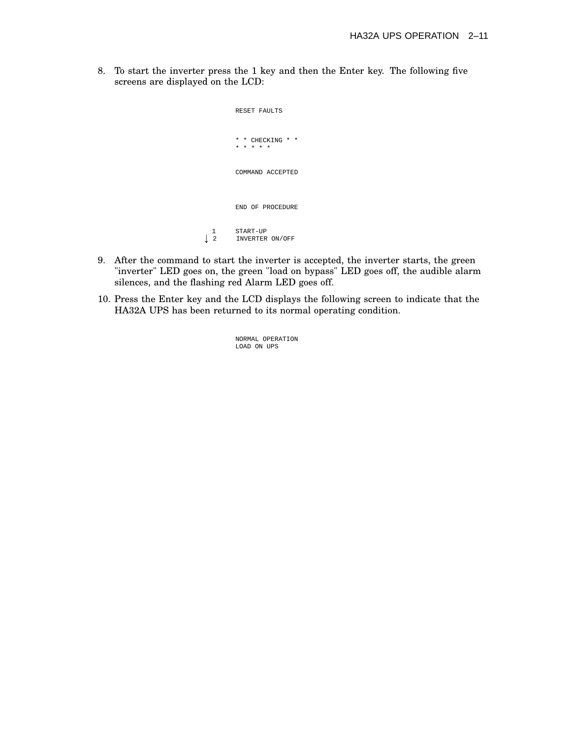8. To start the inverter press the 1 key and then the Enter key. The following five screens are displayed on the LCD:

```
RESET FAULTS
                        * * CHECKING * *
                          * * * * *
                        COMMAND ACCEPTED
                        END OF PROCEDURE
\begin{tabular}{cc} 1 & \multicolumn{2}{c}{} & \multicolumn{2}{c}{} & \multicolumn{2}{c}{} & \multicolumn{2}{c}{} \\ \downarrow & 2 & \multicolumn{2}{c}{} & \multicolumn{2}{c}{} & \multicolumn{2}{c}{} \\ \end{tabular}2 INVERTER ON/OFF
```
- 9. After the command to start the inverter is accepted, the inverter starts, the green "inverter" LED goes on, the green "load on bypass" LED goes off, the audible alarm silences, and the flashing red Alarm LED goes off.
- 10. Press the Enter key and the LCD displays the following screen to indicate that the HA32A UPS has been returned to its normal operating condition.

NORMAL OPERATION LOAD ON UPS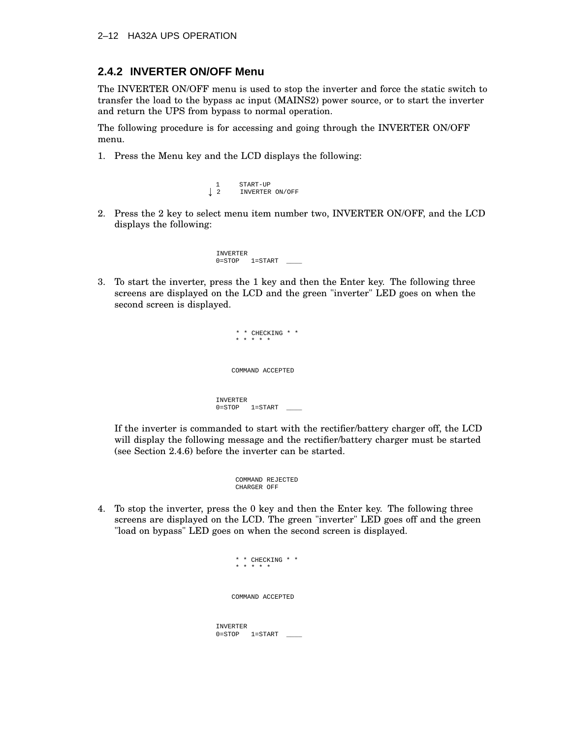## **2.4.2 INVERTER ON/OFF Menu**

The INVERTER ON/OFF menu is used to stop the inverter and force the static switch to transfer the load to the bypass ac input (MAINS2) power source, or to start the inverter and return the UPS from bypass to normal operation.

The following procedure is for accessing and going through the INVERTER ON/OFF menu.

1. Press the Menu key and the LCD displays the following:

```
1 START-UP<br>
1 2 INVERTER
         2 INVERTER ON/OFF
```
2. Press the 2 key to select menu item number two, INVERTER ON/OFF, and the LCD displays the following:

> INVERTER  $1=START$

3. To start the inverter, press the 1 key and then the Enter key. The following three screens are displayed on the LCD and the green "inverter" LED goes on when the second screen is displayed.

> \* \* CHECKING \* \* \* \* \* \* \* COMMAND ACCEPTED INVERTER  $0 =$ STOP  $1 =$ START

If the inverter is commanded to start with the rectifier/battery charger off, the LCD will display the following message and the rectifier/battery charger must be started (see Section 2.4.6) before the inverter can be started.

```
COMMAND REJECTED
CHARGER OFF
```
4. To stop the inverter, press the 0 key and then the Enter key. The following three screens are displayed on the LCD. The green "inverter" LED goes off and the green "load on bypass" LED goes on when the second screen is displayed.

```
* * CHECKING * *
     * * * * *
    COMMAND ACCEPTED
INVERTER
0 =STOP 1 =START \qquad
```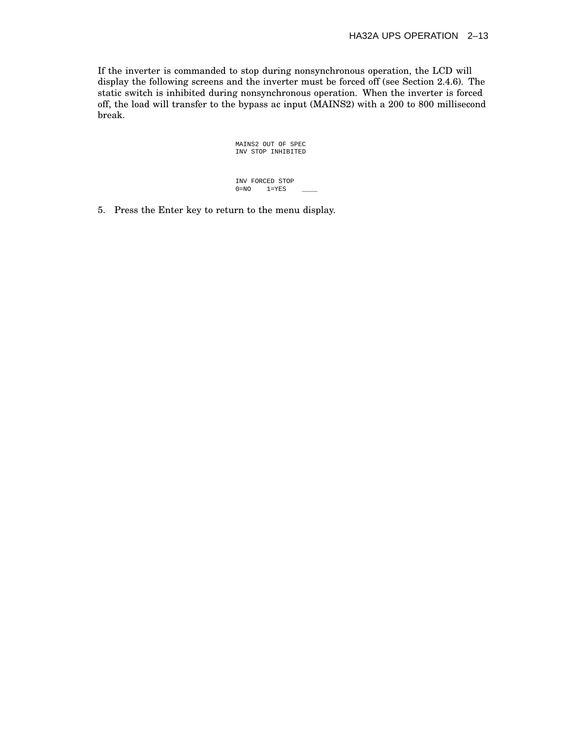If the inverter is commanded to stop during nonsynchronous operation, the LCD will display the following screens and the inverter must be forced off (see Section 2.4.6). The static switch is inhibited during nonsynchronous operation. When the inverter is forced off, the load will transfer to the bypass ac input (MAINS2) with a 200 to 800 millisecond break.

> MAINS2 OUT OF SPEC INV STOP INHIBITED

INV FORCED STOP<br>0=NO 1=YES  $1 = YES$ 

5. Press the Enter key to return to the menu display.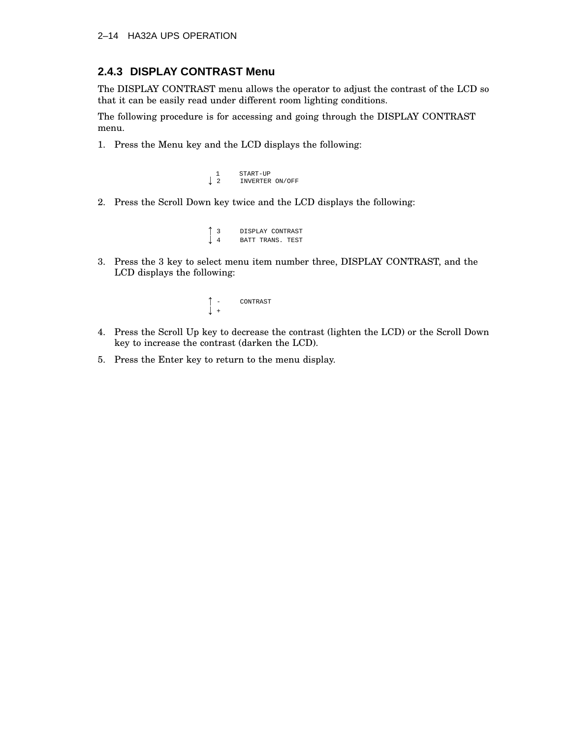## 2–14 HA32A UPS OPERATION

## **2.4.3 DISPLAY CONTRAST Menu**

The DISPLAY CONTRAST menu allows the operator to adjust the contrast of the LCD so that it can be easily read under different room lighting conditions.

The following procedure is for accessing and going through the DISPLAY CONTRAST menu.

1. Press the Menu key and the LCD displays the following:

```
\begin{array}{ccc}\n1 & & \text{START-UP} \\
2 & & \text{INVERT-ER}\n\end{array}2 INVERTER ON/OFF
```
2. Press the Scroll Down key twice and the LCD displays the following:

```
\blacksquare . The contract of the contract of the contract of the contract of the contract of the contract of the contract of the contract of the contract of the contract of the contract of the contract of the contract of the 
                                                     3 DISPLAY CONTRAST the contract of the contract of the contract of the contract of the contract of
                                                   BATT TRANS. TEST
```
3. Press the 3 key to select menu item number three, DISPLAY CONTRAST, and the LCD displays the following:

$$
\begin{array}{ccc}\n\uparrow & - & \text{CONTRAST} \\
\downarrow & + & \n\end{array}
$$

- 4. Press the Scroll Up key to decrease the contrast (lighten the LCD) or the Scroll Down key to increase the contrast (darken the LCD).
- 5. Press the Enter key to return to the menu display.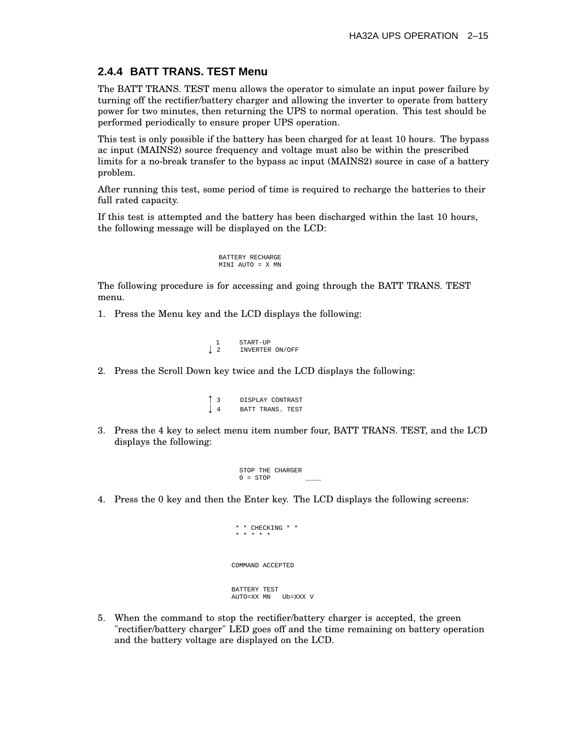# **2.4.4 BATT TRANS. TEST Menu**

The BATT TRANS. TEST menu allows the operator to simulate an input power failure by turning off the rectifier/battery charger and allowing the inverter to operate from battery power for two minutes, then returning the UPS to normal operation. This test should be performed periodically to ensure proper UPS operation.

This test is only possible if the battery has been charged for at least 10 hours. The bypass ac input (MAINS2) source frequency and voltage must also be within the prescribed limits for a no-break transfer to the bypass ac input (MAINS2) source in case of a battery problem.

After running this test, some period of time is required to recharge the batteries to their full rated capacity.

If this test is attempted and the battery has been discharged within the last 10 hours, the following message will be displayed on the LCD:

```
BATTERY RECHARGE
MINI AUTO = X MN
```
The following procedure is for accessing and going through the BATT TRANS. TEST menu.

1. Press the Menu key and the LCD displays the following:

```
1 START-UP<br>
1 2 INVERTER
        2 INVERTER ON/OFF
```
2. Press the Scroll Down key twice and the LCD displays the following:

|   | DISPLAY CONTRAST |  |  |
|---|------------------|--|--|
| Ţ | BATT TRANS, TEST |  |  |

3. Press the 4 key to select menu item number four, BATT TRANS. TEST, and the LCD displays the following:

```
STOP THE CHARGER
0 = STOP
```
4. Press the 0 key and then the Enter key. The LCD displays the following screens:

```
* * CHECKING * *
 * * * * *
COMMAND ACCEPTED
BATTERY TEST
AUTO=XX MN Ub=XXX V
```
5. When the command to stop the rectifier/battery charger is accepted, the green "rectifier/battery charger" LED goes off and the time remaining on battery operation and the battery voltage are displayed on the LCD.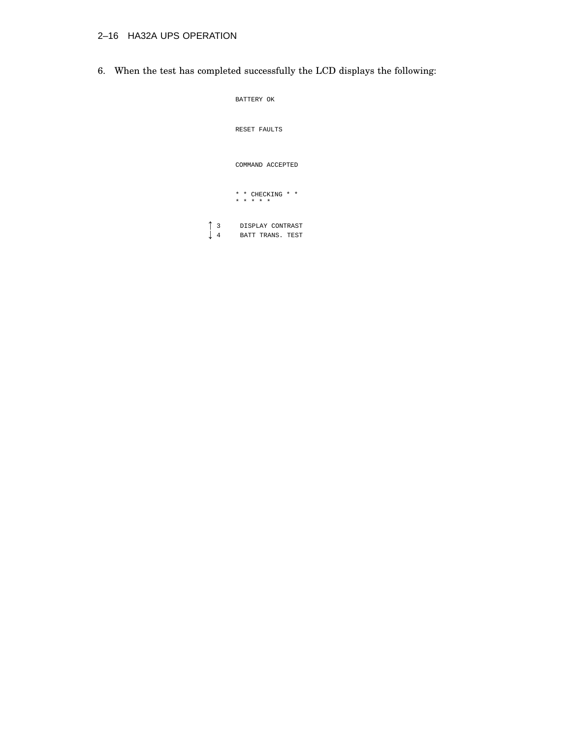# 2–16 HA32A UPS OPERATION

6. When the test has completed successfully the LCD displays the following:

|                                   | BATTERY OK                           |
|-----------------------------------|--------------------------------------|
|                                   | <b>RESET FAULTS</b>                  |
|                                   | COMMAND ACCEPTED                     |
|                                   | * * CHECKING * *<br>* * * * *        |
| $\overline{\mathbf{3}}$<br>↓<br>4 | DISPLAY CONTRAST<br>BATT TRANS. TEST |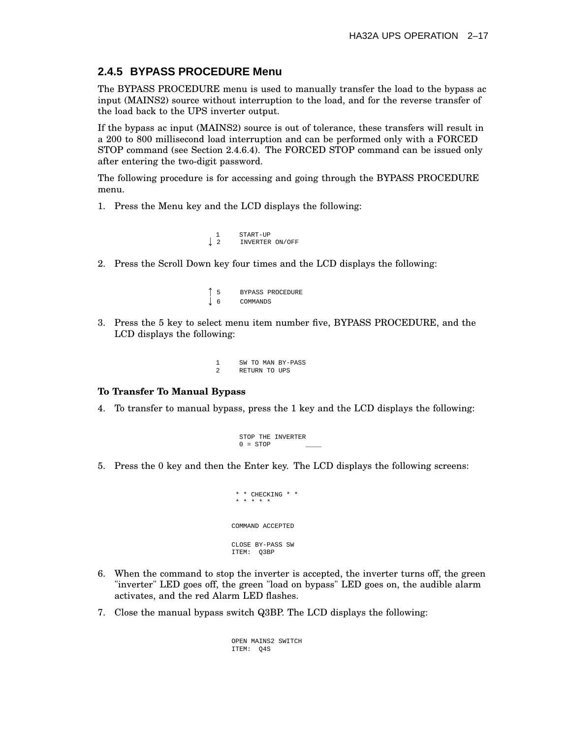### **2.4.5 BYPASS PROCEDURE Menu**

The BYPASS PROCEDURE menu is used to manually transfer the load to the bypass ac input (MAINS2) source without interruption to the load, and for the reverse transfer of the load back to the UPS inverter output.

If the bypass ac input (MAINS2) source is out of tolerance, these transfers will result in a 200 to 800 millisecond load interruption and can be performed only with a FORCED STOP command (see Section 2.4.6.4). The FORCED STOP command can be issued only after entering the two-digit password.

The following procedure is for accessing and going through the BYPASS PROCEDURE menu.

1. Press the Menu key and the LCD displays the following:

|   | START-UP        |  |
|---|-----------------|--|
| ↓ | INVERTER ON/OFF |  |

2. Press the Scroll Down key four times and the LCD displays the following:

```
155 BYPASS PROCEDURE \frac{1}{6}COMMANDS
```
3. Press the 5 key to select menu item number five, BYPASS PROCEDURE, and the LCD displays the following:

|   |               | SW TO MAN BY-PASS |
|---|---------------|-------------------|
| 2 | RETURN TO UPS |                   |

### **To Transfer To Manual Bypass**

4. To transfer to manual bypass, press the 1 key and the LCD displays the following:

```
STOP THE INVERTER
0 = STOP
```
5. Press the 0 key and then the Enter key. The LCD displays the following screens:

```
* * CHECKING * *
 * * * * *
COMMAND ACCEPTED
CLOSE BY-PASS SW
ITEM: Q3BP
```
- 6. When the command to stop the inverter is accepted, the inverter turns off, the green "inverter" LED goes off, the green "load on bypass" LED goes on, the audible alarm activates, and the red Alarm LED flashes.
- 7. Close the manual bypass switch Q3BP. The LCD displays the following:

OPEN MAINS2 SWITCH ITEM: Q4S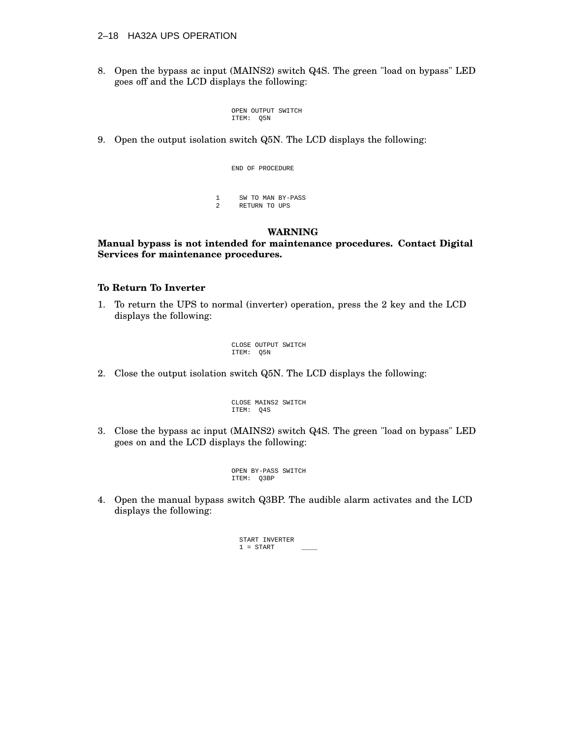### 2–18 HA32A UPS OPERATION

8. Open the bypass ac input (MAINS2) switch Q4S. The green "load on bypass" LED goes off and the LCD displays the following:

> OPEN OUTPUT SWITCH ITEM: Q5N

9. Open the output isolation switch Q5N. The LCD displays the following:

END OF PROCEDURE 1 SW TO MAN BY-PASS<br>2 RETURN TO UPS 2 RETURN TO UPS

### **WARNING**

### **Manual bypass is not intended for maintenance procedures. Contact Digital Services for maintenance procedures.**

### **To Return To Inverter**

1. To return the UPS to normal (inverter) operation, press the 2 key and the LCD displays the following:

> CLOSE OUTPUT SWITCH ITEM: Q5N

2. Close the output isolation switch Q5N. The LCD displays the following:

CLOSE MAINS2 SWITCH ITEM: Q4S

3. Close the bypass ac input (MAINS2) switch Q4S. The green "load on bypass" LED goes on and the LCD displays the following:

> OPEN BY-PASS SWITCH ITEM: Q3BP

4. Open the manual bypass switch Q3BP. The audible alarm activates and the LCD displays the following:

> START INVERTER  $1 = \text{STATE}$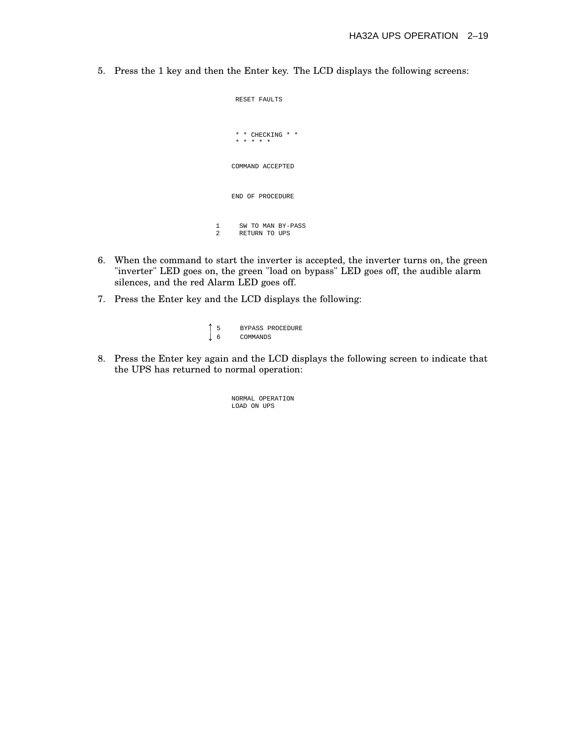5. Press the 1 key and then the Enter key. The LCD displays the following screens:

```
RESET FAULTS
      * * CHECKING * *
      * * * * *
    COMMAND ACCEPTED
    END OF PROCEDURE
1 SW TO MAN BY-PASS<br>2 RETURN TO UPS
      2 RETURN TO UPS
```
- 6. When the command to start the inverter is accepted, the inverter turns on, the green "inverter" LED goes on, the green "load on bypass" LED goes off, the audible alarm silences, and the red Alarm LED goes off.
- 7. Press the Enter key and the LCD displays the following:

```
155 BYPASS PROCEDURE \downarrow 6
          COMMANDS
```
8. Press the Enter key again and the LCD displays the following screen to indicate that the UPS has returned to normal operation:

> NORMAL OPERATION LOAD ON UPS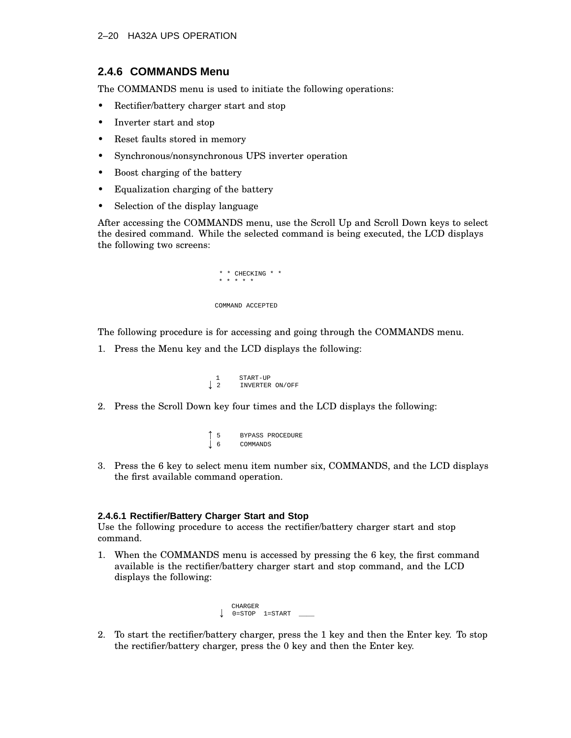### **2.4.6 COMMANDS Menu**

The COMMANDS menu is used to initiate the following operations:

- Rectifier/battery charger start and stop
- Inverter start and stop
- Reset faults stored in memory
- Synchronous/nonsynchronous UPS inverter operation
- Boost charging of the battery
- Equalization charging of the battery
- Selection of the display language

After accessing the COMMANDS menu, use the Scroll Up and Scroll Down keys to select the desired command. While the selected command is being executed, the LCD displays the following two screens:

```
* * CHECKING * *
 * * * * *
COMMAND ACCEPTED
```
The following procedure is for accessing and going through the COMMANDS menu.

1. Press the Menu key and the LCD displays the following:

```
\begin{array}{ccc} 1 & & \text{START-UP} \\ \downarrow & 2 & & \text{INVERT-ER} \end{array}2 INVERTER ON/OFF
```
- 2. Press the Scroll Down key four times and the LCD displays the following:
	- $\blacksquare$  . The contract of the contract of the contract of the contract of the contract of the contract of the contract of the contract of the contract of the contract of the contract of the contract of the contract of the 5 BYPASS PROCEDURE  $\blacksquare$  . The contract of the contract of the contract of the contract of the contract of the contract of the contract of the contract of the contract of the contract of the contract of the contract of the contract of the **COMMANDS**
- 3. Press the 6 key to select menu item number six, COMMANDS, and the LCD displays the first available command operation.

### **2.4.6.1 Rectifier/Battery Charger Start and Stop**

Use the following procedure to access the rectifier/battery charger start and stop command.

1. When the COMMANDS menu is accessed by pressing the 6 key, the first command available is the rectifier/battery charger start and stop command, and the LCD displays the following:

```
 CHARGER
\downarrow 0=STOP 1=START \lrcorner
```
2. To start the rectifier/battery charger, press the 1 key and then the Enter key. To stop the rectifier/battery charger, press the 0 key and then the Enter key.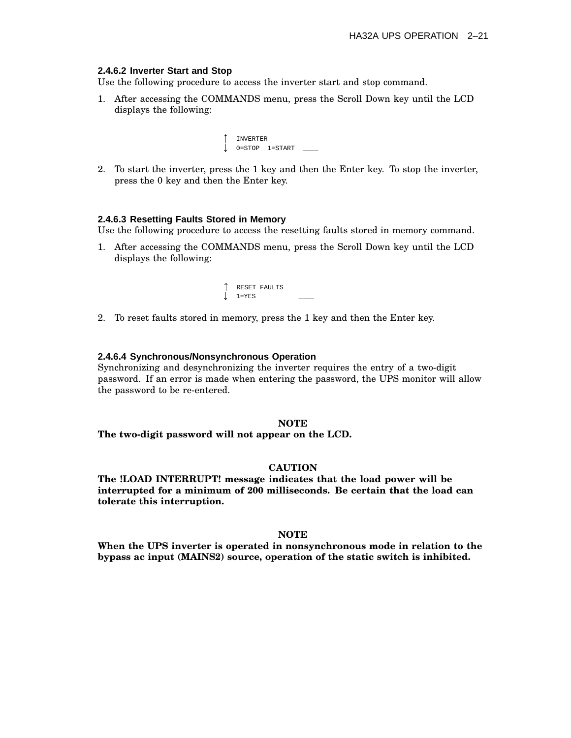### **2.4.6.2 Inverter Start and Stop**

Use the following procedure to access the inverter start and stop command.

1. After accessing the COMMANDS menu, press the Scroll Down key until the LCD displays the following:

| <b>INVERTER</b> |                    |  |
|-----------------|--------------------|--|
| $0 = STOP$      | $l = \text{START}$ |  |

2. To start the inverter, press the 1 key and then the Enter key. To stop the inverter, press the 0 key and then the Enter key.

#### **2.4.6.3 Resetting Faults Stored in Memory**

Use the following procedure to access the resetting faults stored in memory command.

1. After accessing the COMMANDS menu, press the Scroll Down key until the LCD displays the following:



2. To reset faults stored in memory, press the 1 key and then the Enter key.

### **2.4.6.4 Synchronous/Nonsynchronous Operation**

Synchronizing and desynchronizing the inverter requires the entry of a two-digit password. If an error is made when entering the password, the UPS monitor will allow the password to be re-entered.

#### **NOTE**

**The two-digit password will not appear on the LCD.**

### **CAUTION**

**The !LOAD INTERRUPT! message indicates that the load power will be interrupted for a minimum of 200 milliseconds. Be certain that the load can tolerate this interruption.**

#### **NOTE**

**When the UPS inverter is operated in nonsynchronous mode in relation to the bypass ac input (MAINS2) source, operation of the static switch is inhibited.**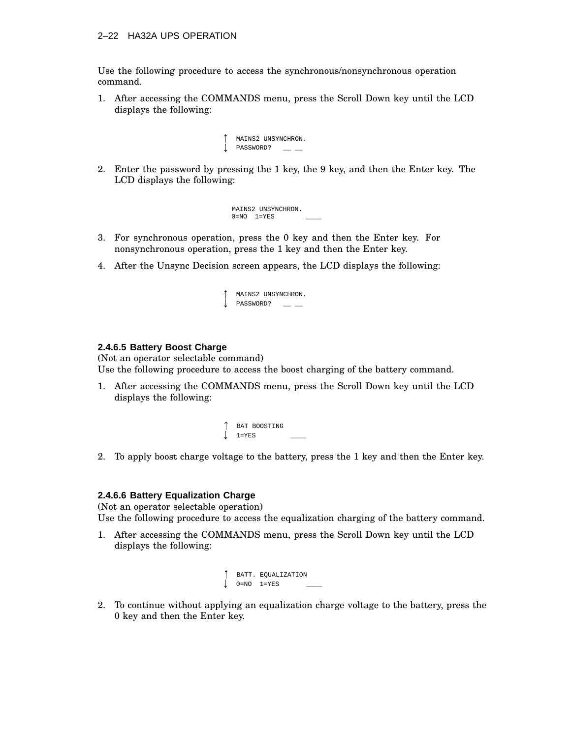### 2–22 HA32A UPS OPERATION

Use the following procedure to access the synchronous/nonsynchronous operation command.

1. After accessing the COMMANDS menu, press the Scroll Down key until the LCD displays the following:

```
\uparrow MAINS2 UNSYNCHRON.
\downarrow password? _ _ _
```
2. Enter the password by pressing the 1 key, the 9 key, and then the Enter key. The LCD displays the following:

> MAINS2 UNSYNCHRON.  $0=NO$   $1=YES$

- 3. For synchronous operation, press the 0 key and then the Enter key. For nonsynchronous operation, press the 1 key and then the Enter key.
- 4. After the Unsync Decision screen appears, the LCD displays the following:

| ↑ |           | MAINS2 UNSYNCHRON. |
|---|-----------|--------------------|
| 1 | PASSWORD? |                    |

### **2.4.6.5 Battery Boost Charge**

(Not an operator selectable command) Use the following procedure to access the boost charging of the battery command.

- 1. After accessing the COMMANDS menu, press the Scroll Down key until the LCD displays the following:
	- **BAT BOOSTING** 1=YES \_\_\_\_
- 2. To apply boost charge voltage to the battery, press the 1 key and then the Enter key.

### **2.4.6.6 Battery Equalization Charge**

(Not an operator selectable operation) Use the following procedure to access the equalization charging of the battery command.

1. After accessing the COMMANDS menu, press the Scroll Down key until the LCD displays the following:

```
BATT. EQUALIZATION

0=NO 1=YES ____
```
2. To continue without applying an equalization charge voltage to the battery, press the 0 key and then the Enter key.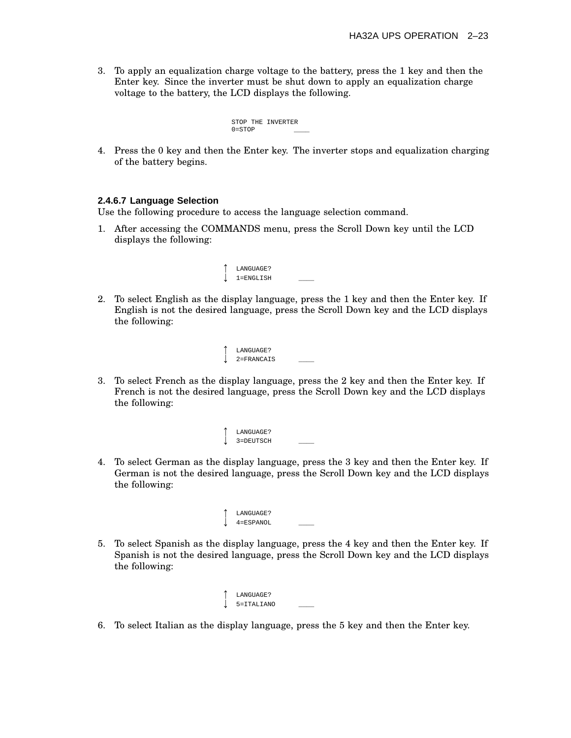3. To apply an equalization charge voltage to the battery, press the 1 key and then the Enter key. Since the inverter must be shut down to apply an equalization charge voltage to the battery, the LCD displays the following.

```
STOP THE INVERTER
0=STOP
```
4. Press the 0 key and then the Enter key. The inverter stops and equalization charging of the battery begins.

### **2.4.6.7 Language Selection**

Use the following procedure to access the language selection command.

1. After accessing the COMMANDS menu, press the Scroll Down key until the LCD displays the following:

| LANGUAGE?     |  |
|---------------|--|
| $1 =$ ENGLISH |  |

2. To select English as the display language, press the 1 key and then the Enter key. If English is not the desired language, press the Scroll Down key and the LCD displays the following:



3. To select French as the display language, press the 2 key and then the Enter key. If French is not the desired language, press the Scroll Down key and the LCD displays the following:

| LANGUAGE? |  |
|-----------|--|
| 3=DEUTSCH |  |

- 4. To select German as the display language, press the 3 key and then the Enter key. If German is not the desired language, press the Scroll Down key and the LCD displays the following:
	- <sup>1</sup> LANGUAGE? 4=ESPANOL \_\_\_\_
- 5. To select Spanish as the display language, press the 4 key and then the Enter key. If Spanish is not the desired language, press the Scroll Down key and the LCD displays the following:

| ተ | LANGUAGE?  |  |
|---|------------|--|
|   | 5=ITALIANO |  |

6. To select Italian as the display language, press the 5 key and then the Enter key.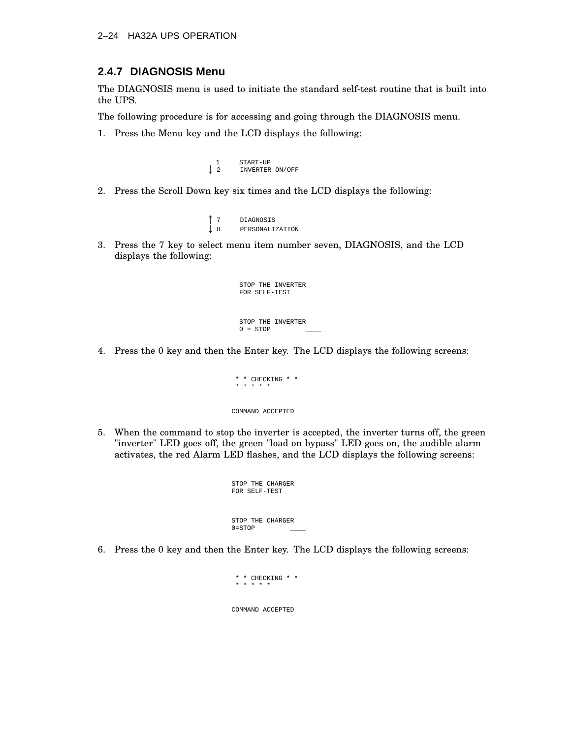### **2.4.7 DIAGNOSIS Menu**

The DIAGNOSIS menu is used to initiate the standard self-test routine that is built into the UPS.

The following procedure is for accessing and going through the DIAGNOSIS menu.

1. Press the Menu key and the LCD displays the following:

```
1 START-UP<br>
1 2 INVERTER
           2 INVERTER ON/OFF
```
2. Press the Scroll Down key six times and the LCD displays the following:

```
\blacksquare . The contract of the contract of the contract of the contract of the contract of the contract of the contract of the contract of the contract of the contract of the contract of the contract of the contract of the 
                                                            7 DIAGNOSIS the contract of the contract of the contract of the contract of the contract of
                                                         8 PERSONALIZATION
```
3. Press the 7 key to select menu item number seven, DIAGNOSIS, and the LCD displays the following:

```
STOP THE INVERTER
FOR SELF-TEST
STOP THE INVERTER
0 = STOP
```
4. Press the 0 key and then the Enter key. The LCD displays the following screens:

```
* * CHECKING * *
 * * * * *
COMMAND ACCEPTED
```
5. When the command to stop the inverter is accepted, the inverter turns off, the green "inverter" LED goes off, the green "load on bypass" LED goes on, the audible alarm activates, the red Alarm LED flashes, and the LCD displays the following screens:

```
STOP THE CHARGER
FOR SELF-TEST
STOP THE CHARGER
0 = STOP
```
6. Press the 0 key and then the Enter key. The LCD displays the following screens:

```
* * CHECKING * *
 * * * * *
COMMAND ACCEPTED
```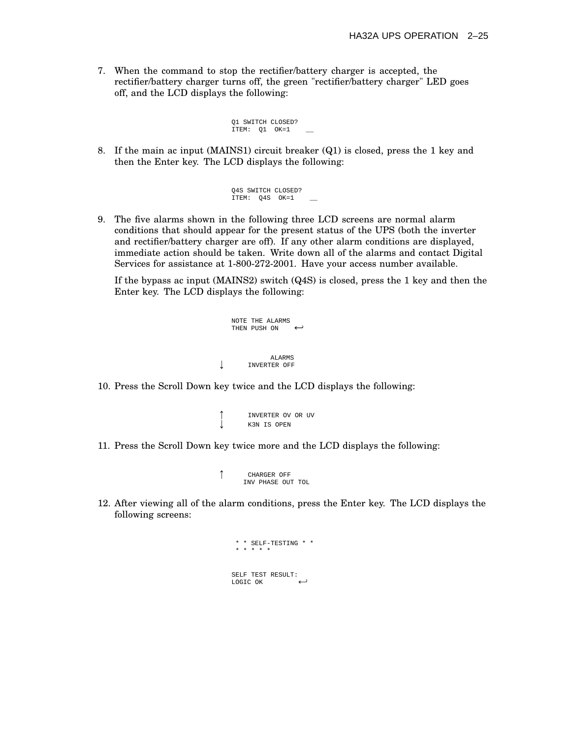7. When the command to stop the rectifier/battery charger is accepted, the rectifier/battery charger turns off, the green "rectifier/battery charger" LED goes off, and the LCD displays the following:

```
Q1 SWITCH CLOSED?
ITEM: Q1 OK=1
```
8. If the main ac input (MAINS1) circuit breaker (Q1) is closed, press the 1 key and then the Enter key. The LCD displays the following:

```
Q4S SWITCH CLOSED?
ITEM: Q4S OK=1
```
9. The five alarms shown in the following three LCD screens are normal alarm conditions that should appear for the present status of the UPS (both the inverter and rectifier/battery charger are off). If any other alarm conditions are displayed, immediate action should be taken. Write down all of the alarms and contact Digital Services for assistance at 1-800-272-2001. Have your access number available.

If the bypass ac input (MAINS2) switch (Q4S) is closed, press the 1 key and then the Enter key. The LCD displays the following:

```
NOTE THE ALARMS
   THEN PUSH ON \leftrightarrowALARMS<br>INVERTER OFF
        INVERTER OFF
```
10. Press the Scroll Down key twice and the LCD displays the following:

```

INVERTER OV OR UV 
K3N IS OPEN
```
11. Press the Scroll Down key twice more and the LCD displays the following:

```
\uparrowCHARGER OFF
       INV PHASE OUT TOL
```
12. After viewing all of the alarm conditions, press the Enter key. The LCD displays the following screens:

```
* * SELF-TESTING * *
 * * * * *
SELF TEST RESULT:
LOGIC OK
```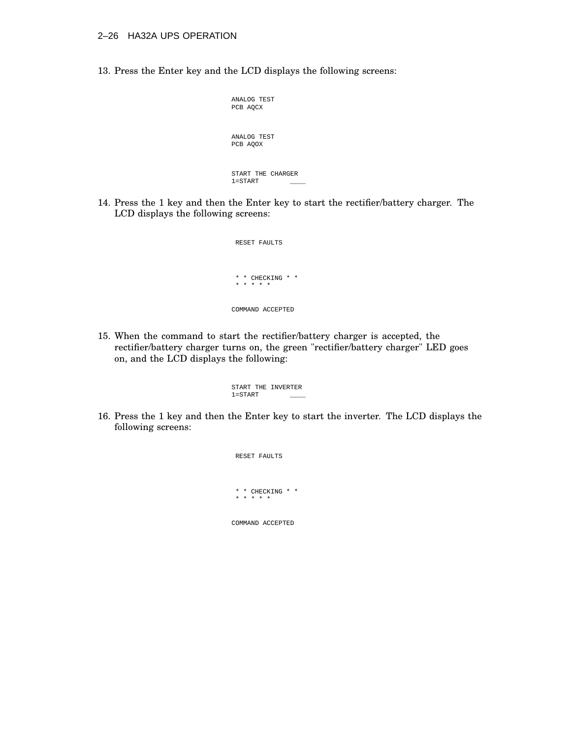13. Press the Enter key and the LCD displays the following screens:

| ANALOG TEST<br>PCB AOCX                 |
|-----------------------------------------|
| ANALOG TEST<br>PCB AOOX                 |
| START THE CHARGER<br>$1 = \text{START}$ |

14. Press the 1 key and then the Enter key to start the rectifier/battery charger. The LCD displays the following screens:

| RESET FAULTS                                    |
|-------------------------------------------------|
|                                                 |
| *<br>$\star$<br>$\star$<br>$\star$<br>CHECK TNG |
| $+$ $+$<br>$\rightarrow$<br>$\star$<br>÷        |
|                                                 |
| COMMAND ACCEPTED                                |

15. When the command to start the rectifier/battery charger is accepted, the rectifier/battery charger turns on, the green "rectifier/battery charger" LED goes on, and the LCD displays the following:

> START THE INVERTER  $1 = \text{START}$

16. Press the 1 key and then the Enter key to start the inverter. The LCD displays the following screens:

> RESET FAULTS \* \* CHECKING \* \* \* \* \* \* \* COMMAND ACCEPTED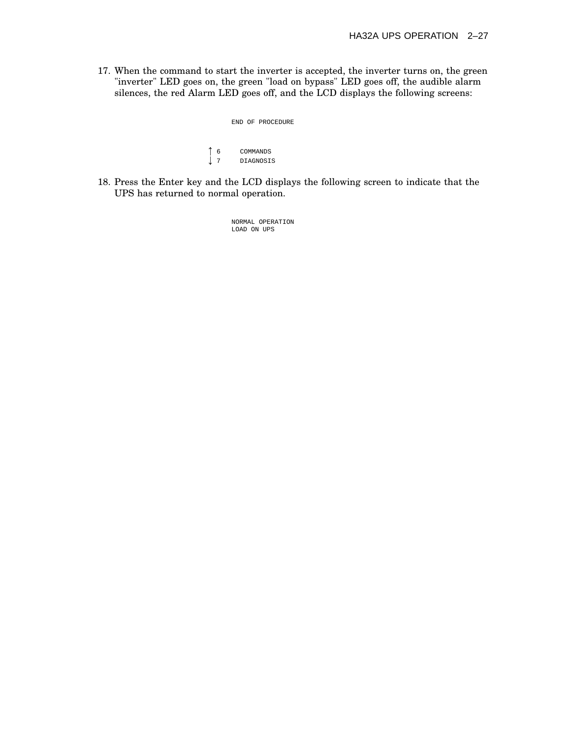17. When the command to start the inverter is accepted, the inverter turns on, the green "inverter" LED goes on, the green "load on bypass" LED goes off, the audible alarm silences, the red Alarm LED goes off, and the LCD displays the following screens:

> END OF PROCEDURE  $\blacksquare$  . The contract of the contract of the contract of the contract of the contract of the contract of the contract of the contract of the contract of the contract of the contract of the contract of the contract of the 6 COMMANDS  $\blacksquare$  . The contract of the contract of the contract of the contract of the contract of the contract of the contract of the contract of the contract of the contract of the contract of the contract of the contract of the 7 DIAGNOSIS

18. Press the Enter key and the LCD displays the following screen to indicate that the UPS has returned to normal operation.

> NORMAL OPERATION LOAD ON UPS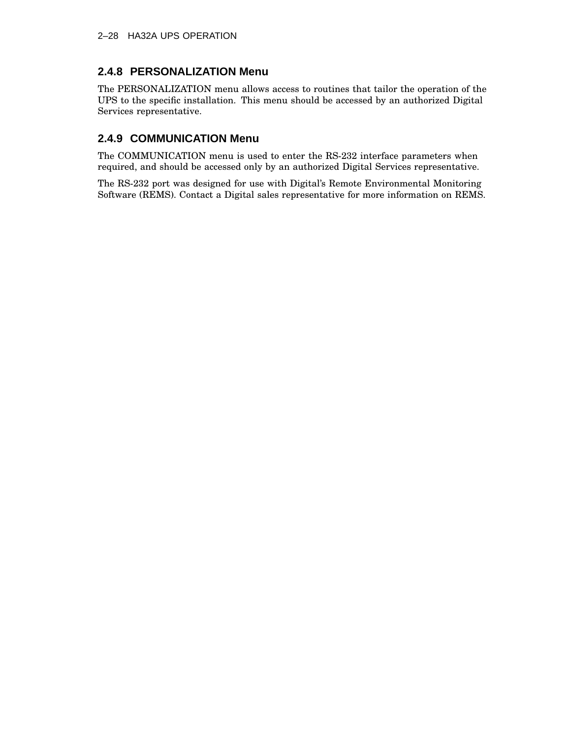# **2.4.8 PERSONALIZATION Menu**

The PERSONALIZATION menu allows access to routines that tailor the operation of the UPS to the specific installation. This menu should be accessed by an authorized Digital Services representative.

# **2.4.9 COMMUNICATION Menu**

The COMMUNICATION menu is used to enter the RS-232 interface parameters when required, and should be accessed only by an authorized Digital Services representative.

The RS-232 port was designed for use with Digital's Remote Environmental Monitoring Software (REMS). Contact a Digital sales representative for more information on REMS.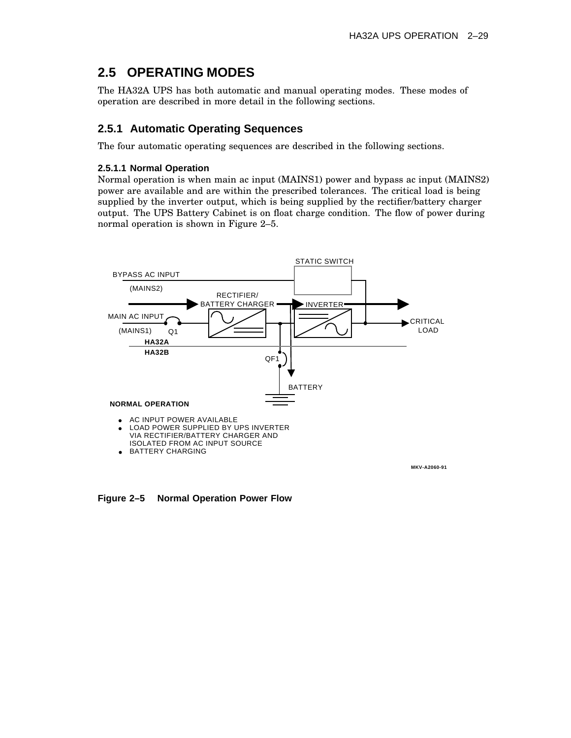# **2.5 OPERATING MODES**

The HA32A UPS has both automatic and manual operating modes. These modes of operation are described in more detail in the following sections.

### **2.5.1 Automatic Operating Sequences**

The four automatic operating sequences are described in the following sections.

### **2.5.1.1 Normal Operation**

Normal operation is when main ac input (MAINS1) power and bypass ac input (MAINS2) power are available and are within the prescribed tolerances. The critical load is being supplied by the inverter output, which is being supplied by the rectifier/battery charger output. The UPS Battery Cabinet is on float charge condition. The flow of power during normal operation is shown in Figure 2–5.



**Figure 2–5 Normal Operation Power Flow**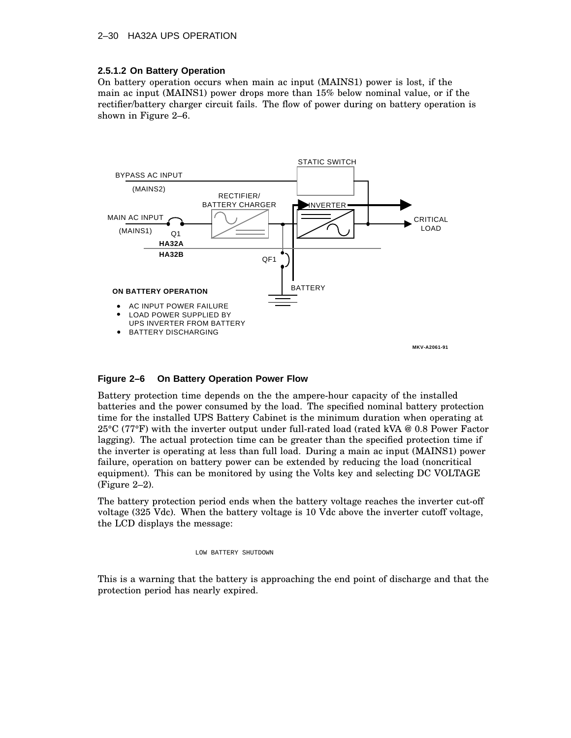### 2–30 HA32A UPS OPERATION

### **2.5.1.2 On Battery Operation**

On battery operation occurs when main ac input (MAINS1) power is lost, if the main ac input (MAINS1) power drops more than 15% below nominal value, or if the rectifier/battery charger circuit fails. The flow of power during on battery operation is shown in Figure 2–6.



### **Figure 2–6 On Battery Operation Power Flow**

Battery protection time depends on the the ampere-hour capacity of the installed batteries and the power consumed by the load. The specified nominal battery protection time for the installed UPS Battery Cabinet is the minimum duration when operating at 25°C (77°F) with the inverter output under full-rated load (rated kVA @ 0.8 Power Factor lagging). The actual protection time can be greater than the specified protection time if the inverter is operating at less than full load. During a main ac input (MAINS1) power failure, operation on battery power can be extended by reducing the load (noncritical equipment). This can be monitored by using the Volts key and selecting DC VOLTAGE (Figure 2–2).

The battery protection period ends when the battery voltage reaches the inverter cut-off voltage (325 Vdc). When the battery voltage is 10 Vdc above the inverter cutoff voltage, the LCD displays the message:

LOW BATTERY SHUTDOWN

This is a warning that the battery is approaching the end point of discharge and that the protection period has nearly expired.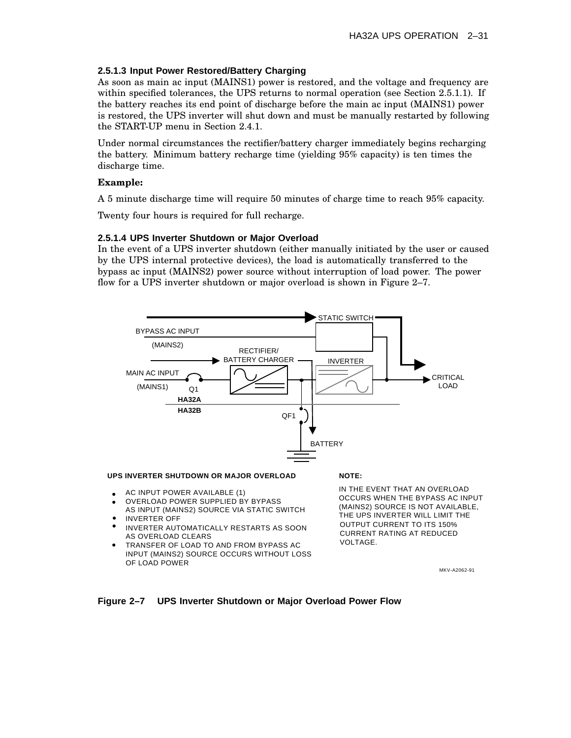### **2.5.1.3 Input Power Restored/Battery Charging**

As soon as main ac input (MAINS1) power is restored, and the voltage and frequency are within specified tolerances, the UPS returns to normal operation (see Section 2.5.1.1). If the battery reaches its end point of discharge before the main ac input (MAINS1) power is restored, the UPS inverter will shut down and must be manually restarted by following the START-UP menu in Section 2.4.1.

Under normal circumstances the rectifier/battery charger immediately begins recharging the battery. Minimum battery recharge time (yielding 95% capacity) is ten times the discharge time.

### **Example:**

A 5 minute discharge time will require 50 minutes of charge time to reach 95% capacity.

Twenty four hours is required for full recharge.

### **2.5.1.4 UPS Inverter Shutdown or Major Overload**

In the event of a UPS inverter shutdown (either manually initiated by the user or caused by the UPS internal protective devices), the load is automatically transferred to the bypass ac input (MAINS2) power source without interruption of load power. The power flow for a UPS inverter shutdown or major overload is shown in Figure 2–7.



- AS INPUT (MAINS2) SOURCE VIA STATIC SWITCH INVERTER OFF
- INVERTER AUTOMATICALLY RESTARTS AS SOON AS OVERLOAD CLEARS
- TRANSFER OF LOAD TO AND FROM BYPASS AC INPUT (MAINS2) SOURCE OCCURS WITHOUT LOSS OF LOAD POWER

MKV-A2062-91

THE UPS INVERTER WILL LIMIT THE OUTPUT CURRENT TO ITS 150% CURRENT RATING AT REDUCED

VOLTAGE.

### **Figure 2–7 UPS Inverter Shutdown or Major Overload Power Flow**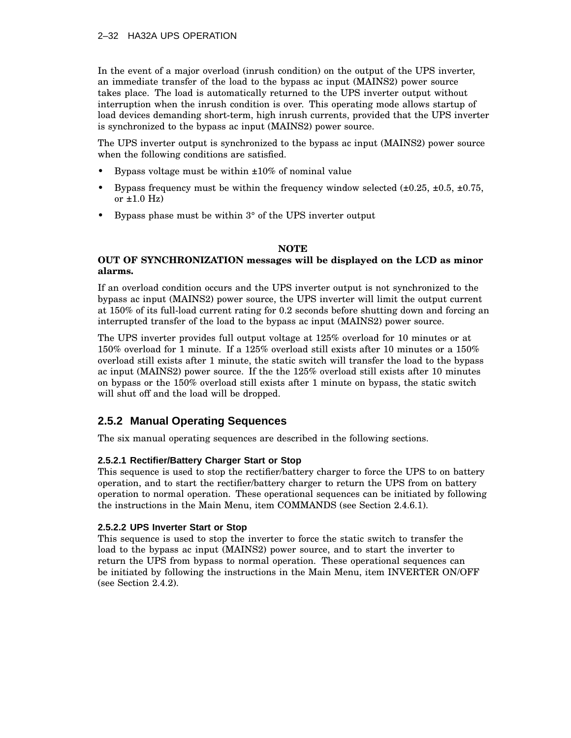### 2–32 HA32A UPS OPERATION

In the event of a major overload (inrush condition) on the output of the UPS inverter, an immediate transfer of the load to the bypass ac input (MAINS2) power source takes place. The load is automatically returned to the UPS inverter output without interruption when the inrush condition is over. This operating mode allows startup of load devices demanding short-term, high inrush currents, provided that the UPS inverter is synchronized to the bypass ac input (MAINS2) power source.

The UPS inverter output is synchronized to the bypass ac input (MAINS2) power source when the following conditions are satisfied.

- Bypass voltage must be within  $\pm 10\%$  of nominal value
- Bypass frequency must be within the frequency window selected  $(\pm 0.25, \pm 0.5, \pm 0.75, \pm 0.75)$ or  $\pm 1.0$  Hz)
- Bypass phase must be within 3° of the UPS inverter output

### **NOTE**

### **OUT OF SYNCHRONIZATION messages will be displayed on the LCD as minor alarms.**

If an overload condition occurs and the UPS inverter output is not synchronized to the bypass ac input (MAINS2) power source, the UPS inverter will limit the output current at 150% of its full-load current rating for 0.2 seconds before shutting down and forcing an interrupted transfer of the load to the bypass ac input (MAINS2) power source.

The UPS inverter provides full output voltage at 125% overload for 10 minutes or at 150% overload for 1 minute. If a 125% overload still exists after 10 minutes or a 150% overload still exists after 1 minute, the static switch will transfer the load to the bypass ac input (MAINS2) power source. If the the 125% overload still exists after 10 minutes on bypass or the 150% overload still exists after 1 minute on bypass, the static switch will shut off and the load will be dropped.

# **2.5.2 Manual Operating Sequences**

The six manual operating sequences are described in the following sections.

### **2.5.2.1 Rectifier/Battery Charger Start or Stop**

This sequence is used to stop the rectifier/battery charger to force the UPS to on battery operation, and to start the rectifier/battery charger to return the UPS from on battery operation to normal operation. These operational sequences can be initiated by following the instructions in the Main Menu, item COMMANDS (see Section 2.4.6.1).

### **2.5.2.2 UPS Inverter Start or Stop**

This sequence is used to stop the inverter to force the static switch to transfer the load to the bypass ac input (MAINS2) power source, and to start the inverter to return the UPS from bypass to normal operation. These operational sequences can be initiated by following the instructions in the Main Menu, item INVERTER ON/OFF (see Section 2.4.2).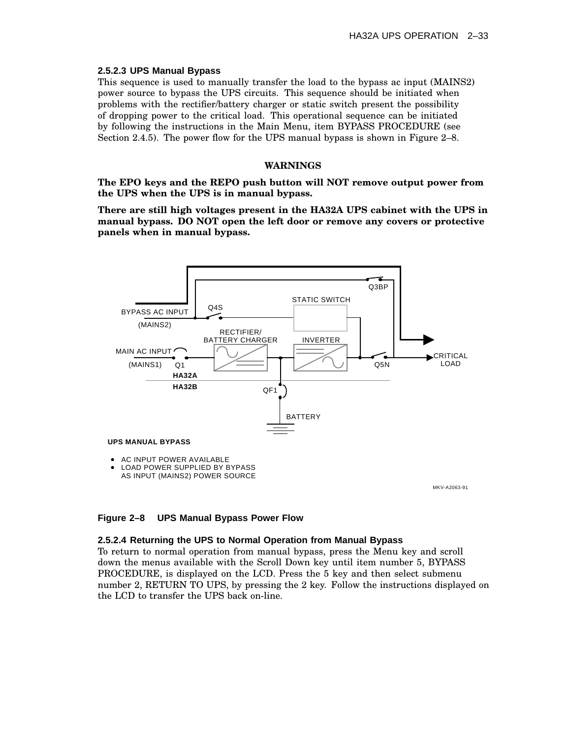### **2.5.2.3 UPS Manual Bypass**

This sequence is used to manually transfer the load to the bypass ac input (MAINS2) power source to bypass the UPS circuits. This sequence should be initiated when problems with the rectifier/battery charger or static switch present the possibility of dropping power to the critical load. This operational sequence can be initiated by following the instructions in the Main Menu, item BYPASS PROCEDURE (see Section 2.4.5). The power flow for the UPS manual bypass is shown in Figure 2–8.

### **WARNINGS**

**The EPO keys and the REPO push button will NOT remove output power from the UPS when the UPS is in manual bypass.**

**There are still high voltages present in the HA32A UPS cabinet with the UPS in manual bypass. DO NOT open the left door or remove any covers or protective panels when in manual bypass.**



MKV-A2063-91

### **Figure 2–8 UPS Manual Bypass Power Flow**

### **2.5.2.4 Returning the UPS to Normal Operation from Manual Bypass**

To return to normal operation from manual bypass, press the Menu key and scroll down the menus available with the Scroll Down key until item number 5, BYPASS PROCEDURE, is displayed on the LCD. Press the 5 key and then select submenu number 2, RETURN TO UPS, by pressing the 2 key. Follow the instructions displayed on the LCD to transfer the UPS back on-line.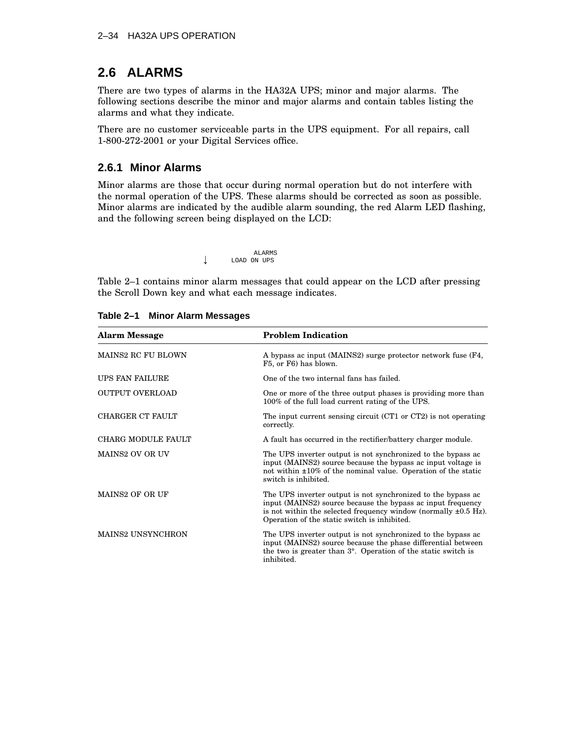# **2.6 ALARMS**

There are two types of alarms in the HA32A UPS; minor and major alarms. The following sections describe the minor and major alarms and contain tables listing the alarms and what they indicate.

There are no customer serviceable parts in the UPS equipment. For all repairs, call 1-800-272-2001 or your Digital Services office.

### **2.6.1 Minor Alarms**

Minor alarms are those that occur during normal operation but do not interfere with the normal operation of the UPS. These alarms should be corrected as soon as possible. Minor alarms are indicated by the audible alarm sounding, the red Alarm LED flashing, and the following screen being displayed on the LCD:

|   |             | <b>ALARMS</b> |  |
|---|-------------|---------------|--|
| J | LOAD ON UPS |               |  |

Table 2–1 contains minor alarm messages that could appear on the LCD after pressing the Scroll Down key and what each message indicates.

| <b>Alarm Message</b>      | <b>Problem Indication</b>                                                                                                                                                                                                                           |
|---------------------------|-----------------------------------------------------------------------------------------------------------------------------------------------------------------------------------------------------------------------------------------------------|
| <b>MAINS2 RC FU BLOWN</b> | A bypass ac input (MAINS2) surge protector network fuse (F4,<br>F5, or F6) has blown.                                                                                                                                                               |
| UPS FAN FAILURE           | One of the two internal fans has failed.                                                                                                                                                                                                            |
| <b>OUTPUT OVERLOAD</b>    | One or more of the three output phases is providing more than<br>100% of the full load current rating of the UPS.                                                                                                                                   |
| CHARGER CT FAULT          | The input current sensing circuit $(CT1$ or $CT2$ ) is not operating<br>correctly.                                                                                                                                                                  |
| CHARG MODULE FAULT        | A fault has occurred in the rectifier/battery charger module.                                                                                                                                                                                       |
| <b>MAINS2 OV OR UV</b>    | The UPS inverter output is not synchronized to the bypass ac<br>input (MAINS2) source because the bypass ac input voltage is<br>not within $\pm 10\%$ of the nominal value. Operation of the static<br>switch is inhibited.                         |
| <b>MAINS2 OF OR UF</b>    | The UPS inverter output is not synchronized to the bypass ac<br>input (MAINS2) source because the bypass ac input frequency<br>is not within the selected frequency window (normally $\pm 0.5$ Hz).<br>Operation of the static switch is inhibited. |
| <b>MAINS2 UNSYNCHRON</b>  | The UPS inverter output is not synchronized to the bypass ac<br>input (MAINS2) source because the phase differential between<br>the two is greater than 3°. Operation of the static switch is<br>inhibited.                                         |

### **Table 2–1 Minor Alarm Messages**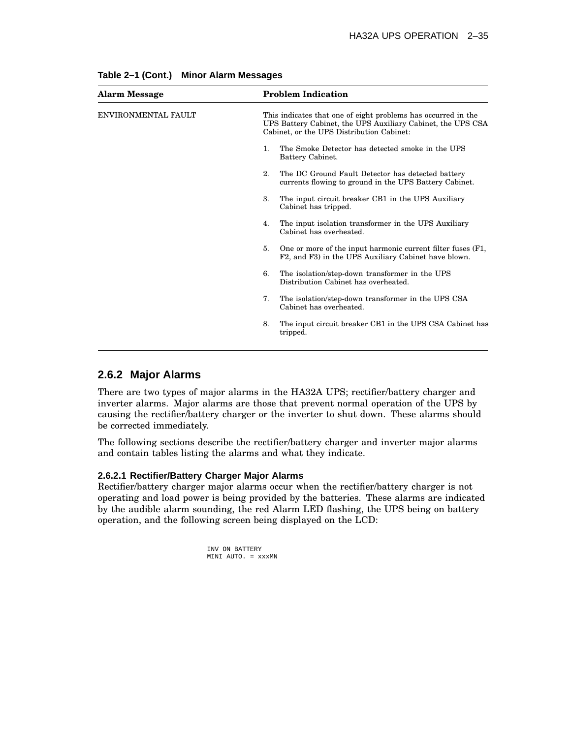| <b>Alarm Message</b> | <b>Problem Indication</b>                                                                                                                                                 |
|----------------------|---------------------------------------------------------------------------------------------------------------------------------------------------------------------------|
| ENVIRONMENTAL FAULT  | This indicates that one of eight problems has occurred in the<br>UPS Battery Cabinet, the UPS Auxiliary Cabinet, the UPS CSA<br>Cabinet, or the UPS Distribution Cabinet: |
|                      | The Smoke Detector has detected smoke in the UPS<br>1.<br>Battery Cabinet.                                                                                                |
|                      | 2.<br>The DC Ground Fault Detector has detected battery<br>currents flowing to ground in the UPS Battery Cabinet.                                                         |
|                      | 3.<br>The input circuit breaker CB1 in the UPS Auxiliary<br>Cabinet has tripped.                                                                                          |
|                      | The input isolation transformer in the UPS Auxiliary<br>4.<br>Cabinet has overheated.                                                                                     |
|                      | One or more of the input harmonic current filter fuses (F1,<br>5.<br>F2, and F3) in the UPS Auxiliary Cabinet have blown.                                                 |
|                      | The isolation/step-down transformer in the UPS<br>6.<br>Distribution Cabinet has overheated.                                                                              |
|                      | The isolation/step-down transformer in the UPS CSA<br>7.<br>Cabinet has overheated.                                                                                       |
|                      | The input circuit breaker CB1 in the UPS CSA Cabinet has<br>8.<br>tripped.                                                                                                |
|                      |                                                                                                                                                                           |

**Table 2–1 (Cont.) Minor Alarm Messages**

### **2.6.2 Major Alarms**

There are two types of major alarms in the HA32A UPS; rectifier/battery charger and inverter alarms. Major alarms are those that prevent normal operation of the UPS by causing the rectifier/battery charger or the inverter to shut down. These alarms should be corrected immediately.

The following sections describe the rectifier/battery charger and inverter major alarms and contain tables listing the alarms and what they indicate.

### **2.6.2.1 Rectifier/Battery Charger Major Alarms**

Rectifier/battery charger major alarms occur when the rectifier/battery charger is not operating and load power is being provided by the batteries. These alarms are indicated by the audible alarm sounding, the red Alarm LED flashing, the UPS being on battery operation, and the following screen being displayed on the LCD:

> INV ON BATTERY MINI AUTO. = xxxMN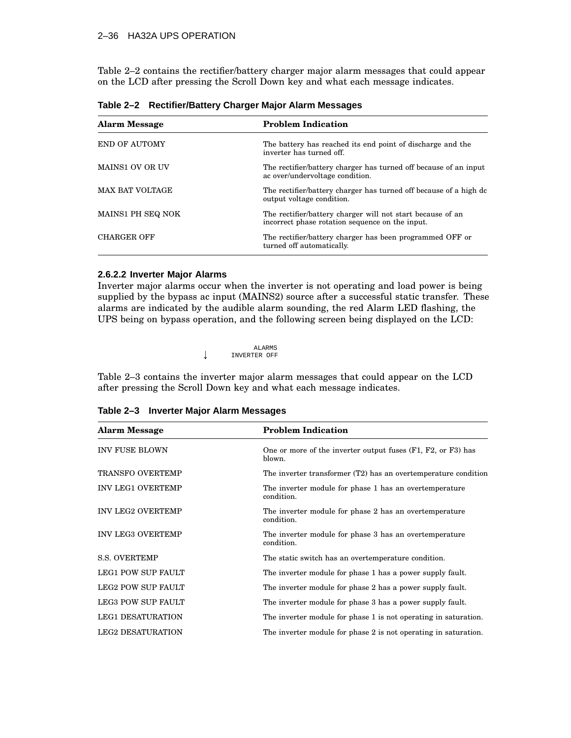### 2–36 HA32A UPS OPERATION

Table 2–2 contains the rectifier/battery charger major alarm messages that could appear on the LCD after pressing the Scroll Down key and what each message indicates.

| <b>Alarm Message</b>   | <b>Problem Indication</b>                                                                                     |
|------------------------|---------------------------------------------------------------------------------------------------------------|
| END OF AUTOMY          | The battery has reached its end point of discharge and the<br>inverter has turned off.                        |
| <b>MAINS1 OV OR UV</b> | The rectifier/battery charger has turned off because of an input<br>ac over/undervoltage condition.           |
| <b>MAX BAT VOLTAGE</b> | The rectifier/battery charger has turned off because of a high dc<br>output voltage condition.                |
| MAINS1 PH SEQ NOK      | The rectifier/battery charger will not start because of an<br>incorrect phase rotation sequence on the input. |
| <b>CHARGER OFF</b>     | The rectifier/battery charger has been programmed OFF or<br>turned off automatically.                         |

**Table 2–2 Rectifier/Battery Charger Major Alarm Messages**

### **2.6.2.2 Inverter Major Alarms**

Inverter major alarms occur when the inverter is not operating and load power is being supplied by the bypass ac input (MAINS2) source after a successful static transfer. These alarms are indicated by the audible alarm sounding, the red Alarm LED flashing, the UPS being on bypass operation, and the following screen being displayed on the LCD:

> ALARMS<br>INVERTER OFF INVERTER OFF

Table 2–3 contains the inverter major alarm messages that could appear on the LCD after pressing the Scroll Down key and what each message indicates.

| <b>Alarm Message</b>      | <b>Problem Indication</b>                                              |
|---------------------------|------------------------------------------------------------------------|
| <b>INV FUSE BLOWN</b>     | One or more of the inverter output fuses (F1, F2, or F3) has<br>blown. |
| <b>TRANSFO OVERTEMP</b>   | The inverter transformer (T2) has an overtemperature condition         |
| <b>INV LEG1 OVERTEMP</b>  | The inverter module for phase 1 has an overtemperature<br>condition.   |
| <b>INV LEG2 OVERTEMP</b>  | The inverter module for phase 2 has an overtemperature<br>condition.   |
| <b>INV LEG3 OVERTEMP</b>  | The inverter module for phase 3 has an overtemperature<br>condition.   |
| <b>S.S. OVERTEMP</b>      | The static switch has an overtemperature condition.                    |
| <b>LEG1 POW SUP FAULT</b> | The inverter module for phase 1 has a power supply fault.              |
| LEG2 POW SUP FAULT        | The inverter module for phase 2 has a power supply fault.              |
| LEG3 POW SUP FAULT        | The inverter module for phase 3 has a power supply fault.              |
| <b>LEG1 DESATURATION</b>  | The inverter module for phase 1 is not operating in saturation.        |
| <b>LEG2 DESATURATION</b>  | The inverter module for phase 2 is not operating in saturation.        |

**Table 2–3 Inverter Major Alarm Messages**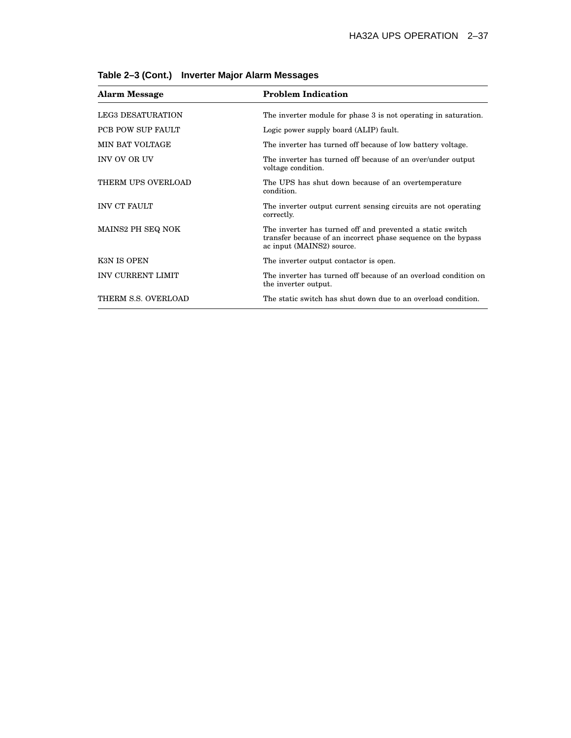| <b>Alarm Message</b>     | <b>Problem Indication</b>                                                                                                                               |
|--------------------------|---------------------------------------------------------------------------------------------------------------------------------------------------------|
| <b>LEG3 DESATURATION</b> | The inverter module for phase 3 is not operating in saturation.                                                                                         |
| <b>PCB POW SUP FAULT</b> | Logic power supply board (ALIP) fault.                                                                                                                  |
| MIN BAT VOLTAGE          | The inverter has turned off because of low battery voltage.                                                                                             |
| <b>INV OV OR UV</b>      | The inverter has turned off because of an over/under output<br>voltage condition.                                                                       |
| THERM UPS OVERLOAD       | The UPS has shut down because of an overtemperature<br>condition.                                                                                       |
| <b>INV CT FAULT</b>      | The inverter output current sensing circuits are not operating<br>correctly.                                                                            |
| MAINS2 PH SEQ NOK        | The inverter has turned off and prevented a static switch<br>transfer because of an incorrect phase sequence on the bypass<br>ac input (MAINS2) source. |
| K3N IS OPEN              | The inverter output contactor is open.                                                                                                                  |
| <b>INV CURRENT LIMIT</b> | The inverter has turned off because of an overload condition on<br>the inverter output.                                                                 |
| THERM S.S. OVERLOAD      | The static switch has shut down due to an overload condition.                                                                                           |

**Table 2–3 (Cont.) Inverter Major Alarm Messages**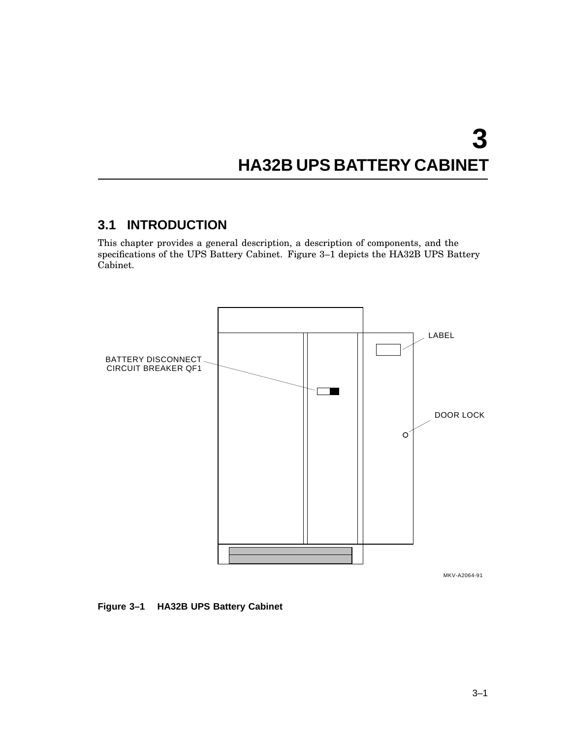# **3 HA32B UPS BATTERY CABINET**

# **3.1 INTRODUCTION**

This chapter provides a general description, a description of components, and the specifications of the UPS Battery Cabinet. Figure 3–1 depicts the HA32B UPS Battery Cabinet.



MKV-A2064-91

**Figure 3–1 HA32B UPS Battery Cabinet**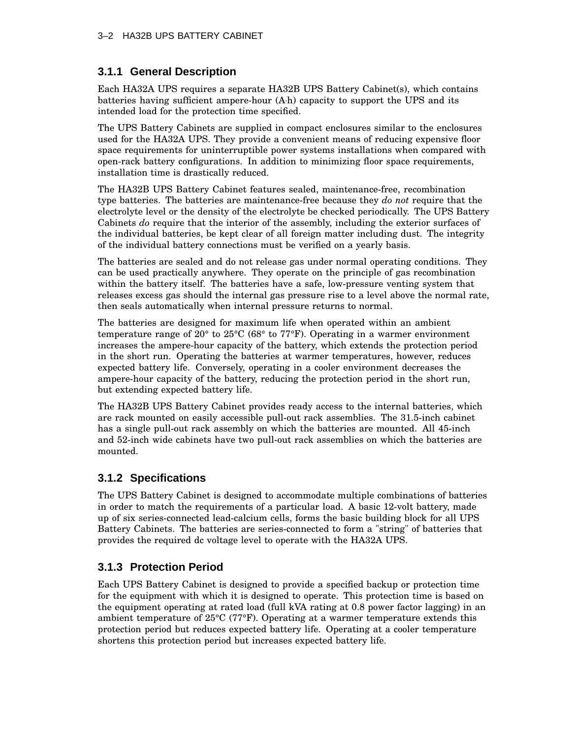# **3.1.1 General Description**

Each HA32A UPS requires a separate HA32B UPS Battery Cabinet(s), which contains batteries having sufficient ampere-hour (A h) capacity to support the UPS and its intended load for the protection time specified.

The UPS Battery Cabinets are supplied in compact enclosures similar to the enclosures used for the HA32A UPS. They provide a convenient means of reducing expensive floor space requirements for uninterruptible power systems installations when compared with open-rack battery configurations. In addition to minimizing floor space requirements, installation time is drastically reduced.

The HA32B UPS Battery Cabinet features sealed, maintenance-free, recombination type batteries. The batteries are maintenance-free because they *do not* require that the electrolyte level or the density of the electrolyte be checked periodically. The UPS Battery Cabinets *do* require that the interior of the assembly, including the exterior surfaces of the individual batteries, be kept clear of all foreign matter including dust. The integrity of the individual battery connections must be verified on a yearly basis.

The batteries are sealed and do not release gas under normal operating conditions. They can be used practically anywhere. They operate on the principle of gas recombination within the battery itself. The batteries have a safe, low-pressure venting system that releases excess gas should the internal gas pressure rise to a level above the normal rate, then seals automatically when internal pressure returns to normal.

The batteries are designed for maximum life when operated within an ambient temperature range of 20° to 25°C (68° to 77°F). Operating in a warmer environment increases the ampere-hour capacity of the battery, which extends the protection period in the short run. Operating the batteries at warmer temperatures, however, reduces expected battery life. Conversely, operating in a cooler environment decreases the ampere-hour capacity of the battery, reducing the protection period in the short run, but extending expected battery life.

The HA32B UPS Battery Cabinet provides ready access to the internal batteries, which are rack mounted on easily accessible pull-out rack assemblies. The 31.5-inch cabinet has a single pull-out rack assembly on which the batteries are mounted. All 45-inch and 52-inch wide cabinets have two pull-out rack assemblies on which the batteries are mounted.

# **3.1.2 Specifications**

The UPS Battery Cabinet is designed to accommodate multiple combinations of batteries in order to match the requirements of a particular load. A basic 12-volt battery, made up of six series-connected lead-calcium cells, forms the basic building block for all UPS Battery Cabinets. The batteries are series-connected to form a "string" of batteries that provides the required dc voltage level to operate with the HA32A UPS.

# **3.1.3 Protection Period**

Each UPS Battery Cabinet is designed to provide a specified backup or protection time for the equipment with which it is designed to operate. This protection time is based on the equipment operating at rated load (full kVA rating at 0.8 power factor lagging) in an ambient temperature of 25°C (77°F). Operating at a warmer temperature extends this protection period but reduces expected battery life. Operating at a cooler temperature shortens this protection period but increases expected battery life.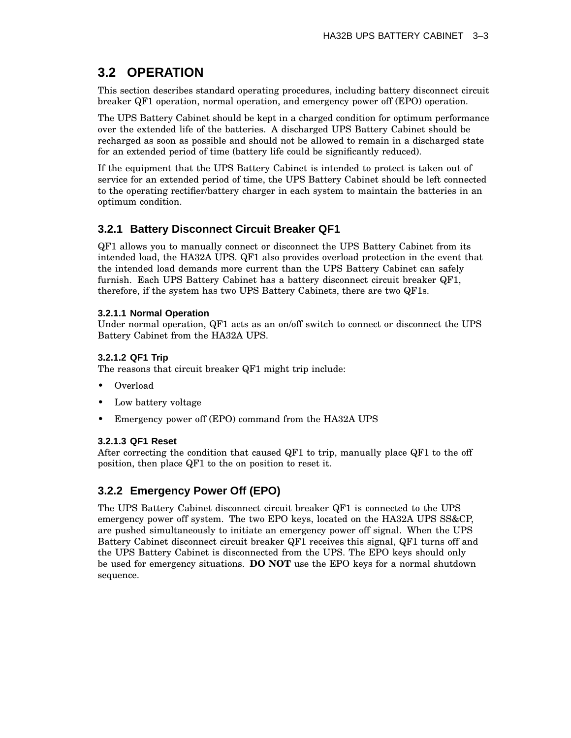# **3.2 OPERATION**

This section describes standard operating procedures, including battery disconnect circuit breaker QF1 operation, normal operation, and emergency power off (EPO) operation.

The UPS Battery Cabinet should be kept in a charged condition for optimum performance over the extended life of the batteries. A discharged UPS Battery Cabinet should be recharged as soon as possible and should not be allowed to remain in a discharged state for an extended period of time (battery life could be significantly reduced).

If the equipment that the UPS Battery Cabinet is intended to protect is taken out of service for an extended period of time, the UPS Battery Cabinet should be left connected to the operating rectifier/battery charger in each system to maintain the batteries in an optimum condition.

# **3.2.1 Battery Disconnect Circuit Breaker QF1**

QF1 allows you to manually connect or disconnect the UPS Battery Cabinet from its intended load, the HA32A UPS. QF1 also provides overload protection in the event that the intended load demands more current than the UPS Battery Cabinet can safely furnish. Each UPS Battery Cabinet has a battery disconnect circuit breaker QF1, therefore, if the system has two UPS Battery Cabinets, there are two QF1s.

### **3.2.1.1 Normal Operation**

Under normal operation, QF1 acts as an on/off switch to connect or disconnect the UPS Battery Cabinet from the HA32A UPS.

### **3.2.1.2 QF1 Trip**

The reasons that circuit breaker QF1 might trip include:

- Overload
- Low battery voltage
- Emergency power off (EPO) command from the HA32A UPS

### **3.2.1.3 QF1 Reset**

After correcting the condition that caused QF1 to trip, manually place QF1 to the off position, then place QF1 to the on position to reset it.

# **3.2.2 Emergency Power Off (EPO)**

The UPS Battery Cabinet disconnect circuit breaker QF1 is connected to the UPS emergency power off system. The two EPO keys, located on the HA32A UPS SS&CP, are pushed simultaneously to initiate an emergency power off signal. When the UPS Battery Cabinet disconnect circuit breaker QF1 receives this signal, QF1 turns off and the UPS Battery Cabinet is disconnected from the UPS. The EPO keys should only be used for emergency situations. **DO NOT** use the EPO keys for a normal shutdown sequence.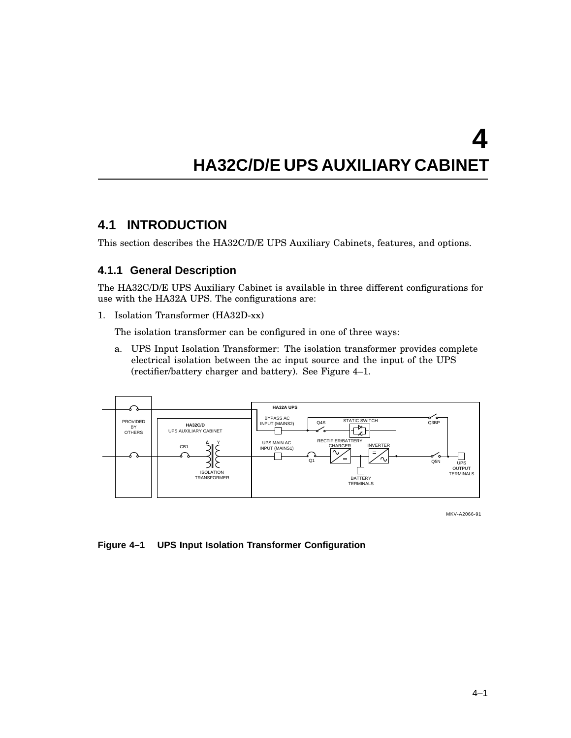# **HA32C/D/E UPS AUXILIARY CABINET**

# **4.1 INTRODUCTION**

This section describes the HA32C/D/E UPS Auxiliary Cabinets, features, and options.

### **4.1.1 General Description**

The HA32C/D/E UPS Auxiliary Cabinet is available in three different configurations for use with the HA32A UPS. The configurations are:

1. Isolation Transformer (HA32D-xx)

The isolation transformer can be configured in one of three ways:

a. UPS Input Isolation Transformer: The isolation transformer provides complete electrical isolation between the ac input source and the input of the UPS (rectifier/battery charger and battery). See Figure 4–1.



MKV-A2066-91

### **Figure 4–1 UPS Input Isolation Transformer Configuration**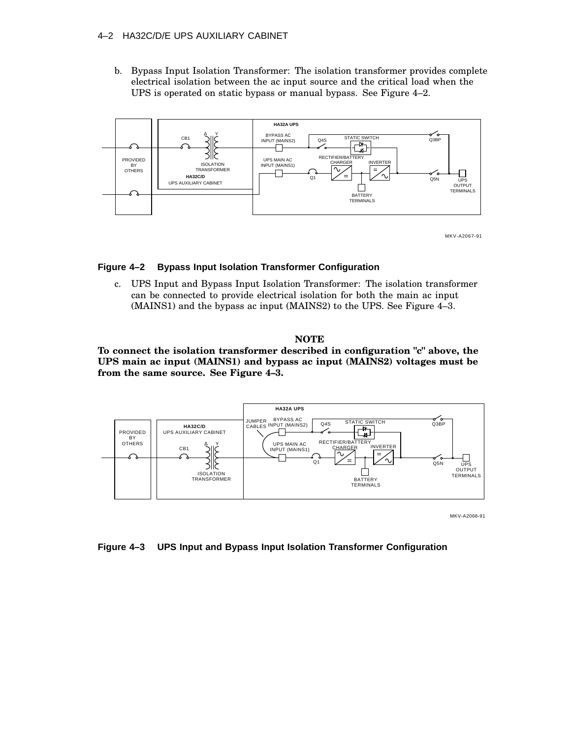### 4–2 HA32C/D/E UPS AUXILIARY CABINET

b. Bypass Input Isolation Transformer: The isolation transformer provides complete electrical isolation between the ac input source and the critical load when the UPS is operated on static bypass or manual bypass. See Figure 4–2.



MKV-A2067-91

### **Figure 4–2 Bypass Input Isolation Transformer Configuration**

c. UPS Input and Bypass Input Isolation Transformer: The isolation transformer can be connected to provide electrical isolation for both the main ac input (MAINS1) and the bypass ac input (MAINS2) to the UPS. See Figure 4–3.

### **NOTE**

**To connect the isolation transformer described in configuration "c" above, the UPS main ac input (MAINS1) and bypass ac input (MAINS2) voltages must be from the same source. See Figure 4–3.**



MKV-A2068-91

#### **Figure 4–3 UPS Input and Bypass Input Isolation Transformer Configuration**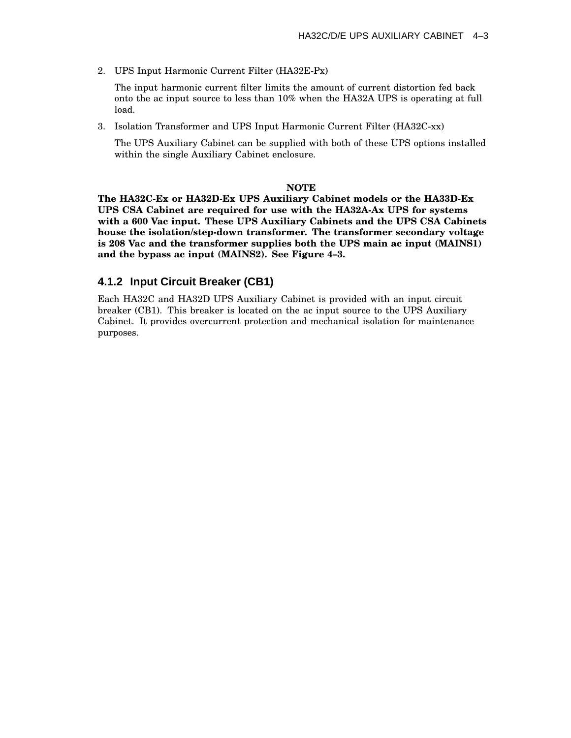2. UPS Input Harmonic Current Filter (HA32E-Px)

The input harmonic current filter limits the amount of current distortion fed back onto the ac input source to less than 10% when the HA32A UPS is operating at full load.

3. Isolation Transformer and UPS Input Harmonic Current Filter (HA32C-xx)

The UPS Auxiliary Cabinet can be supplied with both of these UPS options installed within the single Auxiliary Cabinet enclosure.

### **NOTE**

**The HA32C-Ex or HA32D-Ex UPS Auxiliary Cabinet models or the HA33D-Ex UPS CSA Cabinet are required for use with the HA32A-Ax UPS for systems with a 600 Vac input. These UPS Auxiliary Cabinets and the UPS CSA Cabinets house the isolation/step-down transformer. The transformer secondary voltage is 208 Vac and the transformer supplies both the UPS main ac input (MAINS1) and the bypass ac input (MAINS2). See Figure 4–3.**

### **4.1.2 Input Circuit Breaker (CB1)**

Each HA32C and HA32D UPS Auxiliary Cabinet is provided with an input circuit breaker (CB1). This breaker is located on the ac input source to the UPS Auxiliary Cabinet. It provides overcurrent protection and mechanical isolation for maintenance purposes.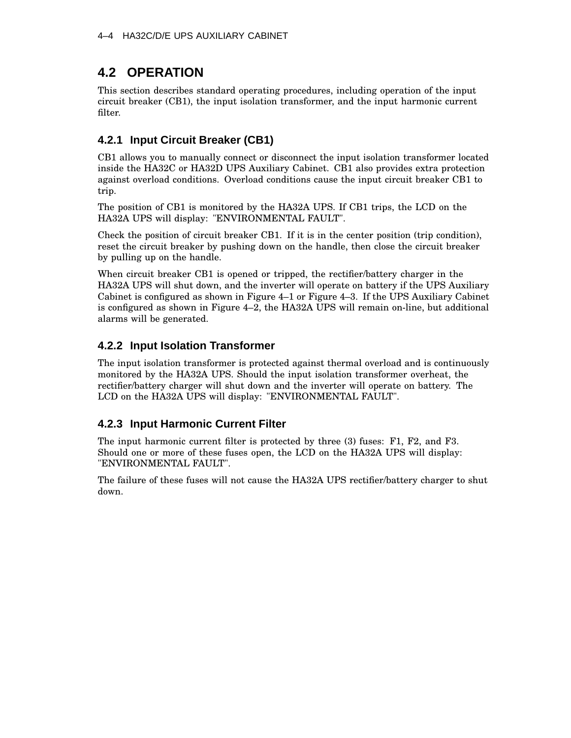# **4.2 OPERATION**

This section describes standard operating procedures, including operation of the input circuit breaker (CB1), the input isolation transformer, and the input harmonic current filter.

# **4.2.1 Input Circuit Breaker (CB1)**

CB1 allows you to manually connect or disconnect the input isolation transformer located inside the HA32C or HA32D UPS Auxiliary Cabinet. CB1 also provides extra protection against overload conditions. Overload conditions cause the input circuit breaker CB1 to trip.

The position of CB1 is monitored by the HA32A UPS. If CB1 trips, the LCD on the HA32A UPS will display: "ENVIRONMENTAL FAULT".

Check the position of circuit breaker CB1. If it is in the center position (trip condition), reset the circuit breaker by pushing down on the handle, then close the circuit breaker by pulling up on the handle.

When circuit breaker CB1 is opened or tripped, the rectifier/battery charger in the HA32A UPS will shut down, and the inverter will operate on battery if the UPS Auxiliary Cabinet is configured as shown in Figure 4–1 or Figure 4–3. If the UPS Auxiliary Cabinet is configured as shown in Figure 4–2, the HA32A UPS will remain on-line, but additional alarms will be generated.

# **4.2.2 Input Isolation Transformer**

The input isolation transformer is protected against thermal overload and is continuously monitored by the HA32A UPS. Should the input isolation transformer overheat, the rectifier/battery charger will shut down and the inverter will operate on battery. The LCD on the HA32A UPS will display: "ENVIRONMENTAL FAULT".

# **4.2.3 Input Harmonic Current Filter**

The input harmonic current filter is protected by three (3) fuses: F1, F2, and F3. Should one or more of these fuses open, the LCD on the HA32A UPS will display: "ENVIRONMENTAL FAULT".

The failure of these fuses will not cause the HA32A UPS rectifier/battery charger to shut down.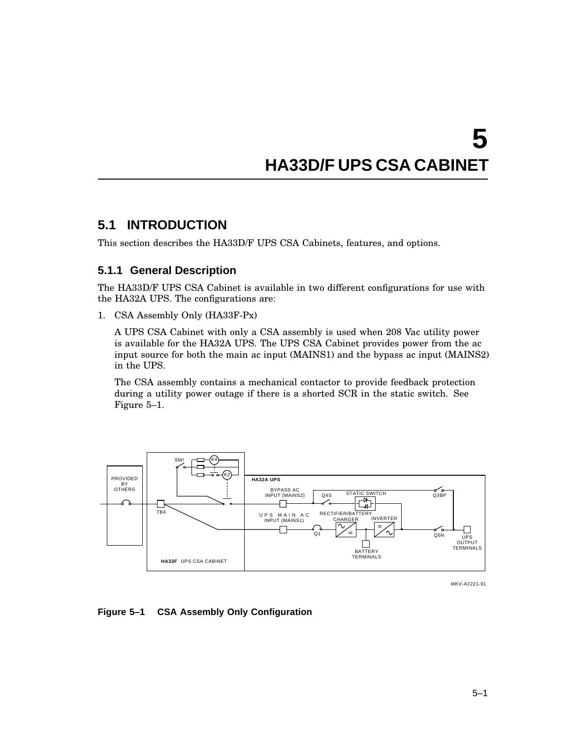# **5 HA33D/F UPS CSA CABINET**

# **5.1 INTRODUCTION**

This section describes the HA33D/F UPS CSA Cabinets, features, and options.

### **5.1.1 General Description**

The HA33D/F UPS CSA Cabinet is available in two different configurations for use with the HA32A UPS. The configurations are:

1. CSA Assembly Only (HA33F-Px)

A UPS CSA Cabinet with only a CSA assembly is used when 208 Vac utility power is available for the HA32A UPS. The UPS CSA Cabinet provides power from the ac input source for both the main ac input (MAINS1) and the bypass ac input (MAINS2) in the UPS.

The CSA assembly contains a mechanical contactor to provide feedback protection during a utility power outage if there is a shorted SCR in the static switch. See Figure 5–1.



MKV-A2221-91

### **Figure 5–1 CSA Assembly Only Configuration**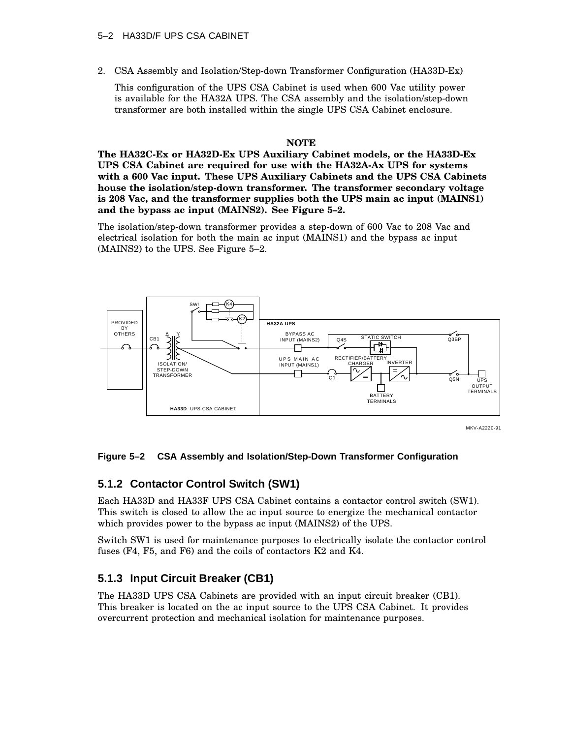### 5–2 HA33D/F UPS CSA CABINET

2. CSA Assembly and Isolation/Step-down Transformer Configuration (HA33D-Ex)

This configuration of the UPS CSA Cabinet is used when 600 Vac utility power is available for the HA32A UPS. The CSA assembly and the isolation/step-down transformer are both installed within the single UPS CSA Cabinet enclosure.

### **NOTE**

**The HA32C-Ex or HA32D-Ex UPS Auxiliary Cabinet models, or the HA33D-Ex UPS CSA Cabinet are required for use with the HA32A-Ax UPS for systems with a 600 Vac input. These UPS Auxiliary Cabinets and the UPS CSA Cabinets house the isolation/step-down transformer. The transformer secondary voltage is 208 Vac, and the transformer supplies both the UPS main ac input (MAINS1) and the bypass ac input (MAINS2). See Figure 5–2.**

The isolation/step-down transformer provides a step-down of 600 Vac to 208 Vac and electrical isolation for both the main ac input (MAINS1) and the bypass ac input (MAINS2) to the UPS. See Figure 5–2.



MKV-A2220-91

### **Figure 5–2 CSA Assembly and Isolation/Step-Down Transformer Configuration**

### **5.1.2 Contactor Control Switch (SW1)**

Each HA33D and HA33F UPS CSA Cabinet contains a contactor control switch (SW1). This switch is closed to allow the ac input source to energize the mechanical contactor which provides power to the bypass ac input (MAINS2) of the UPS.

Switch SW1 is used for maintenance purposes to electrically isolate the contactor control fuses (F4, F5, and F6) and the coils of contactors K2 and K4.

### **5.1.3 Input Circuit Breaker (CB1)**

The HA33D UPS CSA Cabinets are provided with an input circuit breaker (CB1). This breaker is located on the ac input source to the UPS CSA Cabinet. It provides overcurrent protection and mechanical isolation for maintenance purposes.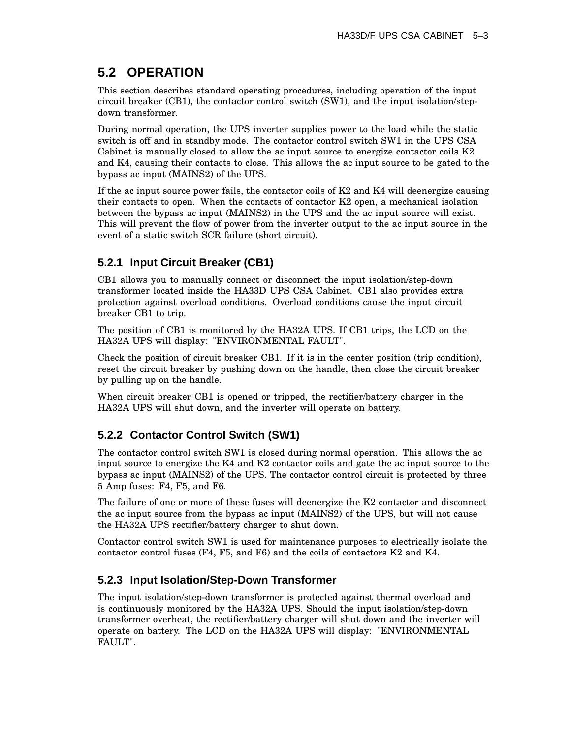# **5.2 OPERATION**

This section describes standard operating procedures, including operation of the input circuit breaker (CB1), the contactor control switch (SW1), and the input isolation/stepdown transformer.

During normal operation, the UPS inverter supplies power to the load while the static switch is off and in standby mode. The contactor control switch SW1 in the UPS CSA Cabinet is manually closed to allow the ac input source to energize contactor coils K2 and K4, causing their contacts to close. This allows the ac input source to be gated to the bypass ac input (MAINS2) of the UPS.

If the ac input source power fails, the contactor coils of  $K2$  and  $K4$  will deenergize causing their contacts to open. When the contacts of contactor K2 open, a mechanical isolation between the bypass ac input (MAINS2) in the UPS and the ac input source will exist. This will prevent the flow of power from the inverter output to the ac input source in the event of a static switch SCR failure (short circuit).

# **5.2.1 Input Circuit Breaker (CB1)**

CB1 allows you to manually connect or disconnect the input isolation/step-down transformer located inside the HA33D UPS CSA Cabinet. CB1 also provides extra protection against overload conditions. Overload conditions cause the input circuit breaker CB1 to trip.

The position of CB1 is monitored by the HA32A UPS. If CB1 trips, the LCD on the HA32A UPS will display: "ENVIRONMENTAL FAULT".

Check the position of circuit breaker CB1. If it is in the center position (trip condition), reset the circuit breaker by pushing down on the handle, then close the circuit breaker by pulling up on the handle.

When circuit breaker CB1 is opened or tripped, the rectifier/battery charger in the HA32A UPS will shut down, and the inverter will operate on battery.

# **5.2.2 Contactor Control Switch (SW1)**

The contactor control switch SW1 is closed during normal operation. This allows the ac input source to energize the K4 and K2 contactor coils and gate the ac input source to the bypass ac input (MAINS2) of the UPS. The contactor control circuit is protected by three 5 Amp fuses: F4, F5, and F6.

The failure of one or more of these fuses will deenergize the K2 contactor and disconnect the ac input source from the bypass ac input (MAINS2) of the UPS, but will not cause the HA32A UPS rectifier/battery charger to shut down.

Contactor control switch SW1 is used for maintenance purposes to electrically isolate the contactor control fuses (F4, F5, and F6) and the coils of contactors K2 and K4.

# **5.2.3 Input Isolation/Step-Down Transformer**

The input isolation/step-down transformer is protected against thermal overload and is continuously monitored by the HA32A UPS. Should the input isolation/step-down transformer overheat, the rectifier/battery charger will shut down and the inverter will operate on battery. The LCD on the HA32A UPS will display: "ENVIRONMENTAL FAULT".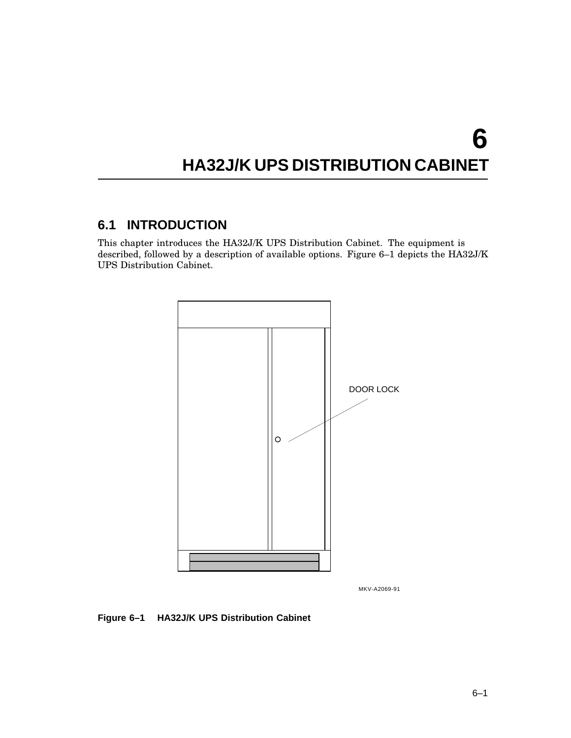# **6 HA32J/K UPS DISTRIBUTION CABINET**

# **6.1 INTRODUCTION**

This chapter introduces the HA32J/K UPS Distribution Cabinet. The equipment is described, followed by a description of available options. Figure 6–1 depicts the HA32J/K UPS Distribution Cabinet.



MKV-A2069-91

### **Figure 6–1 HA32J/K UPS Distribution Cabinet**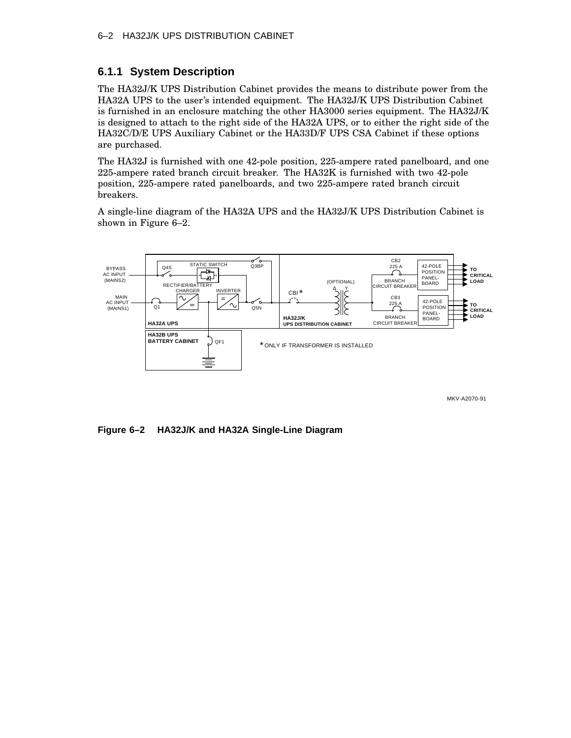# **6.1.1 System Description**

The HA32J/K UPS Distribution Cabinet provides the means to distribute power from the HA32A UPS to the user's intended equipment. The HA32J/K UPS Distribution Cabinet is furnished in an enclosure matching the other HA3000 series equipment. The HA32J/K is designed to attach to the right side of the HA32A UPS, or to either the right side of the HA32C/D/E UPS Auxiliary Cabinet or the HA33D/F UPS CSA Cabinet if these options are purchased.

The HA32J is furnished with one 42-pole position, 225-ampere rated panelboard, and one 225-ampere rated branch circuit breaker. The HA32K is furnished with two 42-pole position, 225-ampere rated panelboards, and two 225-ampere rated branch circuit breakers.

A single-line diagram of the HA32A UPS and the HA32J/K UPS Distribution Cabinet is shown in Figure 6–2.



MKV-A2070-91

**Figure 6–2 HA32J/K and HA32A Single-Line Diagram**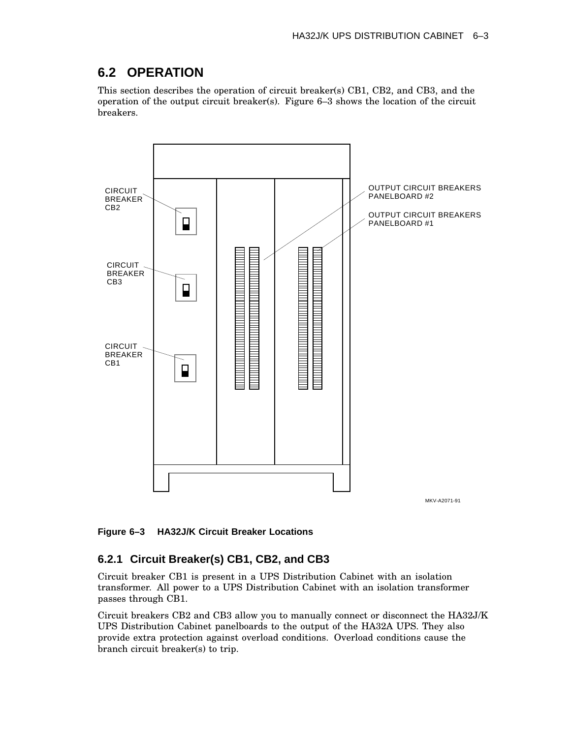## **6.2 OPERATION**

This section describes the operation of circuit breaker(s) CB1, CB2, and CB3, and the operation of the output circuit breaker(s). Figure 6–3 shows the location of the circuit breakers.



**Figure 6–3 HA32J/K Circuit Breaker Locations**

## **6.2.1 Circuit Breaker(s) CB1, CB2, and CB3**

Circuit breaker CB1 is present in a UPS Distribution Cabinet with an isolation transformer. All power to a UPS Distribution Cabinet with an isolation transformer passes through CB1.

Circuit breakers CB2 and CB3 allow you to manually connect or disconnect the HA32J/K UPS Distribution Cabinet panelboards to the output of the HA32A UPS. They also provide extra protection against overload conditions. Overload conditions cause the branch circuit breaker(s) to trip.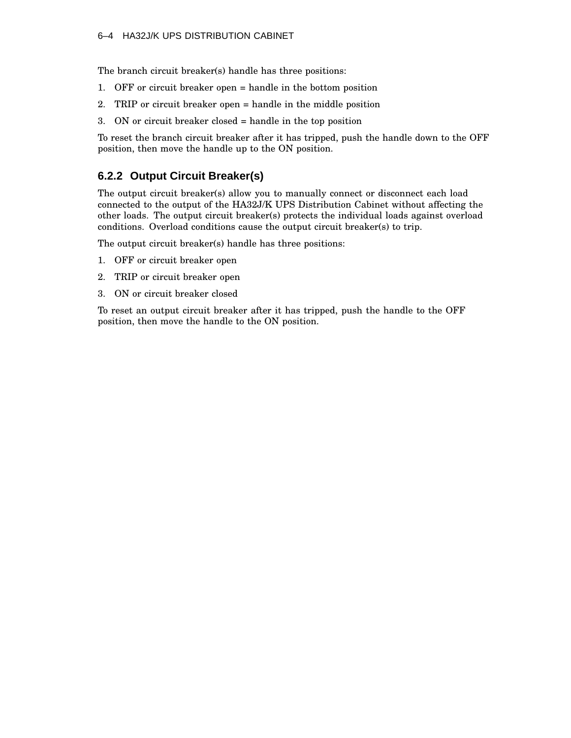The branch circuit breaker(s) handle has three positions:

- 1. OFF or circuit breaker open = handle in the bottom position
- 2. TRIP or circuit breaker open = handle in the middle position
- 3. ON or circuit breaker closed = handle in the top position

To reset the branch circuit breaker after it has tripped, push the handle down to the OFF position, then move the handle up to the ON position.

## **6.2.2 Output Circuit Breaker(s)**

The output circuit breaker(s) allow you to manually connect or disconnect each load connected to the output of the HA32J/K UPS Distribution Cabinet without affecting the other loads. The output circuit breaker(s) protects the individual loads against overload conditions. Overload conditions cause the output circuit breaker(s) to trip.

The output circuit breaker(s) handle has three positions:

- 1. OFF or circuit breaker open
- 2. TRIP or circuit breaker open
- 3. ON or circuit breaker closed

To reset an output circuit breaker after it has tripped, push the handle to the OFF position, then move the handle to the ON position.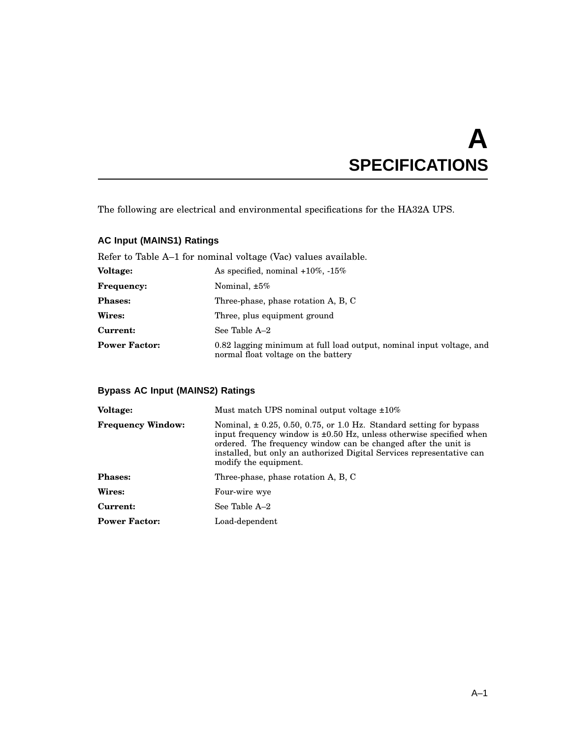# **A SPECIFICATIONS**

The following are electrical and environmental specifications for the HA32A UPS.

## **AC Input (MAINS1) Ratings**

Refer to Table A–1 for nominal voltage (Vac) values available.

| <b>Voltage:</b>      | As specified, nominal $+10\%$ , $-15\%$                                                                     |  |  |
|----------------------|-------------------------------------------------------------------------------------------------------------|--|--|
| <b>Frequency:</b>    | Nominal, $\pm 5\%$                                                                                          |  |  |
| <b>Phases:</b>       | Three-phase, phase rotation A, B, C                                                                         |  |  |
| Wires:               | Three, plus equipment ground                                                                                |  |  |
| Current:             | See Table A-2                                                                                               |  |  |
| <b>Power Factor:</b> | 0.82 lagging minimum at full load output, nominal input voltage, and<br>normal float voltage on the battery |  |  |

## **Bypass AC Input (MAINS2) Ratings**

| Voltage:                 | Must match UPS nominal output voltage $\pm 10\%$                                                                                                                                                                                                                                                                        |  |  |
|--------------------------|-------------------------------------------------------------------------------------------------------------------------------------------------------------------------------------------------------------------------------------------------------------------------------------------------------------------------|--|--|
| <b>Frequency Window:</b> | Nominal, $\pm$ 0.25, 0.50, 0.75, or 1.0 Hz. Standard setting for bypass<br>input frequency window is $\pm 0.50$ Hz, unless otherwise specified when<br>ordered. The frequency window can be changed after the unit is<br>installed, but only an authorized Digital Services representative can<br>modify the equipment. |  |  |
| <b>Phases:</b>           | Three-phase, phase rotation A, B, C                                                                                                                                                                                                                                                                                     |  |  |
| Wires:                   | Four-wire wye                                                                                                                                                                                                                                                                                                           |  |  |
| Current:                 | See Table A-2                                                                                                                                                                                                                                                                                                           |  |  |
| <b>Power Factor:</b>     | Load-dependent                                                                                                                                                                                                                                                                                                          |  |  |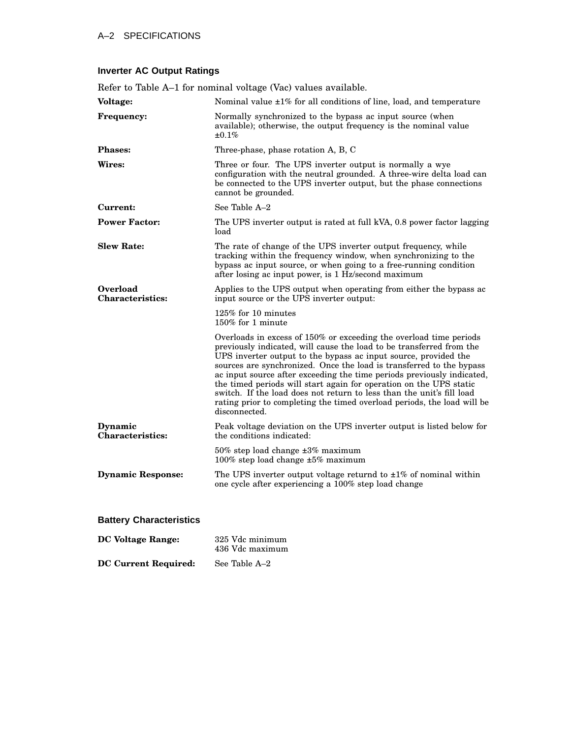**DC Voltage** Range:

**DC Current Required:** See Table A–2

| Refer to Table A-1 for nominal voltage (Vac) values available. |                                                                                                                                                                                                                                                                                                                                                                                                                                                                                                                                                                                                            |  |  |  |
|----------------------------------------------------------------|------------------------------------------------------------------------------------------------------------------------------------------------------------------------------------------------------------------------------------------------------------------------------------------------------------------------------------------------------------------------------------------------------------------------------------------------------------------------------------------------------------------------------------------------------------------------------------------------------------|--|--|--|
| Voltage:                                                       | Nominal value ±1% for all conditions of line, load, and temperature                                                                                                                                                                                                                                                                                                                                                                                                                                                                                                                                        |  |  |  |
| <b>Frequency:</b>                                              | Normally synchronized to the bypass ac input source (when<br>available); otherwise, the output frequency is the nominal value<br>±0.1%                                                                                                                                                                                                                                                                                                                                                                                                                                                                     |  |  |  |
| <b>Phases:</b>                                                 | Three-phase, phase rotation A, B, C                                                                                                                                                                                                                                                                                                                                                                                                                                                                                                                                                                        |  |  |  |
| Wires:                                                         | Three or four. The UPS inverter output is normally a wye<br>configuration with the neutral grounded. A three-wire delta load can<br>be connected to the UPS inverter output, but the phase connections<br>cannot be grounded.                                                                                                                                                                                                                                                                                                                                                                              |  |  |  |
| Current:                                                       | See Table A-2                                                                                                                                                                                                                                                                                                                                                                                                                                                                                                                                                                                              |  |  |  |
| <b>Power Factor:</b>                                           | The UPS inverter output is rated at full kVA, 0.8 power factor lagging<br>load                                                                                                                                                                                                                                                                                                                                                                                                                                                                                                                             |  |  |  |
| <b>Slew Rate:</b>                                              | The rate of change of the UPS inverter output frequency, while<br>tracking within the frequency window, when synchronizing to the<br>bypass ac input source, or when going to a free-running condition<br>after losing ac input power, is 1 Hz/second maximum                                                                                                                                                                                                                                                                                                                                              |  |  |  |
| <b>Overload</b><br><b>Characteristics:</b>                     | Applies to the UPS output when operating from either the bypass ac<br>input source or the UPS inverter output:                                                                                                                                                                                                                                                                                                                                                                                                                                                                                             |  |  |  |
|                                                                | $125\%$ for 10 minutes<br>150% for 1 minute                                                                                                                                                                                                                                                                                                                                                                                                                                                                                                                                                                |  |  |  |
|                                                                | Overloads in excess of 150% or exceeding the overload time periods<br>previously indicated, will cause the load to be transferred from the<br>UPS inverter output to the bypass ac input source, provided the<br>sources are synchronized. Once the load is transferred to the bypass<br>ac input source after exceeding the time periods previously indicated,<br>the timed periods will start again for operation on the UPS static<br>switch. If the load does not return to less than the unit's fill load<br>rating prior to completing the timed overload periods, the load will be<br>disconnected. |  |  |  |
| Dynamic<br><b>Characteristics:</b>                             | Peak voltage deviation on the UPS inverter output is listed below for<br>the conditions indicated:                                                                                                                                                                                                                                                                                                                                                                                                                                                                                                         |  |  |  |
|                                                                | $50\%$ step load change $\pm 3\%$ maximum<br>100% step load change $\pm 5\%$ maximum                                                                                                                                                                                                                                                                                                                                                                                                                                                                                                                       |  |  |  |
| <b>Dynamic Response:</b>                                       | The UPS inverter output voltage returnd to $\pm 1\%$ of nominal within<br>one cycle after experiencing a 100% step load change                                                                                                                                                                                                                                                                                                                                                                                                                                                                             |  |  |  |
| <b>Battery Characteristics</b>                                 |                                                                                                                                                                                                                                                                                                                                                                                                                                                                                                                                                                                                            |  |  |  |
|                                                                |                                                                                                                                                                                                                                                                                                                                                                                                                                                                                                                                                                                                            |  |  |  |

436 Vdc maximum

## **Inverter AC Output Ratings**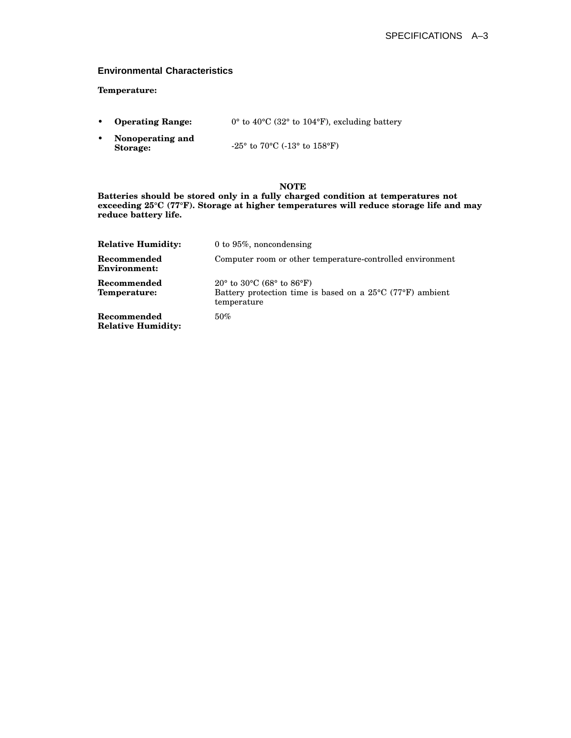#### **Environmental Characteristics**

#### **Temperature:**

- **Operating Range:** 0° to 40°C (32° to 104°F), excluding battery
- **Nonoperating and Storage:** -25° to 70°C (-13° to 158°F)

#### **NOTE**

**Batteries should be stored only in a fully charged condition at temperatures not exceeding 25°C (77°F). Storage at higher temperatures will reduce storage life and may reduce battery life.**

| <b>Relative Humidity:</b>                | 0 to $95\%$ , noncondensing                                                                                                                                      |
|------------------------------------------|------------------------------------------------------------------------------------------------------------------------------------------------------------------|
| Recommended<br><b>Environment:</b>       | Computer room or other temperature-controlled environment                                                                                                        |
| Recommended<br>Temperature:              | 20 $\degree$ to 30 $\degree$ C (68 $\degree$ to 86 $\degree$ F)<br>Battery protection time is based on a $25^{\circ}$ C (77 $^{\circ}$ F) ambient<br>temperature |
| Recommended<br><b>Relative Humidity:</b> | $50\%$                                                                                                                                                           |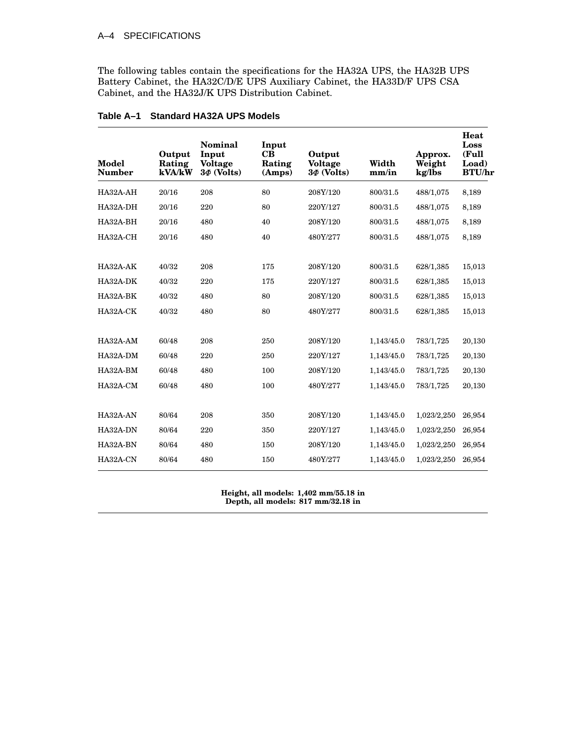#### A–4 SPECIFICATIONS

The following tables contain the specifications for the HA32A UPS, the HA32B UPS Battery Cabinet, the HA32C/D/E UPS Auxiliary Cabinet, the HA33D/F UPS CSA Cabinet, and the HA32J/K UPS Distribution Cabinet.

| Model<br><b>Number</b> | Output<br>Rating<br>kVA/kW | Nominal<br>Input<br><b>Voltage</b><br>$3\Phi$ (Volts) | Input<br>$\bf CB$<br>Rating<br>(Amps) | Output<br><b>Voltage</b><br>$3\Phi$ (Volts) | Width<br>mm/in | Approx.<br>Weight<br>kg/lbs | Heat<br>Loss<br>(Full<br>Load)<br><b>BTU/hr</b> |
|------------------------|----------------------------|-------------------------------------------------------|---------------------------------------|---------------------------------------------|----------------|-----------------------------|-------------------------------------------------|
| HA32A-AH               | 20/16                      | 208                                                   | 80                                    | 208Y/120                                    | 800/31.5       | 488/1,075                   | 8,189                                           |
| HA32A-DH               | 20/16                      | 220                                                   | 80                                    | 220Y/127                                    | 800/31.5       | 488/1,075                   | 8,189                                           |
| HA32A-BH               | 20/16                      | 480                                                   | 40                                    | 208Y/120                                    | 800/31.5       | 488/1,075                   | 8,189                                           |
| HA32A-CH               | 20/16                      | 480                                                   | 40                                    | 480Y/277                                    | 800/31.5       | 488/1,075                   | 8,189                                           |
|                        |                            |                                                       |                                       |                                             |                |                             |                                                 |
| HA32A-AK               | 40/32                      | 208                                                   | 175                                   | 208Y/120                                    | 800/31.5       | 628/1,385                   | 15,013                                          |
| HA32A-DK               | 40/32                      | 220                                                   | 175                                   | 220Y/127                                    | 800/31.5       | 628/1,385                   | 15,013                                          |
| HA32A-BK               | 40/32                      | 480                                                   | 80                                    | 208Y/120                                    | 800/31.5       | 628/1,385                   | 15,013                                          |
| HA32A-CK               | 40/32                      | 480                                                   | 80                                    | 480Y/277                                    | 800/31.5       | 628/1,385                   | 15,013                                          |
|                        |                            |                                                       |                                       |                                             |                |                             |                                                 |
| HA32A-AM               | 60/48                      | 208                                                   | 250                                   | 208Y/120                                    | 1,143/45.0     | 783/1,725                   | 20,130                                          |
| HA32A-DM               | 60/48                      | 220                                                   | 250                                   | 220Y/127                                    | 1,143/45.0     | 783/1,725                   | 20,130                                          |
| HA32A-BM               | 60/48                      | 480                                                   | 100                                   | 208Y/120                                    | 1,143/45.0     | 783/1,725                   | 20,130                                          |
| HA32A-CM               | 60/48                      | 480                                                   | 100                                   | 480Y/277                                    | 1,143/45.0     | 783/1,725                   | 20,130                                          |
|                        |                            |                                                       |                                       |                                             |                |                             |                                                 |
| HA32A-AN               | 80/64                      | 208                                                   | 350                                   | 208Y/120                                    | 1,143/45.0     | 1,023/2,250                 | 26,954                                          |
| HA32A-DN               | 80/64                      | 220                                                   | 350                                   | 220Y/127                                    | 1,143/45.0     | 1,023/2,250                 | 26,954                                          |
| HA32A-BN               | 80/64                      | 480                                                   | 150                                   | 208Y/120                                    | 1,143/45.0     | 1,023/2,250                 | 26,954                                          |
| HA32A-CN               | 80/64                      | 480                                                   | 150                                   | 480Y/277                                    | 1,143/45.0     | 1,023/2,250                 | 26,954                                          |
|                        |                            |                                                       |                                       |                                             |                |                             |                                                 |

#### **Table A–1 Standard HA32A UPS Models**

**Height, all models: 1,402 mm/55.18 in Depth, all models: 817 mm/32.18 in**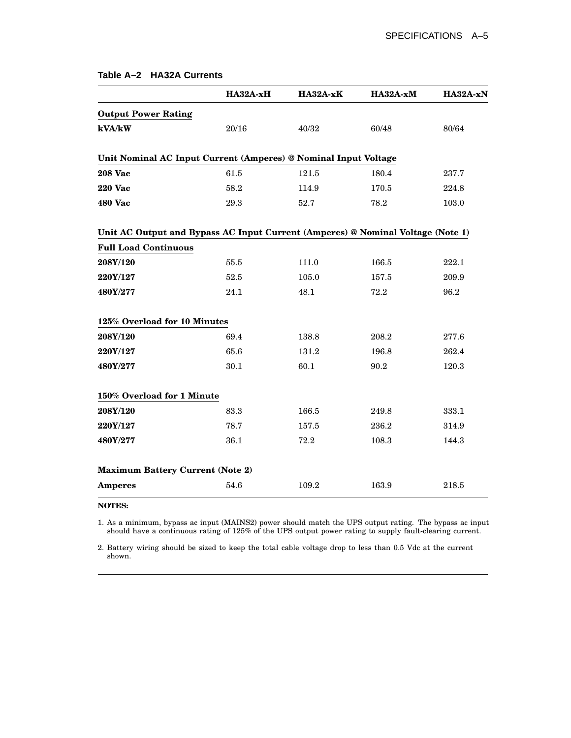| Table A–2 HA32A Currents |  |
|--------------------------|--|
|--------------------------|--|

|                                                                                 | HA32A-xH | HA32A-xK  | HA32A-xM | HA32A-xN |
|---------------------------------------------------------------------------------|----------|-----------|----------|----------|
| <b>Output Power Rating</b>                                                      |          |           |          |          |
| kVA/kW                                                                          | 20/16    | 40/32     | 60/48    | 80/64    |
| Unit Nominal AC Input Current (Amperes) @ Nominal Input Voltage                 |          |           |          |          |
| <b>208 Vac</b>                                                                  | 61.5     | $121.5\,$ | 180.4    | 237.7    |
| <b>220 Vac</b>                                                                  | 58.2     | 114.9     | 170.5    | 224.8    |
| 480 Vac                                                                         | 29.3     | 52.7      | 78.2     | 103.0    |
| Unit AC Output and Bypass AC Input Current (Amperes) @ Nominal Voltage (Note 1) |          |           |          |          |
| <b>Full Load Continuous</b>                                                     |          |           |          |          |
| 208Y/120                                                                        | 55.5     | 111.0     | 166.5    | 222.1    |
| 220Y/127                                                                        | 52.5     | 105.0     | 157.5    | 209.9    |
| 480Y/277                                                                        | 24.1     | 48.1      | 72.2     | 96.2     |
| 125% Overload for 10 Minutes                                                    |          |           |          |          |
| 208Y/120                                                                        | 69.4     | 138.8     | 208.2    | 277.6    |
| 220Y/127                                                                        | 65.6     | 131.2     | 196.8    | 262.4    |
| 480Y/277                                                                        | 30.1     | 60.1      | 90.2     | 120.3    |
| 150% Overload for 1 Minute                                                      |          |           |          |          |
| 208Y/120                                                                        | 83.3     | 166.5     | 249.8    | 333.1    |
| 220Y/127                                                                        | 78.7     | 157.5     | 236.2    | 314.9    |
| 480Y/277                                                                        | 36.1     | 72.2      | 108.3    | 144.3    |
| <b>Maximum Battery Current (Note 2)</b>                                         |          |           |          |          |
| <b>Amperes</b>                                                                  | 54.6     | 109.2     | 163.9    | 218.5    |

#### **NOTES:**

1. As a minimum, bypass ac input (MAINS2) power should match the UPS output rating. The bypass ac input should have a continuous rating of 125% of the UPS output power rating to supply fault-clearing current.

2. Battery wiring should be sized to keep the total cable voltage drop to less than 0.5 Vdc at the current shown.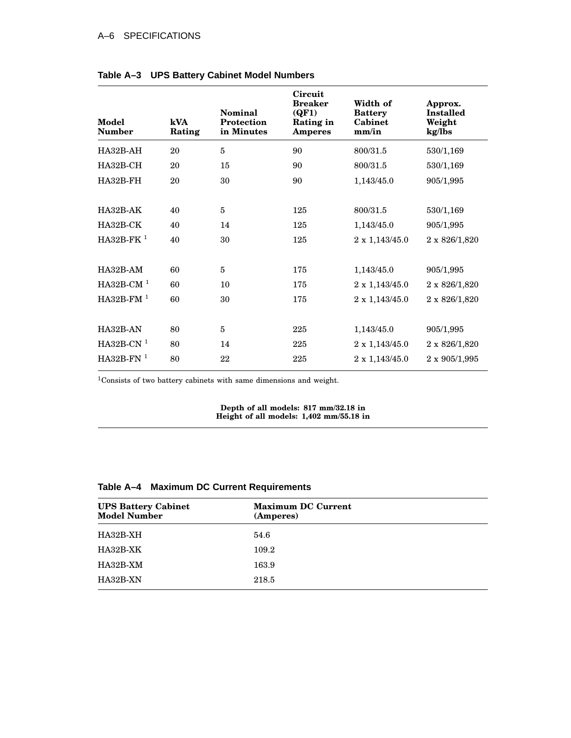#### A–6 SPECIFICATIONS

| Model<br><b>Number</b> | kVA<br>Rating | Nominal<br><b>Protection</b><br>in Minutes | Circuit<br><b>Breaker</b><br>(QF1)<br>Rating in<br><b>Amperes</b> | Width of<br><b>Battery</b><br>Cabinet<br>mm/in | Approx.<br><b>Installed</b><br>Weight<br>kg/lbs |
|------------------------|---------------|--------------------------------------------|-------------------------------------------------------------------|------------------------------------------------|-------------------------------------------------|
| HA32B-AH               | 20            | 5                                          | 90                                                                | 800/31.5                                       | 530/1,169                                       |
| $HA32B-CH$             | 20            | 15                                         | 90                                                                | 800/31.5                                       | 530/1,169                                       |
| HA32B-FH               | 20            | 30                                         | 90                                                                | 1,143/45.0                                     | 905/1,995                                       |
|                        |               |                                            |                                                                   |                                                |                                                 |
| $HA32B-AK$             | 40            | 5                                          | 125                                                               | 800/31.5                                       | 530/1,169                                       |
| HA32B-CK               | 40            | 14                                         | 125                                                               | 1,143/45.0                                     | 905/1,995                                       |
| $HA32B-FK1$            | 40            | 30                                         | 125                                                               | 2 x 1,143/45.0                                 | 2 x 826/1,820                                   |
|                        |               |                                            |                                                                   |                                                |                                                 |
| $HA32B-AM$             | 60            | 5                                          | 175                                                               | 1,143/45.0                                     | 905/1,995                                       |
| $HA32B-CM1$            | 60            | 10                                         | 175                                                               | $2 \times 1,143/45.0$                          | 2 x 826/1,820                                   |
| $HA32B-FM1$            | 60            | 30                                         | 175                                                               | $2 \times 1,143/45.0$                          | 2 x 826/1,820                                   |
|                        |               |                                            |                                                                   |                                                |                                                 |
| HA32B-AN               | 80            | 5                                          | 225                                                               | 1,143/45.0                                     | 905/1,995                                       |
| $HA32B-CN1$            | 80            | 14                                         | 225                                                               | $2 \times 1,143/45.0$                          | 2 x 826/1,820                                   |
| $HA32B-FN1$            | 80            | 22                                         | 225                                                               | $2 \times 1,143/45.0$                          | $2 \times 905/1,995$                            |

#### **Table A–3 UPS Battery Cabinet Model Numbers**

<sup>1</sup>Consists of two battery cabinets with same dimensions and weight.

**Depth of all models: 817 mm/32.18 in Height of all models: 1,402 mm/55.18 in**

#### **Table A–4 Maximum DC Current Requirements**

| <b>UPS Battery Cabinet</b><br><b>Model Number</b> | <b>Maximum DC Current</b><br>(Amperes) |  |  |
|---------------------------------------------------|----------------------------------------|--|--|
| HA32B-XH                                          | 54.6                                   |  |  |
| HA32B-XK                                          | 109.2                                  |  |  |
| HA32B-XM                                          | 163.9                                  |  |  |
| HA32B-XN                                          | 218.5                                  |  |  |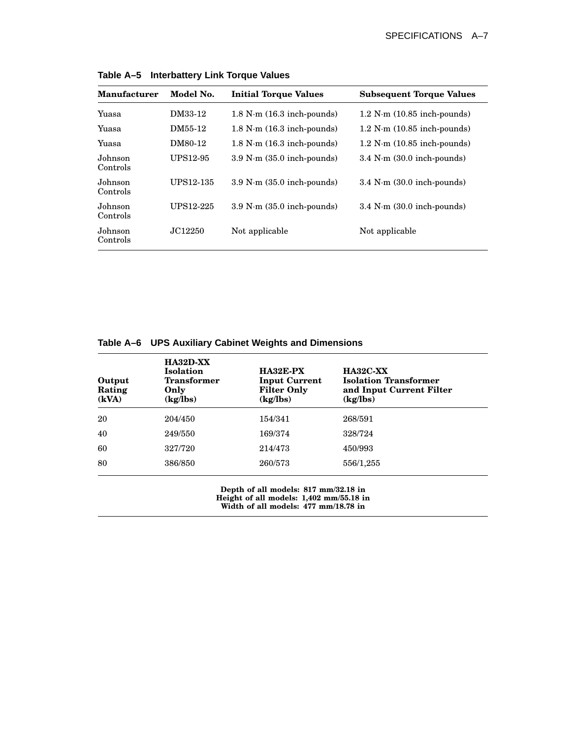| <b>Manufacturer</b> | Model No. | <b>Initial Torque Values</b>           | <b>Subsequent Torque Values</b>         |
|---------------------|-----------|----------------------------------------|-----------------------------------------|
| Yuasa               | DM33-12   | $1.8$ N $\cdot$ m $(16.3$ inch-pounds) | $1.2$ N $\cdot$ m $(10.85$ inch-pounds) |
| Yuasa               | DM55-12   | $1.8$ N $\cdot$ m $(16.3$ inch-pounds) | $1.2$ N $\cdot$ m $(10.85$ inch-pounds) |
| Yuasa               | DM80-12   | $1.8$ N $\cdot$ m $(16.3$ inch-pounds) | $1.2$ N $\cdot$ m $(10.85$ inch-pounds) |
| Johnson<br>Controls | UPS12-95  | $3.9$ N $\cdot$ m $(35.0$ inch-pounds) | $3.4$ N $\cdot$ m $(30.0$ inch-pounds)  |
| Johnson<br>Controls | UPS12-135 | $3.9$ N $\cdot$ m $(35.0$ inch-pounds) | $3.4$ N $\cdot$ m $(30.0$ inch-pounds)  |
| Johnson<br>Controls | UPS12-225 | $3.9$ N $\cdot$ m $(35.0$ inch-pounds) | $3.4$ N $\cdot$ m $(30.0$ inch-pounds)  |
| Johnson<br>Controls | JC12250   | Not applicable                         | Not applicable                          |

**Table A–5 Interbattery Link Torque Values**

| Table A-6 UPS Auxiliary Cabinet Weights and Dimensions |  |  |  |
|--------------------------------------------------------|--|--|--|
|                                                        |  |  |  |

| Output<br>Rating<br>(kVA) | $HA32D-XX$<br><b>Isolation</b><br><b>Transformer</b><br>Only<br>(kg/lbs) | HA32E-PX<br><b>Input Current</b><br><b>Filter Only</b><br>(kg/lbs) | <b>HA32C-XX</b><br><b>Isolation Transformer</b><br>and Input Current Filter<br>(kg/lbs) |
|---------------------------|--------------------------------------------------------------------------|--------------------------------------------------------------------|-----------------------------------------------------------------------------------------|
| 20                        | 204/450                                                                  | 154/341                                                            | 268/591                                                                                 |
| 40                        | 249/550                                                                  | 169/374                                                            | 328/724                                                                                 |
| 60                        | 327/720                                                                  | 214/473                                                            | 450/993                                                                                 |
| 80                        | 386/850                                                                  | 260/573                                                            | 556/1,255                                                                               |

**Depth of all models: 817 mm/32.18 in Height of all models: 1,402 mm/55.18 in Width of all models: 477 mm/18.78 in**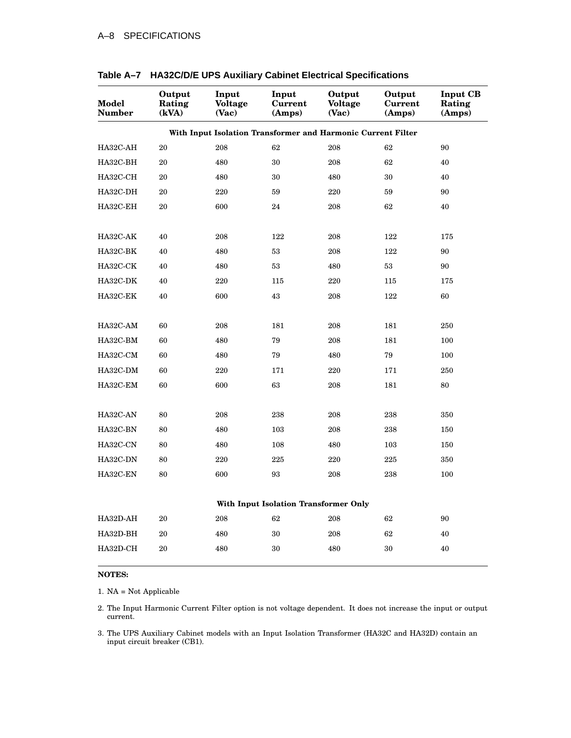| Model<br><b>Number</b>                                       | Output<br>Rating<br>(kVA) | Input<br><b>Voltage</b><br>(Vac) | Input<br>Current<br>(Amps) | Output<br><b>Voltage</b><br>(Vac) | Output<br>Current<br>(Amps) | <b>Input CB</b><br>Rating<br>(Amps) |  |  |
|--------------------------------------------------------------|---------------------------|----------------------------------|----------------------------|-----------------------------------|-----------------------------|-------------------------------------|--|--|
| With Input Isolation Transformer and Harmonic Current Filter |                           |                                  |                            |                                   |                             |                                     |  |  |
| HA32C-AH                                                     | 20                        | 208                              | 62                         | 208                               | 62                          | 90                                  |  |  |
| HA32C-BH                                                     | 20                        | 480                              | 30                         | 208                               | 62                          | 40                                  |  |  |
| HA32C-CH                                                     | 20                        | 480                              | 30                         | 480                               | 30                          | 40                                  |  |  |
| HA32C-DH                                                     | 20                        | 220                              | 59                         | 220                               | 59                          | 90                                  |  |  |
| HA32C-EH                                                     | 20                        | 600                              | 24                         | 208                               | 62                          | 40                                  |  |  |
| HA32C-AK                                                     | 40                        | 208                              | 122                        | 208                               | 122                         | 175                                 |  |  |
| HA32C-BK                                                     | 40                        | 480                              | 53                         | 208                               | 122                         | 90                                  |  |  |
| HA32C-CK                                                     | 40                        | 480                              | 53                         | 480                               | 53                          | 90                                  |  |  |
| HA32C-DK                                                     | 40                        | 220                              | 115                        | 220                               | 115                         | 175                                 |  |  |
| HA32C-EK                                                     | 40                        | 600                              | 43                         | 208                               | 122                         | 60                                  |  |  |
| HA32C-AM                                                     | 60                        | 208                              | 181                        | 208                               | 181                         | 250                                 |  |  |
| HA32C-BM                                                     | 60                        | 480                              | 79                         | 208                               | 181                         | 100                                 |  |  |
| HA32C-CM                                                     | 60                        | 480                              | 79                         | 480                               | 79                          | 100                                 |  |  |
| HA32C-DM                                                     | 60                        | 220                              | 171                        | 220                               | 171                         | 250                                 |  |  |
| HA32C-EM                                                     | 60                        | 600                              | 63                         | 208                               | 181                         | 80                                  |  |  |
| HA32C-AN                                                     | 80                        | 208                              | 238                        | 208                               | 238                         | 350                                 |  |  |
| HA32C-BN                                                     | 80                        | 480                              | 103                        | 208                               | 238                         | 150                                 |  |  |
| HA32C-CN                                                     | 80                        | 480                              | 108                        | 480                               | 103                         | 150                                 |  |  |
| HA32C-DN                                                     | 80                        | 220                              | 225                        | 220                               | 225                         | 350                                 |  |  |
| HA32C-EN                                                     | 80                        | 600                              | 93                         | 208                               | 238                         | 100                                 |  |  |
| With Input Isolation Transformer Only                        |                           |                                  |                            |                                   |                             |                                     |  |  |
| HA32D-AH                                                     | 20                        | 208                              | 62                         | 208                               | 62                          | 90                                  |  |  |
| HA32D-BH                                                     | 20                        | 480                              | 30                         | 208                               | 62                          | 40                                  |  |  |
| HA32D-CH                                                     | 20                        | 480                              | 30                         | 480                               | 30                          | 40                                  |  |  |

#### **Table A–7 HA32C/D/E UPS Auxiliary Cabinet Electrical Specifications**

#### **NOTES:**

1. NA = Not Applicable

2. The Input Harmonic Current Filter option is not voltage dependent. It does not increase the input or output current.

3. The UPS Auxiliary Cabinet models with an Input Isolation Transformer (HA32C and HA32D) contain an input circuit breaker (CB1).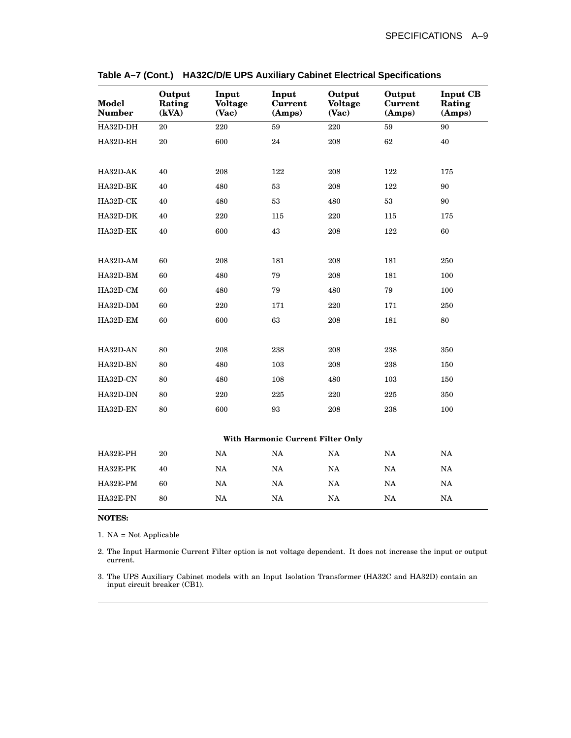| <b>Model</b><br><b>Number</b>     | Output<br>Rating<br>(kVA) | Input<br><b>Voltage</b><br>(Vac) | Input<br>Current<br>(Amps) | Output<br><b>Voltage</b><br>(Vac) | Output<br><b>Current</b><br>(Amps) | <b>Input CB</b><br>Rating<br>(Amps) |  |
|-----------------------------------|---------------------------|----------------------------------|----------------------------|-----------------------------------|------------------------------------|-------------------------------------|--|
| HA32D-DH                          | 20                        | 220                              | 59                         | 220                               | 59                                 | 90                                  |  |
| HA32D-EH                          | 20                        | 600                              | 24                         | 208                               | 62                                 | 40                                  |  |
|                                   |                           |                                  |                            |                                   |                                    |                                     |  |
| HA32D-AK                          | 40                        | 208                              | 122                        | 208                               | 122                                | 175                                 |  |
| HA32D-BK                          | 40                        | 480                              | $53\,$                     | 208                               | 122                                | 90                                  |  |
| HA32D-CK                          | 40                        | 480                              | 53                         | 480                               | 53                                 | 90                                  |  |
| HA32D-DK                          | 40                        | 220                              | 115                        | 220                               | 115                                | 175                                 |  |
| HA32D-EK                          | 40                        | 600                              | 43                         | 208                               | 122                                | 60                                  |  |
|                                   |                           |                                  |                            |                                   |                                    |                                     |  |
| HA32D-AM                          | 60                        | 208                              | 181                        | 208                               | 181                                | 250                                 |  |
| HA32D-BM                          | 60                        | 480                              | 79                         | 208                               | 181                                | 100                                 |  |
| HA32D-CM                          | 60                        | 480                              | 79                         | 480                               | 79                                 | 100                                 |  |
| HA32D-DM                          | 60                        | 220                              | 171                        | 220                               | 171                                | 250                                 |  |
| HA32D-EM                          | 60                        | 600                              | 63                         | 208                               | 181                                | 80                                  |  |
|                                   |                           |                                  |                            |                                   |                                    |                                     |  |
| HA32D-AN                          | 80                        | 208                              | 238                        | 208                               | 238                                | 350                                 |  |
| HA32D-BN                          | 80                        | 480                              | 103                        | 208                               | 238                                | 150                                 |  |
| HA32D-CN                          | 80                        | 480                              | 108                        | 480                               | 103                                | 150                                 |  |
| HA32D-DN                          | 80                        | 220                              | 225                        | 220                               | 225                                | 350                                 |  |
| HA32D-EN                          | 80                        | 600                              | 93                         | 208                               | 238                                | 100                                 |  |
|                                   |                           |                                  |                            |                                   |                                    |                                     |  |
| With Harmonic Current Filter Only |                           |                                  |                            |                                   |                                    |                                     |  |
| HA32E-PH                          | 20                        | NA                               | NA                         | NA                                | NA                                 | NA                                  |  |
| HA32E-PK                          | 40                        | NA                               | NA                         | NA                                | NA                                 | NA                                  |  |
| HA32E-PM                          | 60                        | $_{\rm NA}$                      | NA                         | $_{\rm NA}$                       | $_{\rm NA}$                        | $_{\rm NA}$                         |  |
| HA32E-PN                          | 80                        | NA                               | NA                         | $_{\rm NA}$                       | NA                                 | NA                                  |  |

|  | Table A-7 (Cont.) HA32C/D/E UPS Auxiliary Cabinet Electrical Specifications |  |  |
|--|-----------------------------------------------------------------------------|--|--|
|--|-----------------------------------------------------------------------------|--|--|

#### **NOTES:**

1. NA = Not Applicable

2. The Input Harmonic Current Filter option is not voltage dependent. It does not increase the input or output current.

3. The UPS Auxiliary Cabinet models with an Input Isolation Transformer (HA32C and HA32D) contain an input circuit breaker (CB1).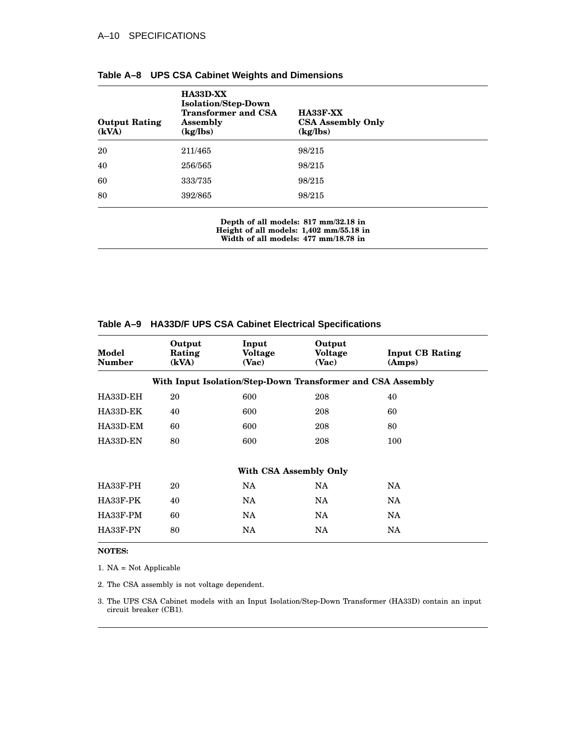| <b>Output Rating</b><br>(kVA) | <b>HA33D-XX</b><br><b>Isolation/Step-Down</b><br><b>Transformer and CSA</b><br><b>Assembly</b><br>(kg/lbs) | <b>HA33F-XX</b><br><b>CSA Assembly Only</b><br>(kg/lbs) |
|-------------------------------|------------------------------------------------------------------------------------------------------------|---------------------------------------------------------|
| 20                            | 211/465                                                                                                    | 98/215                                                  |
| 40                            | 256/565                                                                                                    | 98/215                                                  |
| 60                            | 333/735                                                                                                    | 98/215                                                  |
| 80                            | 392/865                                                                                                    | 98/215                                                  |

**Depth of all models: 817 mm/32.18 in Height of all models: 1,402 mm/55.18 in Width of all models: 477 mm/18.78 in**

| Model<br><b>Number</b> | Output<br>Rating<br>(kVA) | Input<br>Voltage<br>(Vac)                                   | Output<br>Voltage<br>(Vac) | <b>Input CB Rating</b><br>(Amps) |
|------------------------|---------------------------|-------------------------------------------------------------|----------------------------|----------------------------------|
|                        |                           | With Input Isolation/Step-Down Transformer and CSA Assembly |                            |                                  |
| HA33D-EH               | 20                        | 600                                                         | 208                        | 40                               |
| HA33D-EK               | 40                        | 600                                                         | 208                        | 60                               |
| HA33D-EM               | 60                        | 600                                                         | 208                        | 80                               |
| HA33D-EN               | 80                        | 600                                                         | 208                        | 100                              |
|                        |                           | With CSA Assembly Only                                      |                            |                                  |
| HA33F-PH               | 20                        | <b>NA</b>                                                   | NA.                        | <b>NA</b>                        |
| HA33F-PK               | 40                        | <b>NA</b>                                                   | <b>NA</b>                  | <b>NA</b>                        |
| HA33F-PM               | 60                        | NA.                                                         | NA.                        | NA.                              |
| HA33F-PN               | 80                        | NA                                                          | <b>NA</b>                  | NA.                              |
|                        |                           |                                                             |                            |                                  |

#### **Table A–9 HA33D/F UPS CSA Cabinet Electrical Specifications**

**NOTES:**

1. NA = Not Applicable

2. The CSA assembly is not voltage dependent.

3. The UPS CSA Cabinet models with an Input Isolation/Step-Down Transformer (HA33D) contain an input circuit breaker (CB1).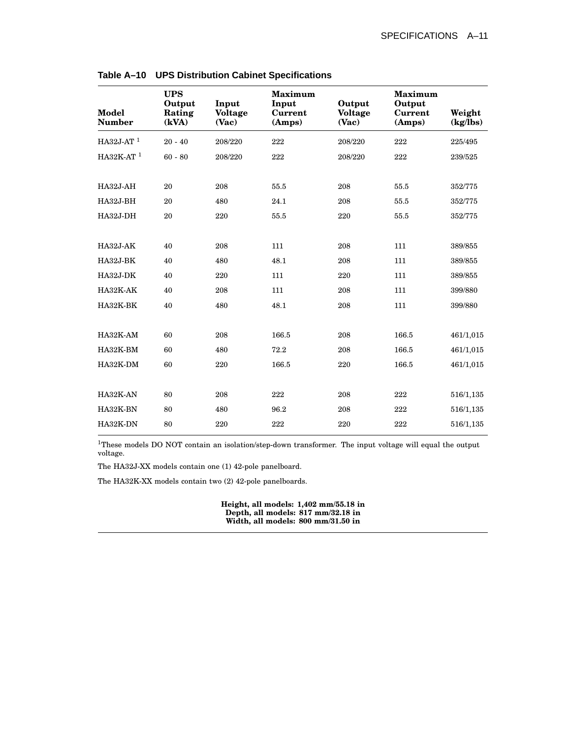| Model<br><b>Number</b> | <b>UPS</b><br>Output<br>Rating<br>(kVA) | Input<br><b>Voltage</b><br>(Vac) | <b>Maximum</b><br>Input<br>Current<br>(Amps) | Output<br><b>Voltage</b><br>(Vac) | <b>Maximum</b><br>Output<br>Current<br>(Amps) | Weight<br>(kg/lbs) |
|------------------------|-----------------------------------------|----------------------------------|----------------------------------------------|-----------------------------------|-----------------------------------------------|--------------------|
| HA32J-AT $1$           | $20 - 40$                               | 208/220                          | 222                                          | 208/220                           | 222                                           | 225/495            |
| HA32K-AT $1$           | $60 - 80$                               | 208/220                          | 222                                          | 208/220                           | 222                                           | 239/525            |
| HA32J-AH               | 20                                      | 208                              | 55.5                                         | 208                               | 55.5                                          | 352/775            |
| HA32J-BH               | 20                                      | 480                              | 24.1                                         | 208                               | 55.5                                          | 352/775            |
| HA32J-DH               | 20                                      | 220                              | 55.5                                         | 220                               | 55.5                                          | 352/775            |
| HA32J-AK               | 40                                      | 208                              | 111                                          | 208                               | 111                                           | 389/855            |
| HA32J-BK               | 40                                      | 480                              | 48.1                                         | 208                               | 111                                           | 389/855            |
| HA32J-DK               | 40                                      | 220                              | 111                                          | 220                               | 111                                           | 389/855            |
| HA32K-AK               | 40                                      | 208                              | 111                                          | 208                               | 111                                           | 399/880            |
| HA32K-BK               | 40                                      | 480                              | 48.1                                         | 208                               | 111                                           | 399/880            |
|                        |                                         |                                  |                                              |                                   |                                               |                    |
| HA32K-AM               | 60                                      | 208                              | 166.5                                        | 208                               | 166.5                                         | 461/1,015          |
| $HA32K-BM$             | 60                                      | 480                              | 72.2                                         | 208                               | 166.5                                         | 461/1,015          |
| HA32K-DM               | 60                                      | 220                              | 166.5                                        | 220                               | 166.5                                         | 461/1,015          |
| HA32K-AN               | 80                                      | 208                              | 222                                          | 208                               | 222                                           | 516/1,135          |
| HA32K-BN               | 80                                      | 480                              | 96.2                                         | 208                               | 222                                           | 516/1,135          |
| HA32K-DN               | 80                                      | 220                              | 222                                          | 220                               | 222                                           | 516/1,135          |

**Table A–10 UPS Distribution Cabinet Specifications**

<sup>1</sup>These models DO NOT contain an isolation/step-down transformer. The input voltage will equal the output voltage.

The HA32J-XX models contain one (1) 42-pole panelboard.

The HA32K-XX models contain two (2) 42-pole panelboards.

**Height, all models: 1,402 mm/55.18 in Depth, all models: 817 mm/32.18 in Width, all models: 800 mm/31.50 in**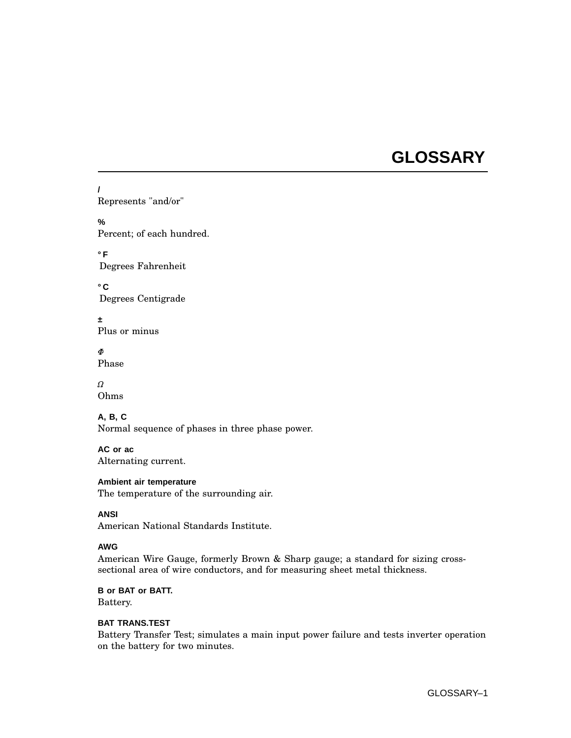## **GLOSSARY**

**/** Represents "and/or"

**%** Percent; of each hundred.

**°F** Degrees Fahrenheit

**°C** Degrees Centigrade

**±** Plus or minus

ð. Phase

 $\Omega$ Ohms

## **A, B, C**

Normal sequence of phases in three phase power.

**AC or ac** Alternating current.

#### **Ambient air temperature**

The temperature of the surrounding air.

**ANSI**

American National Standards Institute.

## **AWG**

American Wire Gauge, formerly Brown & Sharp gauge; a standard for sizing crosssectional area of wire conductors, and for measuring sheet metal thickness.

**B or BAT or BATT.** Battery.

#### **BAT TRANS.TEST**

Battery Transfer Test; simulates a main input power failure and tests inverter operation on the battery for two minutes.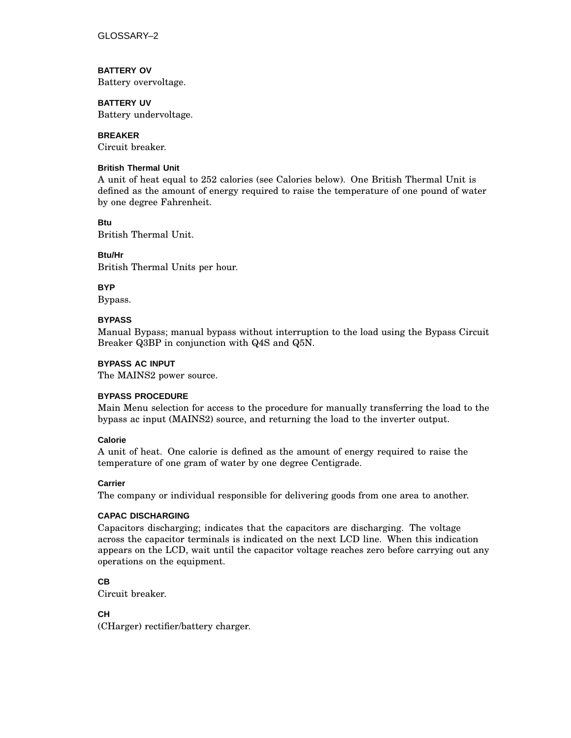GLOSSARY–2

**BATTERY OV**

Battery overvoltage.

## **BATTERY UV**

Battery undervoltage.

**BREAKER**

Circuit breaker.

#### **British Thermal Unit**

A unit of heat equal to 252 calories (see Calories below). One British Thermal Unit is defined as the amount of energy required to raise the temperature of one pound of water by one degree Fahrenheit.

**Btu**

British Thermal Unit.

**Btu/Hr**

British Thermal Units per hour.

**BYP**

Bypass.

#### **BYPASS**

Manual Bypass; manual bypass without interruption to the load using the Bypass Circuit Breaker Q3BP in conjunction with Q4S and Q5N.

#### **BYPASS AC INPUT**

The MAINS2 power source.

#### **BYPASS PROCEDURE**

Main Menu selection for access to the procedure for manually transferring the load to the bypass ac input (MAINS2) source, and returning the load to the inverter output.

#### **Calorie**

A unit of heat. One calorie is defined as the amount of energy required to raise the temperature of one gram of water by one degree Centigrade.

#### **Carrier**

The company or individual responsible for delivering goods from one area to another.

#### **CAPAC DISCHARGING**

Capacitors discharging; indicates that the capacitors are discharging. The voltage across the capacitor terminals is indicated on the next LCD line. When this indication appears on the LCD, wait until the capacitor voltage reaches zero before carrying out any operations on the equipment.

## **CB**

Circuit breaker.

## **CH**

(CHarger) rectifier/battery charger.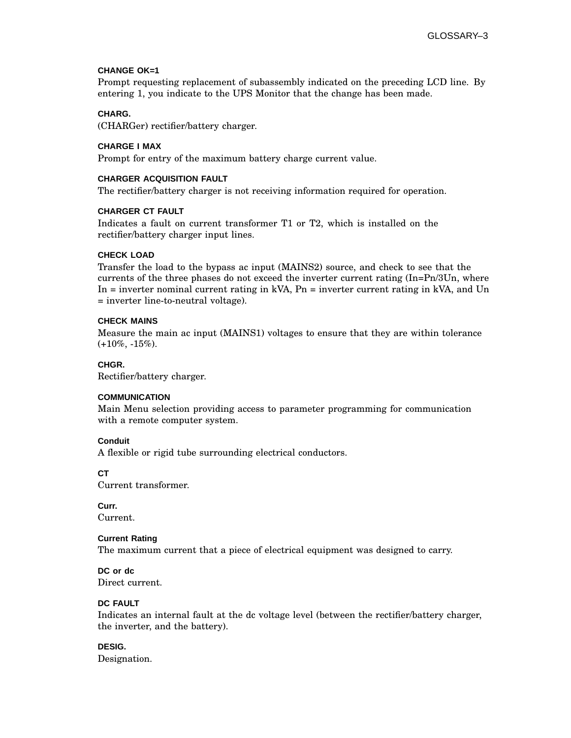## **CHANGE OK=1**

Prompt requesting replacement of subassembly indicated on the preceding LCD line. By entering 1, you indicate to the UPS Monitor that the change has been made.

#### **CHARG.**

(CHARGer) rectifier/battery charger.

#### **CHARGE I MAX**

Prompt for entry of the maximum battery charge current value.

#### **CHARGER ACQUISITION FAULT**

The rectifier/battery charger is not receiving information required for operation.

#### **CHARGER CT FAULT**

Indicates a fault on current transformer T1 or T2, which is installed on the rectifier/battery charger input lines.

#### **CHECK LOAD**

Transfer the load to the bypass ac input (MAINS2) source, and check to see that the currents of the three phases do not exceed the inverter current rating (In=Pn/3Un, where In  $=$  inverter nominal current rating in kVA, Pn  $=$  inverter current rating in kVA, and Un = inverter line-to-neutral voltage).

#### **CHECK MAINS**

Measure the main ac input (MAINS1) voltages to ensure that they are within tolerance  $(+10\%, -15\%).$ 

#### **CHGR.**

Rectifier/battery charger.

#### **COMMUNICATION**

Main Menu selection providing access to parameter programming for communication with a remote computer system.

#### **Conduit**

A flexible or rigid tube surrounding electrical conductors.

#### **CT**

Current transformer.

## **Curr.**

Current.

#### **Current Rating**

The maximum current that a piece of electrical equipment was designed to carry.

**DC or dc** Direct current.

#### **DC FAULT**

Indicates an internal fault at the dc voltage level (between the rectifier/battery charger, the inverter, and the battery).

**DESIG.**

Designation.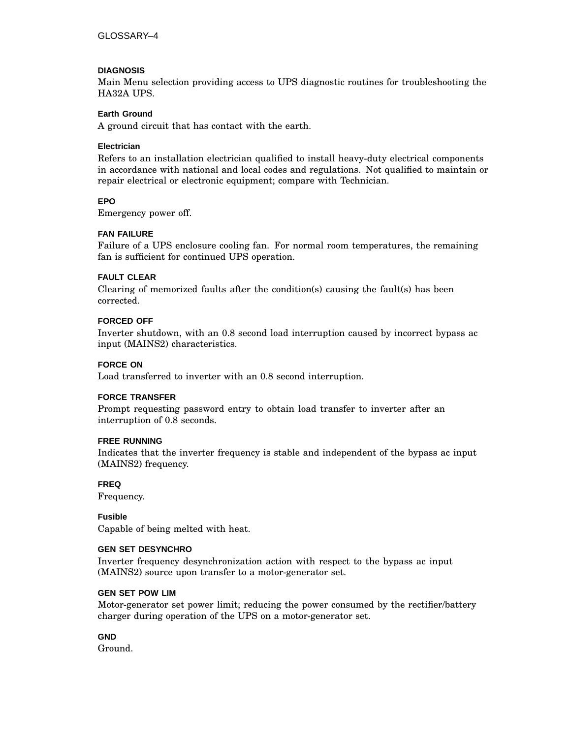#### **DIAGNOSIS**

Main Menu selection providing access to UPS diagnostic routines for troubleshooting the HA32A UPS.

#### **Earth Ground**

A ground circuit that has contact with the earth.

#### **Electrician**

Refers to an installation electrician qualified to install heavy-duty electrical components in accordance with national and local codes and regulations. Not qualified to maintain or repair electrical or electronic equipment; compare with Technician.

#### **EPO**

Emergency power off.

#### **FAN FAILURE**

Failure of a UPS enclosure cooling fan. For normal room temperatures, the remaining fan is sufficient for continued UPS operation.

#### **FAULT CLEAR**

Clearing of memorized faults after the condition(s) causing the fault(s) has been corrected.

#### **FORCED OFF**

Inverter shutdown, with an 0.8 second load interruption caused by incorrect bypass ac input (MAINS2) characteristics.

#### **FORCE ON**

Load transferred to inverter with an 0.8 second interruption.

#### **FORCE TRANSFER**

Prompt requesting password entry to obtain load transfer to inverter after an interruption of 0.8 seconds.

#### **FREE RUNNING**

Indicates that the inverter frequency is stable and independent of the bypass ac input (MAINS2) frequency.

#### **FREQ**

Frequency.

**Fusible** Capable of being melted with heat.

#### **GEN SET DESYNCHRO**

Inverter frequency desynchronization action with respect to the bypass ac input (MAINS2) source upon transfer to a motor-generator set.

#### **GEN SET POW LIM**

Motor-generator set power limit; reducing the power consumed by the rectifier/battery charger during operation of the UPS on a motor-generator set.

#### **GND**

Ground.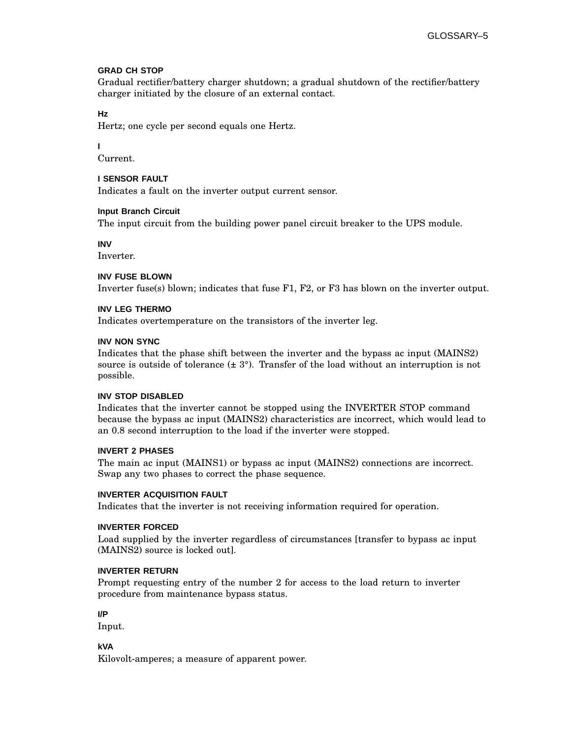#### **GRAD CH STOP**

Gradual rectifier/battery charger shutdown; a gradual shutdown of the rectifier/battery charger initiated by the closure of an external contact.

#### **Hz**

Hertz; one cycle per second equals one Hertz.

## **I**

Current.

#### **I SENSOR FAULT**

Indicates a fault on the inverter output current sensor.

#### **Input Branch Circuit**

The input circuit from the building power panel circuit breaker to the UPS module.

#### **INV**

Inverter.

## **INV FUSE BLOWN**

Inverter fuse(s) blown; indicates that fuse F1, F2, or F3 has blown on the inverter output.

#### **INV LEG THERMO**

Indicates overtemperature on the transistors of the inverter leg.

#### **INV NON SYNC**

Indicates that the phase shift between the inverter and the bypass ac input (MAINS2) source is outside of tolerance  $(\pm 3^{\circ})$ . Transfer of the load without an interruption is not possible.

#### **INV STOP DISABLED**

Indicates that the inverter cannot be stopped using the INVERTER STOP command because the bypass ac input (MAINS2) characteristics are incorrect, which would lead to an 0.8 second interruption to the load if the inverter were stopped.

#### **INVERT 2 PHASES**

The main ac input (MAINS1) or bypass ac input (MAINS2) connections are incorrect. Swap any two phases to correct the phase sequence.

#### **INVERTER ACQUISITION FAULT**

Indicates that the inverter is not receiving information required for operation.

#### **INVERTER FORCED**

Load supplied by the inverter regardless of circumstances [transfer to bypass ac input (MAINS2) source is locked out].

#### **INVERTER RETURN**

Prompt requesting entry of the number 2 for access to the load return to inverter procedure from maintenance bypass status.

#### **I/P**

Input.

#### **kVA**

Kilovolt-amperes; a measure of apparent power.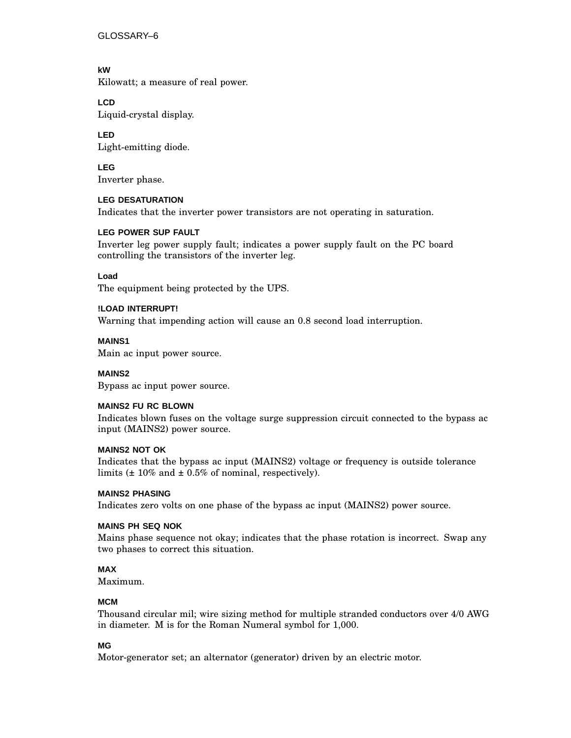GLOSSARY–6

**kW** Kilowatt; a measure of real power.

**LCD** Liquid-crystal display.

**LED** Light-emitting diode.

**LEG** Inverter phase.

**LEG DESATURATION** Indicates that the inverter power transistors are not operating in saturation.

#### **LEG POWER SUP FAULT**

Inverter leg power supply fault; indicates a power supply fault on the PC board controlling the transistors of the inverter leg.

#### **Load**

The equipment being protected by the UPS.

#### **!LOAD INTERRUPT!**

Warning that impending action will cause an 0.8 second load interruption.

#### **MAINS1**

Main ac input power source.

#### **MAINS2**

Bypass ac input power source.

#### **MAINS2 FU RC BLOWN**

Indicates blown fuses on the voltage surge suppression circuit connected to the bypass ac input (MAINS2) power source.

#### **MAINS2 NOT OK**

Indicates that the bypass ac input (MAINS2) voltage or frequency is outside tolerance limits  $(\pm 10\%$  and  $\pm 0.5\%$  of nominal, respectively).

#### **MAINS2 PHASING**

Indicates zero volts on one phase of the bypass ac input (MAINS2) power source.

#### **MAINS PH SEQ NOK**

Mains phase sequence not okay; indicates that the phase rotation is incorrect. Swap any two phases to correct this situation.

## **MAX**

Maximum.

#### **MCM**

Thousand circular mil; wire sizing method for multiple stranded conductors over 4/0 AWG in diameter. M is for the Roman Numeral symbol for 1,000.

#### **MG**

Motor-generator set; an alternator (generator) driven by an electric motor.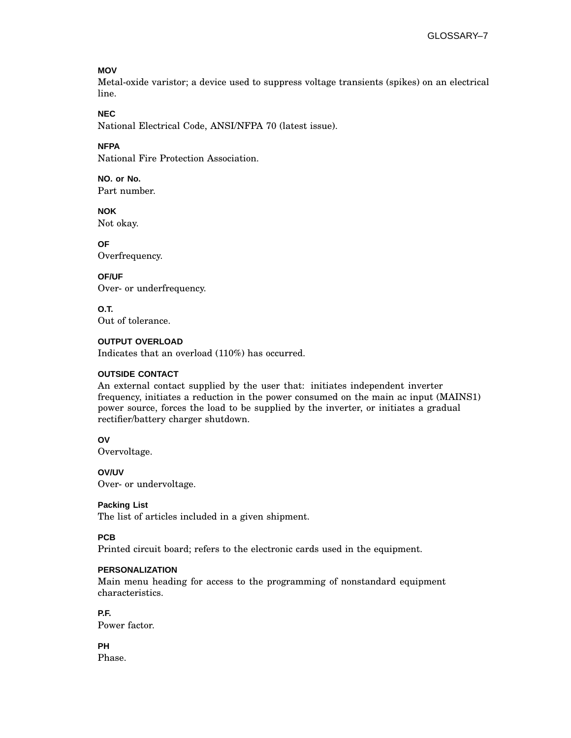#### **MOV**

Metal-oxide varistor; a device used to suppress voltage transients (spikes) on an electrical line.

#### **NEC**

National Electrical Code, ANSI/NFPA 70 (latest issue).

#### **NFPA**

National Fire Protection Association.

**NO. or No.** Part number.

**NOK** Not okay.

**OF** Overfrequency.

## **OF/UF**

Over- or underfrequency.

**O.T.** Out of tolerance.

#### **OUTPUT OVERLOAD**

Indicates that an overload (110%) has occurred.

#### **OUTSIDE CONTACT**

An external contact supplied by the user that: initiates independent inverter frequency, initiates a reduction in the power consumed on the main ac input (MAINS1) power source, forces the load to be supplied by the inverter, or initiates a gradual rectifier/battery charger shutdown.

#### **OV**

Overvoltage.

#### **OV/UV**

Over- or undervoltage.

#### **Packing List**

The list of articles included in a given shipment.

#### **PCB**

Printed circuit board; refers to the electronic cards used in the equipment.

#### **PERSONALIZATION**

Main menu heading for access to the programming of nonstandard equipment characteristics.

#### **P.F.**

Power factor.

**PH** Phase.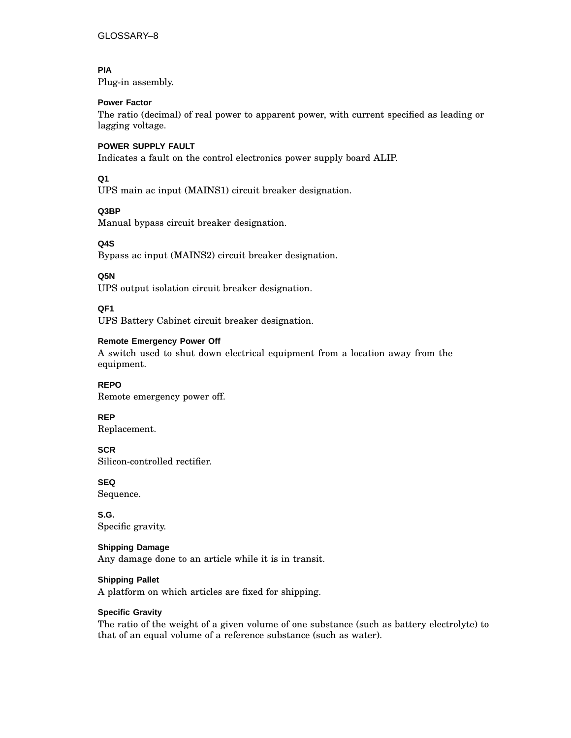## **PIA**

Plug-in assembly.

#### **Power Factor**

The ratio (decimal) of real power to apparent power, with current specified as leading or lagging voltage.

#### **POWER SUPPLY FAULT**

Indicates a fault on the control electronics power supply board ALIP.

#### **Q1**

UPS main ac input (MAINS1) circuit breaker designation.

#### **Q3BP**

Manual bypass circuit breaker designation.

#### **Q4S**

Bypass ac input (MAINS2) circuit breaker designation.

#### **Q5N**

UPS output isolation circuit breaker designation.

#### **QF1**

UPS Battery Cabinet circuit breaker designation.

#### **Remote Emergency Power Off**

A switch used to shut down electrical equipment from a location away from the equipment.

#### **REPO** Remote emergency power off.

**REP**

Replacement.

## **SCR**

Silicon-controlled rectifier.

**SEQ** Sequence.

**S.G.** Specific gravity.

#### **Shipping Damage**

Any damage done to an article while it is in transit.

#### **Shipping Pallet**

A platform on which articles are fixed for shipping.

#### **Specific Gravity**

The ratio of the weight of a given volume of one substance (such as battery electrolyte) to that of an equal volume of a reference substance (such as water).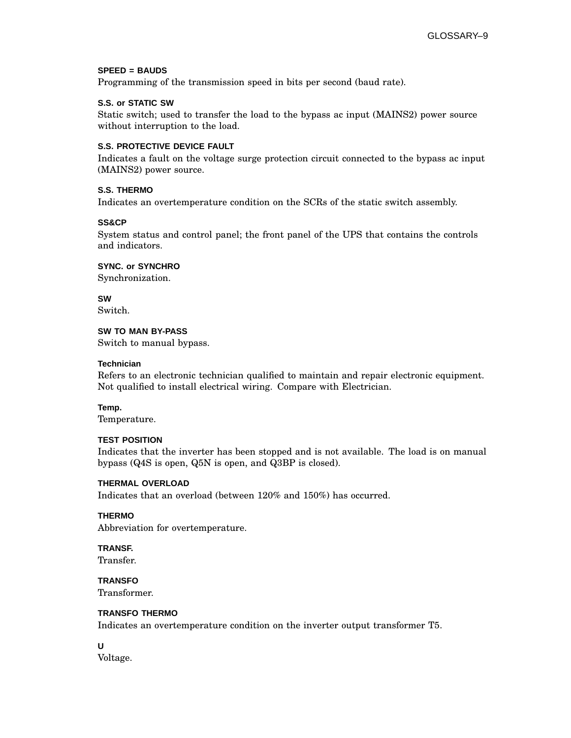#### **SPEED = BAUDS**

Programming of the transmission speed in bits per second (baud rate).

#### **S.S. or STATIC SW**

Static switch; used to transfer the load to the bypass ac input (MAINS2) power source without interruption to the load.

#### **S.S. PROTECTIVE DEVICE FAULT**

Indicates a fault on the voltage surge protection circuit connected to the bypass ac input (MAINS2) power source.

#### **S.S. THERMO**

Indicates an overtemperature condition on the SCRs of the static switch assembly.

#### **SS&CP**

System status and control panel; the front panel of the UPS that contains the controls and indicators.

**SYNC. or SYNCHRO**

Synchronization.

**SW** Switch.

#### **SW TO MAN BY-PASS**

Switch to manual bypass.

#### **Technician**

Refers to an electronic technician qualified to maintain and repair electronic equipment. Not qualified to install electrical wiring. Compare with Electrician.

#### **Temp.**

Temperature.

#### **TEST POSITION**

Indicates that the inverter has been stopped and is not available. The load is on manual bypass (Q4S is open, Q5N is open, and Q3BP is closed).

#### **THERMAL OVERLOAD**

Indicates that an overload (between 120% and 150%) has occurred.

#### **THERMO**

Abbreviation for overtemperature.

## **TRANSF.**

Transfer.

**TRANSFO** Transformer.

## **TRANSFO THERMO**

Indicates an overtemperature condition on the inverter output transformer T5.

#### **U** Voltage.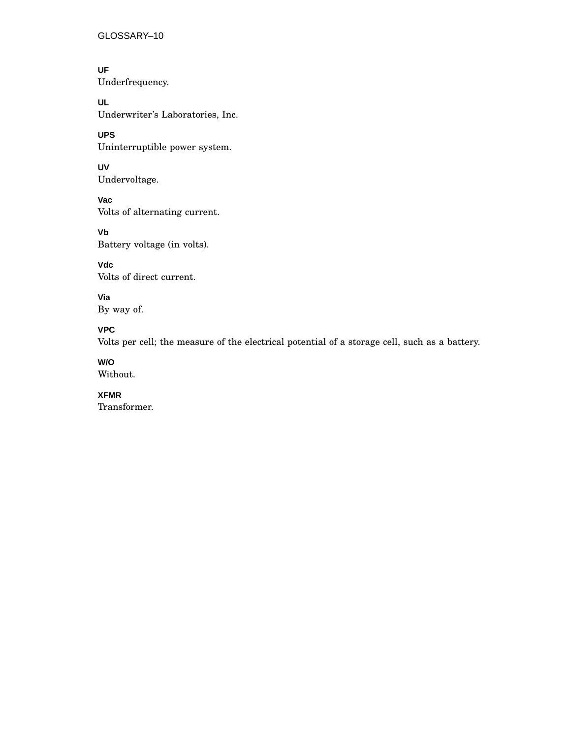GLOSSARY–10

**UF** Underfrequency.

**UL** Underwriter's Laboratories, Inc.

**UPS** Uninterruptible power system.

**UV** Undervoltage.

**Vac** Volts of alternating current.

**Vb** Battery voltage (in volts).

**Vdc** Volts of direct current.

**Via** By way of.

## **VPC**

Volts per cell; the measure of the electrical potential of a storage cell, such as a battery.

## **W/O**

Without.

**XFMR**

Transformer.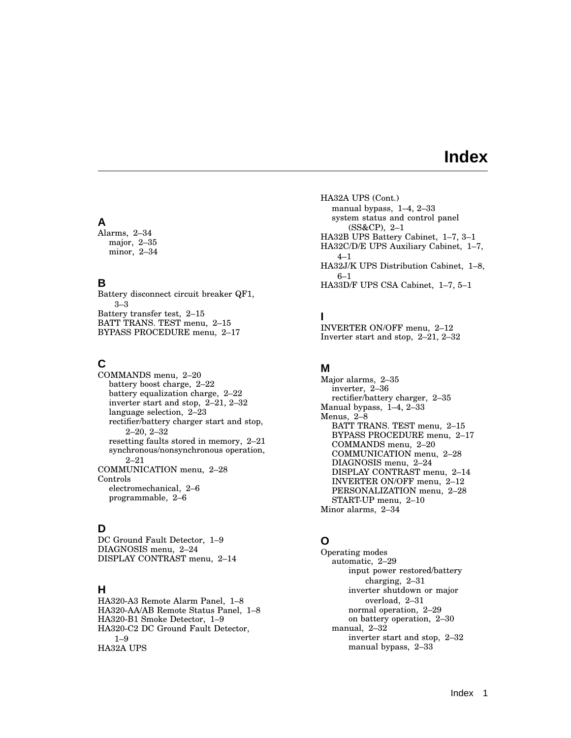## **Index**

## **A**

Alarms, 2–34 major, 2–35 minor, 2–34

## **B**

Battery disconnect circuit breaker QF1, 3–3 Battery transfer test, 2–15 BATT TRANS. TEST menu, 2–15 BYPASS PROCEDURE menu, 2–17

## **C**

COMMANDS menu, 2–20 battery boost charge, 2–22 battery equalization charge, 2–22 inverter start and stop, 2–21, 2–32 language selection, 2–23 rectifier/battery charger start and stop, 2–20, 2–32 resetting faults stored in memory, 2–21 synchronous/nonsynchronous operation, 2–21 COMMUNICATION menu, 2–28 Controls electromechanical, 2–6 programmable, 2–6

## **D**

DC Ground Fault Detector, 1–9 DIAGNOSIS menu, 2–24 DISPLAY CONTRAST menu, 2–14

## **H**

HA320-A3 Remote Alarm Panel, 1–8 HA320-AA/AB Remote Status Panel, 1–8 HA320-B1 Smoke Detector, 1–9 HA320-C2 DC Ground Fault Detector, 1–9 HA32A UPS

HA32A UPS (Cont.) manual bypass, 1–4, 2–33 system status and control panel (SS&CP), 2–1 HA32B UPS Battery Cabinet, 1–7, 3–1 HA32C/D/E UPS Auxiliary Cabinet, 1–7,  $4 - 1$ HA32J/K UPS Distribution Cabinet, 1–8, 6–1 HA33D/F UPS CSA Cabinet, 1–7, 5–1

## **I**

INVERTER ON/OFF menu, 2–12 Inverter start and stop, 2–21, 2–32

## **M**

Major alarms, 2–35 inverter, 2–36 rectifier/battery charger, 2–35 Manual bypass, 1–4, 2–33 Menus, 2–8 BATT TRANS. TEST menu, 2–15 BYPASS PROCEDURE menu, 2–17 COMMANDS menu, 2–20 COMMUNICATION menu, 2–28 DIAGNOSIS menu, 2–24 DISPLAY CONTRAST menu, 2–14 INVERTER ON/OFF menu, 2–12 PERSONALIZATION menu, 2–28 START-UP menu, 2–10 Minor alarms, 2–34

## **O**

Operating modes automatic, 2–29 input power restored/battery charging, 2–31 inverter shutdown or major overload, 2–31 normal operation, 2–29 on battery operation, 2–30 manual, 2–32 inverter start and stop, 2–32 manual bypass, 2–33